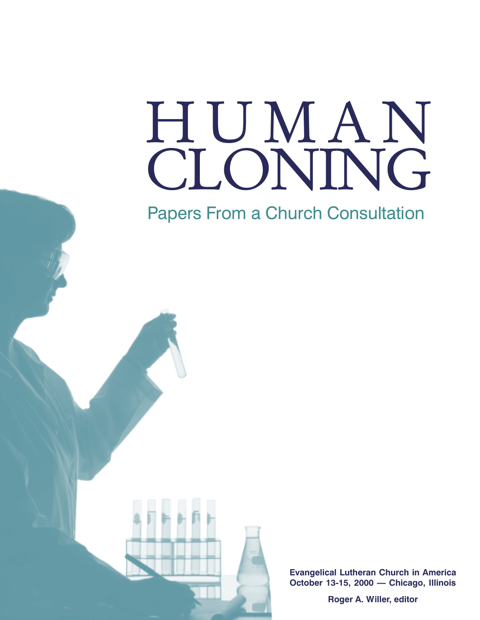# CLONING HUMAN

Papers From a Church Consultation



Evangelical Lutheran Church in America October 13-15, 2000 - Chicago, Illinois

Roger A. Willer, editor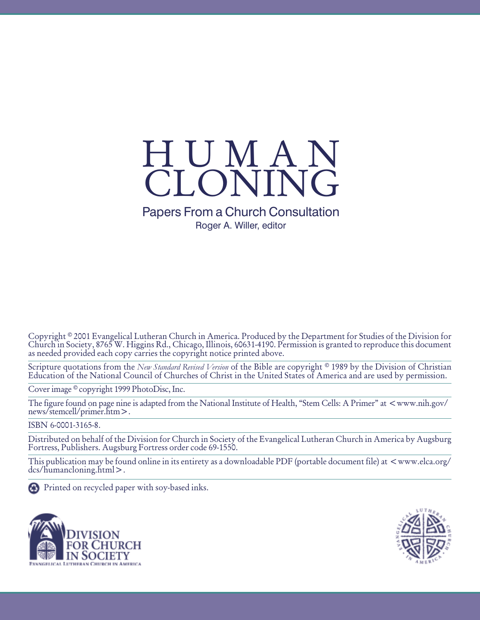

## Papers From a Church Consultation Roger A. Willer, editor

Copyright © 2001 Evangelical Lutheran Church in America. Produced by the Department for Studies of the Division for Church in Society, 8765 W. Higgins Rd., Chicago, Illinois, 60631-4190. Permission is granted to reproduce this document as needed provided each copy carries the copyright notice printed above.

Scripture quotations from the New Standard Revised Version of the Bible are copyright <sup>®</sup> 1989 by the Division of Christian Education of the National Council of Churches of Christ in the United States of America and are used by permission.

Cover image © copyright 1999 PhotoDisc, Inc.

The figure found on page nine is adapted from the National Institute of Health, "Stem Cells: A Primer" at  $\lt$ www.nih.gov/ news/stemcell/primer.htm>.

ISBN 6-0001-3165-8.

Distributed on behalf of the Division for Church in Society of the Evangelical Lutheran Church in America by Augsburg Fortress, Publishers. Augsburg Fortress order code 69-1550.

This publication may be found online in its entirety as a downloadable PDF (portable document file) at  $\langle www.$ elca.org/ dcs/humancloning.html>.

Printed on recycled paper with soy-based inks.



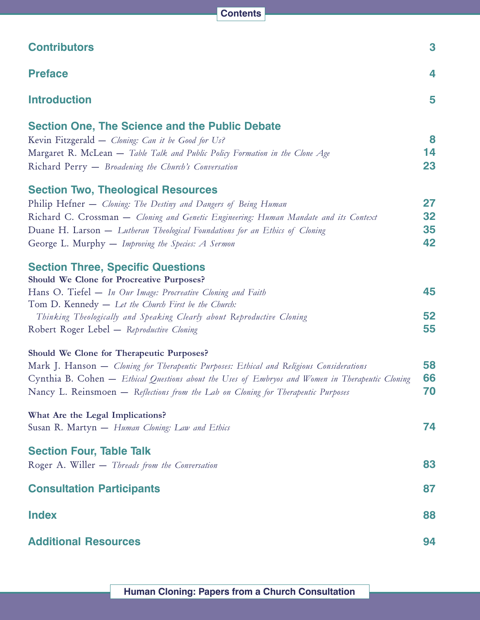| <b>Contributors</b>                                                                             | 3  |
|-------------------------------------------------------------------------------------------------|----|
| <b>Preface</b>                                                                                  | 4  |
| <b>Introduction</b>                                                                             | 5  |
| <b>Section One, The Science and the Public Debate</b>                                           |    |
| Kevin Fitzgerald — Cloning: Can it be Good for Us?                                              | 8  |
| Margaret R. McLean - Table Talk and Public Policy Formation in the Clone Age                    | 14 |
| Richard Perry - Broadening the Church's Conversation                                            | 23 |
| <b>Section Two, Theological Resources</b>                                                       |    |
| Philip Hefner - Cloning: The Destiny and Dangers of Being Human                                 | 27 |
| Richard C. Crossman – Cloning and Genetic Engineering: Human Mandate and its Context            | 32 |
| Duane H. Larson — Lutheran Theological Foundations for an Ethics of Cloning                     | 35 |
| George L. Murphy - Improving the Species: A Sermon                                              | 42 |
| <b>Section Three, Specific Questions</b>                                                        |    |
| Should We Clone for Procreative Purposes?                                                       |    |
| Hans O. Tiefel - In Our Image: Procreative Cloning and Faith                                    | 45 |
| Tom D. Kennedy - Let the Church First be the Church:                                            |    |
| Thinking Theologically and Speaking Clearly about Reproductive Cloning                          | 52 |
| Robert Roger Lebel - Reproductive Cloning                                                       | 55 |
| Should We Clone for Therapeutic Purposes?                                                       |    |
| Mark J. Hanson — Cloning for Therapeutic Purposes: Ethical and Religious Considerations         | 58 |
| Cynthia B. Cohen – Ethical Questions about the Uses of Embryos and Women in Therapeutic Cloning | 66 |
| Nancy L. Reinsmoen - Reflections from the Lab on Cloning for Therapeutic Purposes               | 70 |
| What Are the Legal Implications?                                                                |    |
| Susan R. Martyn - Human Cloning: Law and Ethics                                                 | 74 |
| <b>Section Four, Table Talk</b>                                                                 |    |
| Roger A. Willer - Threads from the Conversation                                                 | 83 |
| <b>Consultation Participants</b>                                                                | 87 |
| <b>Index</b>                                                                                    | 88 |
| <b>Additional Resources</b>                                                                     | 94 |

**Contents**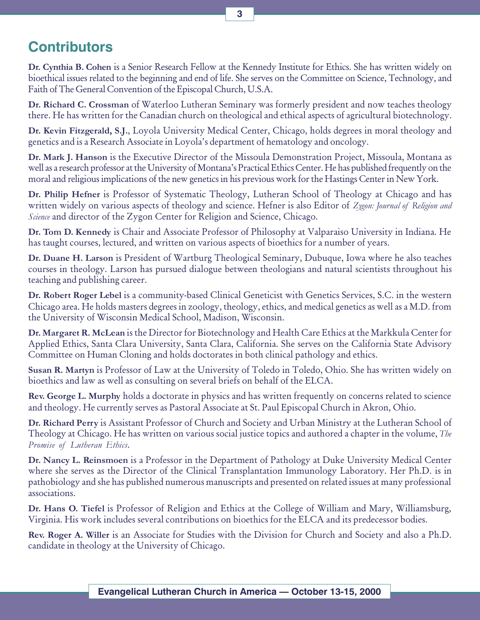## **Contributors**

Dr. Cynthia B. Cohen is a Senior Research Fellow at the Kennedy Institute for Ethics. She has written widely on bioethical issues related to the beginning and end of life. She serves on the Committee on Science, Technology, and Faith of The General Convention of the Episcopal Church, U.S.A.

Dr. Richard C. Crossman of Waterloo Lutheran Seminary was formerly president and now teaches theology there. He has written for the Canadian church on theological and ethical aspects of agricultural biotechnology.

Dr. Kevin Fitzgerald, S.J., Loyola University Medical Center, Chicago, holds degrees in moral theology and genetics and is a Research Associate in Loyola's department of hematology and oncology.

Dr. Mark J. Hanson is the Executive Director of the Missoula Demonstration Project, Missoula, Montana as well as a research professor at the University of Montana's Practical Ethics Center. He has published frequently on the moral and religious implications of the new genetics in his previous work for the Hastings Center in New York.

Dr. Philip Hefner is Professor of Systematic Theology, Lutheran School of Theology at Chicago and has written widely on various aspects of theology and science. Hefner is also Editor of Zygon: Journal of Religion and Science and director of the Zygon Center for Religion and Science, Chicago.

Dr. Tom D. Kennedy is Chair and Associate Professor of Philosophy at Valparaiso University in Indiana. He has taught courses, lectured, and written on various aspects of bioethics for a number of years.

Dr. Duane H. Larson is President of Wartburg Theological Seminary, Dubuque, Iowa where he also teaches courses in theology. Larson has pursued dialogue between theologians and natural scientists throughout his teaching and publishing career.

Dr. Robert Roger Lebel is a community-based Clinical Geneticist with Genetics Services, S.C. in the western Chicago area. He holds masters degrees in zoology, theology, ethics, and medical genetics as well as a M.D. from the University of Wisconsin Medical School, Madison, Wisconsin.

Dr. Margaret R. McLean is the Director for Biotechnology and Health Care Ethics at the Markkula Center for Applied Ethics, Santa Clara University, Santa Clara, California. She serves on the California State Advisory Committee on Human Cloning and holds doctorates in both clinical pathology and ethics.

Susan R. Martyn is Professor of Law at the University of Toledo in Toledo, Ohio. She has written widely on bioethics and law as well as consulting on several briefs on behalf of the ELCA.

Rev. George L. Murphy holds a doctorate in physics and has written frequently on concerns related to science and theology. He currently serves as Pastoral Associate at St. Paul Episcopal Church in Akron, Ohio.

Dr. Richard Perry is Assistant Professor of Church and Society and Urban Ministry at the Lutheran School of Theology at Chicago. He has written on various social justice topics and authored a chapter in the volume, The Promise of Lutheran Ethics.

Dr. Nancy L. Reinsmoen is a Professor in the Department of Pathology at Duke University Medical Center where she serves as the Director of the Clinical Transplantation Immunology Laboratory. Her Ph.D. is in pathobiology and she has published numerous manuscripts and presented on related issues at many professional associations.

Dr. Hans O. Tiefel is Professor of Religion and Ethics at the College of William and Mary, Williamsburg, Virginia. His work includes several contributions on bioethics for the ELCA and its predecessor bodies.

Rev. Roger A. Willer is an Associate for Studies with the Division for Church and Society and also a Ph.D. candidate in theology at the University of Chicago.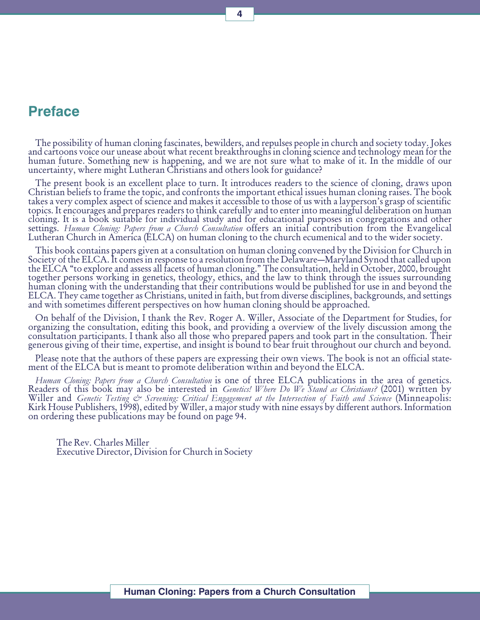## Preface

The possibility of human cloning fascinates, bewilders, and repulses people in church and society today. Jokes and cartoons voice our unease about what recent breakthroughs in cloning science and technology mean for the human future. Something new is happening, and we are not sure what to make of it. In the middle of our uncertainty, where might Lutheran Christians and others look for guidance?

The present book is an excellent place to turn. It introduces readers to the science of cloning, draws upon Christian beliefs to frame the topic, and confronts the important ethical issues human cloning raises. The book takes a very complex aspect of science and makes it accessible to those of us with a layperson's grasp of scientific topics. It encourages and prepares readers to think carefully and to enter into meaningful deliberation on human cloning. It is a book suitable for individual study and for educational purposes in congregations and other settings. Human Cloning: Papers from a Church Consultation offers an initial contribution from the Evangelical<br>Lutheran Church in America (ELCA) on human cloning to the church ecumenical and to the wider society.

This book contains papers given at a consultation on human cloning convened by the Division for Church in Society of the ELCA. It comes in response to a resolution from the Delaware—Maryland Synod that called upon the ELCA "to explore and assess all facets of human cloning." The consultation, held in October, 2000, brought together persons working in genetics, theology, ethics, and the law to think through the issues surrounding human cloning with the understanding that their contributions would be published for use in and beyond the ELCA. They came together as Christians, united in faith, but from diverse disciplines, backgrounds, and settings and with sometimes different perspectives on how human cloning should be approached.

On behalf of the Division, I thank the Rev. Roger A. Willer, Associate of the Department for Studies, for organizing the consultation, editing this book, and providing a overview of the lively discussion among the consultation participants. I thank also all those who prepared papers and took part in the consultation. Their generous giving of their time, expertise, and insight is bound to bear fruit throughout our church and beyond.

Please note that the authors of these papers are expressing their own views. The book is not an official statement of the ELCA but is meant to promote deliberation within and beyond the ELCA.

Human Cloning: Papers from a Church Consultation is one of three ELCA publications in the area of genetics.<br>Readers of this book may also be interested in *Genetics! Where Do We Stand as Christians?* (2001) written by<br>Will on ordering these publications may be found on page 94.

The Rev. Charles Miller Executive Director, Division for Church in Society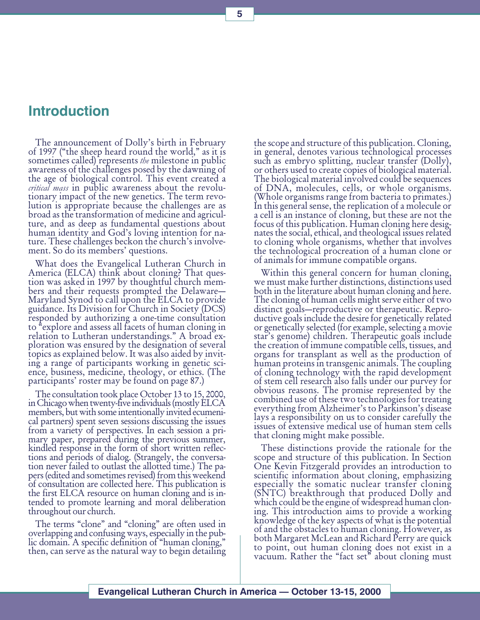## Introduction

The announcement of Dolly's birth in February of 1997 ("the sheep heard round the world," as it is sometimes called) represents the milestone in public awareness of the challenges posed by the dawning of the age of biological control. This event created a *critical mass* in public awareness about the revolutionary impact of the new genetics. The term revolution is appropriate because the challenges are as broad as the transformation of medicine and agriculture, and as deep as fundamental questions about human identity and God's loving intention for nature. These challenges beckon the church's involvement. So do its members' questions.

What does the Evangelical Lutheran Church in America (ELCA) think about cloning? That question was asked in 1997 by thoughtful church members and their requests prompted the Delaware Maryland Synod to call upon the ELCA to provide guidance. Its Division for Church in Society (DCS) responded by authorizing a one-time consultation to "explore and assess all facets of human cloning in relation to Lutheran understandings." A broad exploration was ensured by the designation of several topics as explained below. It was also aided by inviting a range of participants working in genetic science, business, medicine, theology, or ethics. (The participants' roster may be found on page 87.)

The consultation took place October 13 to 15, 2000, in Chicago when twenty-five individuals (mostly ELCA members, but with some intentionally invited ecumenical partners) spent seven sessions discussing the issues from a variety of perspectives. In each session a primary paper, prepared during the previous summer, kindled response in the form of short written reflections and periods of dialog. (Strangely, the conversation never failed to outlast the allotted time.) The papers (edited and sometimes revised) from this weekend of consultation are collected here. This publication is the first ELCA resource on human cloning and is intended to promote learning and moral deliberation throughout our church.

The terms "clone" and "cloning" are often used in overlapping and confusing ways, especially in the public domain. A specific definition of "human cloning," then, can serve as the natural way to begin detailing

the scope and structure of this publication. Cloning, in general, denotes various technological processes such as embryo splitting, nuclear transfer (Dolly), or others used to create copies of biological material. The biological material involved could be sequences of DNA, molecules, cells, or whole organisms. (Whole organisms range from bacteria to primates.) In this general sense, the replication of a molecule or a cell is an instance of cloning, but these are not the focus of this publication. Human cloning here designates the social, ethical, and theological issues related to cloning whole organisms, whether that involves the technological procreation of a human clone or of animals for immune compatible organs.

Within this general concern for human cloning, we must make further distinctions, distinctions used both in the literature about human cloning and here. The cloning of human cells might serve either of two distinct goals—reproductive or therapeutic. Reproductive goals include the desire for genetically related or genetically selected (for example, selecting a movie star's genome) children. Therapeutic goals include the creation of immune compatible cells, tissues, and organs for transplant as well as the production of human proteins in transgenic animals. The coupling of cloning technology with the rapid development of stem cell research also falls under our purvey for obvious reasons. The promise represented by the combined use of these two technologies for treating everything from Alzheimer's to Parkinson's disease lays a responsibility on us to consider carefully the issues of extensive medical use of human stem cells that cloning might make possible.

These distinctions provide the rationale for the scope and structure of this publication. In Section One Kevin Fitzgerald provides an introduction to scientific information about cloning, emphasizing especially the somatic nuclear transfer cloning (SNTC) breakthrough that produced Dolly and which could be the engine of widespread human cloning. This introduction aims to provide a working knowledge of the key aspects of what is the potential of and the obstacles to human cloning. However, as both Margaret McLean and Richard Perry are quick to point, out human cloning does not exist in a vacuum. Rather the "fact set" about cloning must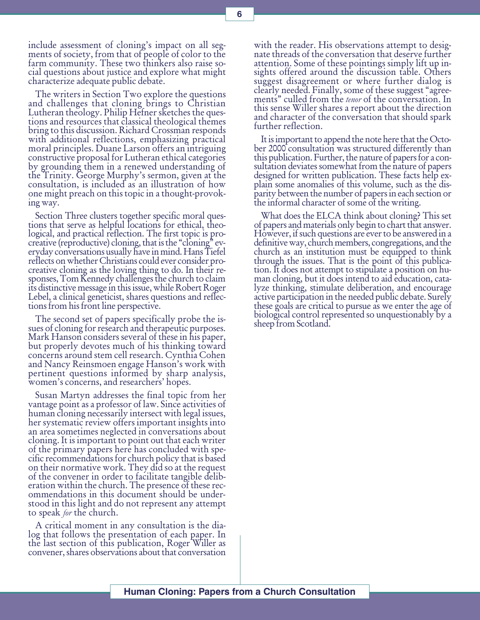include assessment of cloning's impact on all segments of society, from that of people of color to the farm community. These two thinkers also raise social questions about justice and explore what might characterize adequate public debate.

The writers in Section Two explore the questions and challenges that cloning brings to Christian Lutheran theology. Philip Hefner sketches the questions and resources that classical theological themes bring to this discussion. Richard Crossman responds with additional reflections, emphasizing practical moral principles. Duane Larson offers an intriguing constructive proposal for Lutheran ethical categories by grounding them in a renewed understanding of the Trinity. George Murphy's sermon, given at the consultation, is included as an illustration of how one might preach on this topic in a thought-provoking way.

Section Three clusters together specific moral questions that serve as helpful locations for ethical, theological, and practical reflection. The first topic is procreative (reproductive) cloning, that is the "cloning" everyday conversations usually have in mind. Hans Tiefel reflects on whether Christians could ever consider procreative cloning as the loving thing to do. In their responses, Tom Kennedy challenges the church to claim its distinctive message in this issue, while Robert Roger Lebel, a clinical geneticist, shares questions and reflections from his front line perspective.

The second set of papers specifically probe the issues of cloning for research and therapeutic purposes. Mark Hanson considers several of these in his paper, but properly devotes much of his thinking toward concerns around stem cell research. Cynthia Cohen and Nancy Reinsmoen engage Hanson's work with pertinent questions informed by sharp analysis, women's concerns, and researchers' hopes.

Susan Martyn addresses the final topic from her vantage point as a professor of law. Since activities of human cloning necessarily intersect with legal issues, her systematic review offers important insights into an area sometimes neglected in conversations about cloning. It is important to point out that each writer of the primary papers here has concluded with specific recommendations for church policy that is based on their normative work. They did so at the request of the convener in order to facilitate tangible deliberation within the church. The presence of these recommendations in this document should be understood in this light and do not represent any attempt to speak for the church.

A critical moment in any consultation is the dialog that follows the presentation of each paper. In the last section of this publication, Roger Willer as convener, shares observations about that conversation

with the reader. His observations attempt to designate threads of the conversation that deserve further attention. Some of these pointings simply lift up insights offered around the discussion table. Others suggest disagreement or where further dialog is clearly needed. Finally, some of these suggest "agreements" culled from the *tenor* of the conversation. In this sense Willer shares a report about the direction and character of the conversation that should spark further reflection.

It is important to append the note here that the October 2000 consultation was structured differently than this publication. Further, the nature of papers for a consultation deviates somewhat from the nature of papers designed for written publication. These facts help explain some anomalies of this volume, such as the disparity between the number of papers in each section or the informal character of some of the writing.

What does the ELCA think about cloning? This set of papers and materials only begin to chart that answer. However, if such questions are ever to be answered in a definitive way, church members, congregations, and the church as an institution must be equipped to think through the issues. That is the point of this publication. It does not attempt to stipulate a position on human cloning, but it does intend to aid education, catalyze thinking, stimulate deliberation, and encourage active participation in the needed public debate. Surely these goals are critical to pursue as we enter the age of biological control represented so unquestionably by a sheep from Scotland.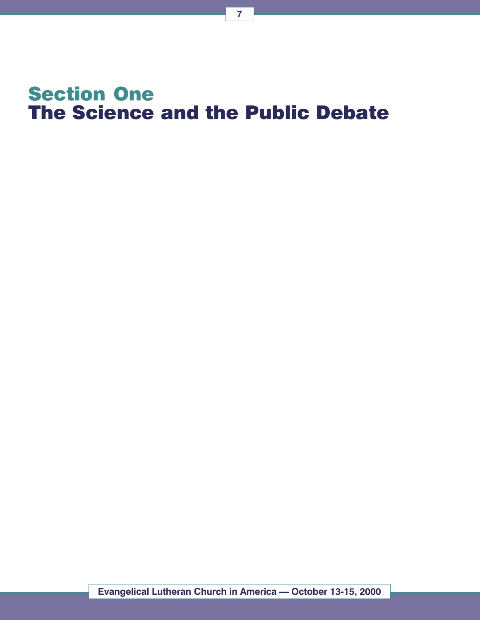# Section One The Science and the Public Debate

7

Evangelical Lutheran Church in America - October 13-15, 2000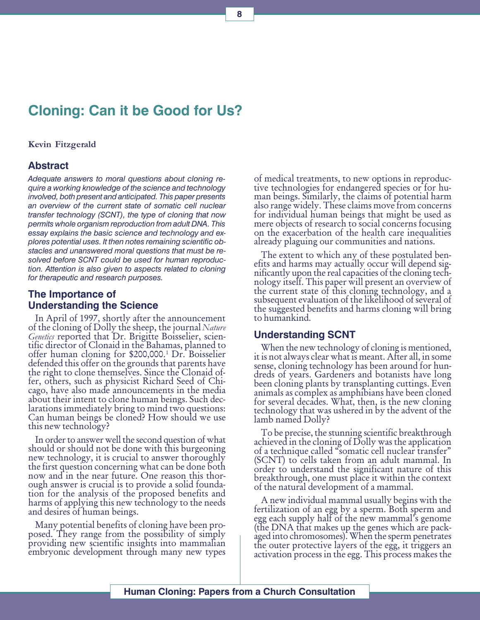## Cloning: Can it be Good for Us?

#### Kevin Fitzgerald

#### Abstract

Adequate answers to moral questions about cloning require a working knowledge of the science and technology involved, both present and anticipated. This paper presents an overview of the current state of somatic cell nuclear transfer technology (SCNT), the type of cloning that now permits whole organism reproduction from adult DNA. This essay explains the basic science and technology and explores potential uses. It then notes remaining scientific obstacles and unanswered moral questions that must be resolved before SCNT could be used for human reproduction. Attention is also given to aspects related to cloning for therapeutic and research purposes.

#### The Importance of Understanding the Science

In April of 1997, shortly after the announcement of the cloning of Dolly the sheep, the journal Nature Genetics reported that Dr. Brigitte Boisselier, scien-<br>tific director of Clonaid in the Bahamas, planned to offer human cloning for \$200,000.1 Dr. Boisselier defended this offer on the grounds that parents have the right to clone themselves. Since the Clonaid offer, others, such as physicist Richard Seed of Chicago, have also made announcements in the media about their intent to clone human beings. Such declarations immediately bring to mind two questions: Can human beings be cloned? How should we use this new technology?

In order to answer well the second question of what should or should not be done with this burgeoning new technology, it is crucial to answer thoroughly the first question concerning what can be done both now and in the near future. One reason this thorough answer is crucial is to provide a solid foundation for the analysis of the proposed benefits and harms of applying this new technology to the needs and desires of human beings.

Many potential benefits of cloning have been proposed. They range from the possibility of simply providing new scientific insights into mammalian embryonic development through many new types of medical treatments, to new options in reproductive technologies for endangered species or for human beings. Similarly, the claims of potential harm also range widely. These claims move from concerns for individual human beings that might be used as mere objects of research to social concerns focusing on the exacerbation of the health care inequalities already plaguing our communities and nations.

The extent to which any of these postulated benefits and harms may actually occur will depend significantly upon the real capacities of the cloning technology itself. This paper will present an overview of the current state of this cloning technology, and a subsequent evaluation of the likelihood of several of the suggested benefits and harms cloning will bring to humankind.

#### Understanding SCNT

When the new technology of cloning is mentioned, it is not always clear what is meant. After all, in some sense, cloning technology has been around for hundreds of years. Gardeners and botanists have long been cloning plants by transplanting cuttings. Even animals as complex as amphibians have been cloned for several decades. What, then, is the new cloning technology that was ushered in by the advent of the lamb named Dolly?

To be precise, the stunning scientific breakthrough achieved in the cloning of Dolly was the application of a technique called "somatic cell nuclear transfer" (SCNT) to cells taken from an adult mammal. In order to understand the significant nature of this breakthrough, one must place it within the context of the natural development of a mammal.

A new individual mammal usually begins with the fertilization of an egg by a sperm. Both sperm and egg each supply half of the new mammal's genome (the DNA that makes up the genes which are packaged into chromosomes). When the sperm penetrates the outer protective layers of the egg, it triggers an activation process in the egg. This process makes the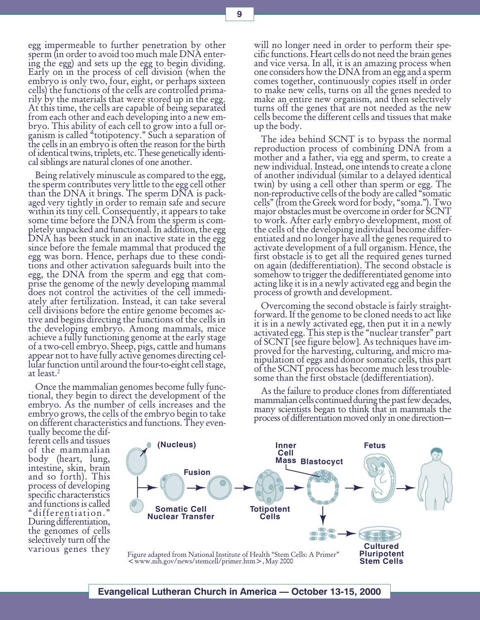9

egg impermeable to further penetration by other sperm (in order to avoid too much male DNA entering the egg) and sets up the egg to begin dividing. Early on in the process of cell division (when the embryo is only two, four, eight, or perhaps sixteen cells) the functions of the cells are controlled primarily by the materials that were stored up in the egg. At this time, the cells are capable of being separated from each other and each developing into a new embryo. This ability of each cell to grow into a full organism is called "totipotency." Such a separation of the cells in an embryo is often the reason for the birth of identical twins, triplets, etc. These genetically identical siblings are natural clones of one another.

Being relatively minuscule as compared to the egg, the sperm contributes very little to the egg cell other than the DNA it brings. The sperm DNA is packaged very tightly in order to remain safe and secure within its tiny cell. Consequently, it appears to take some time before the DNA from the sperm is completely unpacked and functional. In addition, the egg DNA has been stuck in an inactive state in the egg since before the female mammal that produced the egg was born. Hence, perhaps due to these conditions and other activation safeguards built into the egg, the DNA from the sperm and egg that comprise the genome of the newly developing mammal does not control the activities of the cell immediately after fertilization. Instead, it can take several cell divisions before the entire genome becomes active and begins directing the functions of the cells in the developing embryo. Among mammals, mice achieve a fully functioning genome at the early stage of a two-cell embryo. Sheep, pigs, cattle and humans appear not to have fully active genomes directing cellular function until around the four-to-eight cell stage, at least.2

Once the mammalian genomes become fully functional, they begin to direct the development of the embryo. As the number of cells increases and the embryo grows, the cells of the embryo begin to take on different characteristics and functions. They evenwill no longer need in order to perform their specific functions. Heart cells do not need the brain genes and vice versa. In all, it is an amazing process when one considers how the DNA from an egg and a sperm comes together, continuously copies itself in order to make new cells, turns on all the genes needed to make an entire new organism, and then selectively turns off the genes that are not needed as the new cells become the different cells and tissues that make up the body.

The idea behind SCNT is to bypass the normal reproduction process of combining DNA from a mother and a father, via egg and sperm, to create a new individual. Instead, one intends to create a clone of another individual (similar to a delayed identical twin) by using a cell other than sperm or egg. The non-reproductive cells of the body are called "somatic" cells" (from the Greek word for body, "soma."). Two major obstacles must be overcome in order for SCNT to work. After early embryo development, most of the cells of the developing individual become differentiated and no longer have all the genes required to activate development of a full organism. Hence, the first obstacle is to get all the required genes turned on again (dedifferentiation). The second obstacle is somehow to trigger the dedifferentiated genome into acting like it is in a newly activated egg and begin the process of growth and development.

Overcoming the second obstacle is fairly straightforward. If the genome to be cloned needs to act like it is in a newly activated egg, then put it in a newly activated egg. This step is the "nuclear transfer" part of SCNT [see figure below]. As techniques have improved for the harvesting, culturing, and micro manipulation of eggs and donor somatic cells, this part of the SCNT process has become much less troublesome than the first obstacle (dedifferentiation).

As the failure to produce clones from differentiated mammalian cells continued during the past few decades, many scientists began to think that in mammals the process of differentiation moved only in one direction

tually become the different cells and tissues of the mammalian body (heart, lung, intestine, skin, brain and so forth). This process of developing specific characteristics and functions is called differentiation. During differentiation, the genomes of cells selectively turn off the various genes they

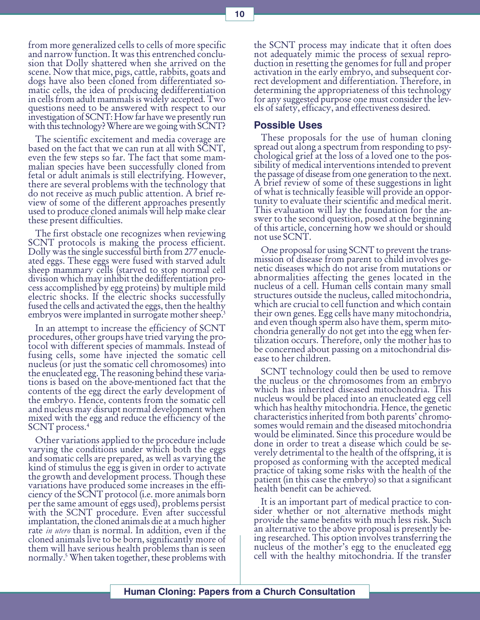from more generalized cells to cells of more specific and narrow function. It was this entrenched conclusion that Dolly shattered when she arrived on the scene. Now that mice, pigs, cattle, rabbits, goats and dogs have also been cloned from differentiated somatic cells, the idea of producing dedifferentiation in cells from adult mammals is widely accepted. Two questions need to be answered with respect to our investigation of SCNT: How far have we presently run with this technology? Where are we going with SCNT?

The scientific excitement and media coverage are based on the fact that we can run at all with SCNT, even the few steps so far. The fact that some mammalian species have been successfully cloned from fetal or adult animals is still electrifying. However, there are several problems with the technology that do not receive as much public attention. A brief review of some of the different approaches presently used to produce cloned animals will help make clear these present difficulties.

The first obstacle one recognizes when reviewing SCNT protocols is making the process efficient. Dolly was the single successful birth from 277 enucleated eggs. These eggs were fused with starved adult sheep mammary cells (starved to stop normal cell division which may inhibit the dedifferentiation process accomplished by egg proteins) by multiple mild electric shocks. If the electric shocks successfully fused the cells and activated the eggs, then the healthy embryos were implanted in surrogate mother sheep.<sup>3</sup>

In an attempt to increase the efficiency of SCNT procedures, other groups have tried varying the protocol with different species of mammals. Instead of fusing cells, some have injected the somatic cell nucleus (or just the somatic cell chromosomes) into the enucleated egg. The reasoning behind these variations is based on the above-mentioned fact that the contents of the egg direct the early development of the embryo. Hence, contents from the somatic cell and nucleus may disrupt normal development when mixed with the egg and reduce the efficiency of the SCNT process.<sup>4</sup>

Other variations applied to the procedure include varying the conditions under which both the eggs and somatic cells are prepared, as well as varying the kind of stimulus the egg is given in order to activate the growth and development process. Though these variations have produced some increases in the efficiency of the SCNT protocol (i.e. more animals born per the same amount of eggs used), problems persist with the SCNT procedure. Even after successful implantation, the cloned animals die at a much higher rate *in utero* than is normal. In addition, even if the cloned animals live to be born, significantly more of them will have serious health problems than is seen normally.5 When taken together, these problems with

the SCNT process may indicate that it often does not adequately mimic the process of sexual reproduction in resetting the genomes for full and proper activation in the early embryo, and subsequent correct development and differentiation. Therefore, in determining the appropriateness of this technology for any suggested purpose one must consider the levels of safety, efficacy, and effectiveness desired.

#### Possible Uses

These proposals for the use of human cloning spread out along a spectrum from responding to psychological grief at the loss of a loved one to the possibility of medical interventions intended to prevent the passage of disease from one generation to the next. A brief review of some of these suggestions in light of what is technically feasible will provide an opportunity to evaluate their scientific and medical merit. This evaluation will lay the foundation for the answer to the second question, posed at the beginning of this article, concerning how we should or should not use SCNT.

One proposal for using SCNT to prevent the transmission of disease from parent to child involves genetic diseases which do not arise from mutations or abnormalities affecting the genes located in the nucleus of a cell. Human cells contain many small structures outside the nucleus, called mitochondria, which are crucial to cell function and which contain their own genes. Egg cells have many mitochondria, and even though sperm also have them, sperm mitochondria generally do not get into the egg when fertilization occurs. Therefore, only the mother has to be concerned about passing on a mitochondrial disease to her children.

SCNT technology could then be used to remove the nucleus or the chromosomes from an embryo which has inherited diseased mitochondria. This nucleus would be placed into an enucleated egg cell which has healthy mitochondria. Hence, the genetic characteristics inherited from both parents' chromosomes would remain and the diseased mitochondria would be eliminated. Since this procedure would be done in order to treat a disease which could be severely detrimental to the health of the offspring, it is proposed as conforming with the accepted medical practice of taking some risks with the health of the patient (in this case the embryo) so that a significant health benefit can be achieved.

It is an important part of medical practice to consider whether or not alternative methods might provide the same benefits with much less risk. Such an alternative to the above proposal is presently being researched. This option involves transferring the nucleus of the mother's egg to the enucleated egg cell with the healthy mitochondria. If the transfer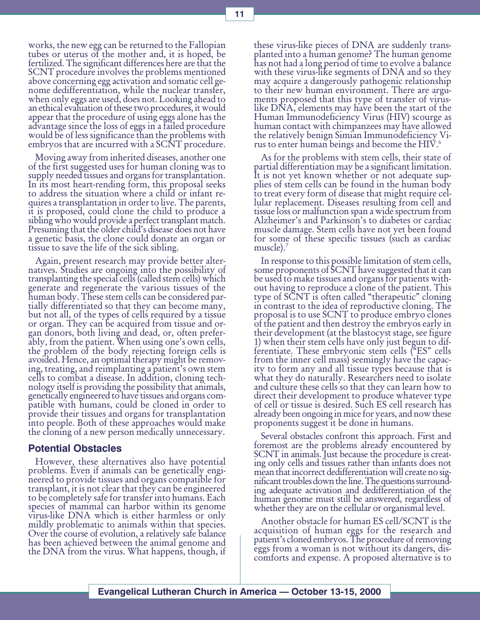works, the new egg can be returned to the Fallopian tubes or uterus of the mother and, it is hoped, be fertilized. The significant differences here are that the SCNT procedure involves the problems mentioned above concerning egg activation and somatic cell genome dedifferentiation, while the nuclear transfer, when only eggs are used, does not. Looking ahead to an ethical evaluation of these two procedures, it would appear that the procedure of using eggs alone has the advantage since the loss of eggs in a failed procedure would be of less significance than the problems with embryos that are incurred with a SCNT procedure.

Moving away from inherited diseases, another one of the first suggested uses for human cloning was to supply needed tissues and organs for transplantation. In its most heart-rending form, this proposal seeks to address the situation where a child or infant requires a transplantation in order to live. The parents, it is proposed, could clone the child to produce a sibling who would provide a perfect transplant match. Presuming that the older child's disease does not have a genetic basis, the clone could donate an organ or tissue to save the life of the sick sibling.

Again, present research may provide better alternatives. Studies are ongoing into the possibility of transplanting the special cells (called stem cells) which generate and regenerate the various tissues of the human body. These stem cells can be considered partially differentiated so that they can become many, but not all, of the types of cells required by a tissue or organ. They can be acquired from tissue and organ donors, both living and dead, or, often preferably, from the patient. When using one's own cells, the problem of the body rejecting foreign cells is avoided. Hence, an optimal therapy might be removing, treating, and reimplanting a patient's own stem cells to combat a disease. In addition, cloning technology itself is providing the possibility that animals, genetically engineered to have tissues and organs compatible with humans, could be cloned in order to provide their tissues and organs for transplantation into people. Both of these approaches would make the cloning of a new person medically unnecessary.

#### Potential Obstacles

However, these alternatives also have potential problems. Even if animals can be genetically engineered to provide tissues and organs compatible for transplant, it is not clear that they can be engineered to be completely safe for transfer into humans. Each species of mammal can harbor within its genome virus-like DNA which is either harmless or only mildly problematic to animals within that species. Over the course of evolution, a relatively safe balance has been achieved between the animal genome and the DNA from the virus. What happens, though, if

these virus-like pieces of DNA are suddenly transplanted into a human genome? The human genome has not had a long period of time to evolve a balance with these virus-like segments of DNA and so they may acquire a dangerously pathogenic relationship to their new human environment. There are arguments proposed that this type of transfer of viruslike DNA, elements may have been the start of the Human Immunodeficiency Virus (HIV) scourge as human contact with chimpanzees may have allowed the relatively benign Simian Immunodeficiency Virus to enter human beings and become the HIV.<sup>6</sup>

As for the problems with stem cells, their state of partial differentiation may be a significant limitation. It is not yet known whether or not adequate supplies of stem cells can be found in the human body to treat every form of disease that might require cellular replacement. Diseases resulting from cell and tissue loss or malfunction span a wide spectrum from Alzheimer's and Parkinson's to diabetes or cardiac muscle damage. Stem cells have not yet been found for some of these specific tissues (such as cardiac muscle).

In response to this possible limitation of stem cells, some proponents of SCNT have suggested that it can be used to make tissues and organs for patients without having to reproduce a clone of the patient. This type of SCNT is often called "therapeutic" cloning in contrast to the idea of reproductive cloning. The proposal is to use SCNT to produce embryo clones of the patient and then destroy the embryos early in their development (at the blastocyst stage, see figure 1) when their stem cells have only just begun to differentiate. These embryonic stem cells  $($ <sup> $^{\alpha}$ ES $^{\alpha}$  cells</sup> from the inner cell mass) seemingly have the capacity to form any and all tissue types because that is what they do naturally. Researchers need to isolate and culture these cells so that they can learn how to direct their development to produce whatever type of cell or tissue is desired. Such ES cell research has already been ongoing in mice for years, and now these proponents suggest it be done in humans.

Several obstacles confront this approach. First and foremost are the problems already encountered by SCNT in animals. Just because the procedure is creating only cells and tissues rather than infants does not mean that incorrect dedifferentiation will create no significant troubles down the line. The questions surrounding adequate activation and dedifferentiation of the human genome must still be answered, regardless of whether they are on the cellular or organismal level.

Another obstacle for human ES cell/SCNT is the acquisition of human eggs for the research and patient's cloned embryos. The procedure of removing eggs from a woman is not without its dangers, discomforts and expense. A proposed alternative is to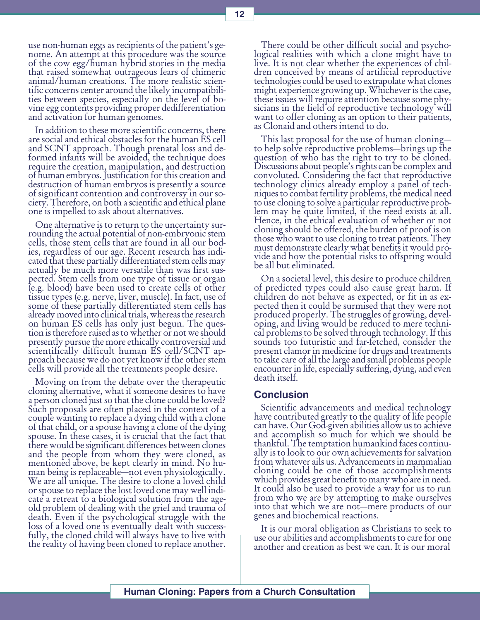use non-human eggs as recipients of the patient's genome. An attempt at this procedure was the source of the cow egg/human hybrid stories in the media that raised somewhat outrageous fears of chimeric animal/human creations. The more realistic scientific concerns center around the likely incompatibilities between species, especially on the level of bovine egg contents providing proper dedifferentiation and activation for human genomes.

In addition to these more scientific concerns, there are social and ethical obstacles for the human ES cell and SCNT approach. Though prenatal loss and deformed infants will be avoided, the technique does require the creation, manipulation, and destruction of human embryos. Justification for this creation and destruction of human embryos is presently a source of significant contention and controversy in our society. Therefore, on both a scientific and ethical plane one is impelled to ask about alternatives.

One alternative is to return to the uncertainty surrounding the actual potential of non-embryonic stem cells, those stem cells that are found in all our bodies, regardless of our age. Recent research has indicated that these partially differentiated stem cells may actually be much more versatile than was first suspected. Stem cells from one type of tissue or organ (e.g. blood) have been used to create cells of other tissue types (e.g. nerve, liver, muscle). In fact, use of some of these partially differentiated stem cells has already moved into clinical trials, whereas the research on human ES cells has only just begun. The question is therefore raised as to whether or not we should presently pursue the more ethically controversial and scientifically difficult human ES cell/SCNT approach because we do not yet know if the other stem cells will provide all the treatments people desire.

Moving on from the debate over the therapeutic cloning alternative, what if someone desires to have a person cloned just so that the clone could be loved? Such proposals are often placed in the context of a couple wanting to replace a dying child with a clone of that child, or a spouse having a clone of the dying spouse. In these cases, it is crucial that the fact that there would be significant differences between clones and the people from whom they were cloned, as mentioned above, be kept clearly in mind. No human being is replaceable—not even physiologically. We are all unique. The desire to clone a loved child or spouse to replace the lost loved one may well indicate a retreat to a biological solution from the ageold problem of dealing with the grief and trauma of death. Even if the psychological struggle with the loss of a loved one is eventually dealt with successfully, the cloned child will always have to live with the reality of having been cloned to replace another.

There could be other difficult social and psychological realities with which a clone might have to live. It is not clear whether the experiences of children conceived by means of artificial reproductive technologies could be used to extrapolate what clones might experience growing up. Whichever is the case, these issues will require attention because some physicians in the field of reproductive technology will want to offer cloning as an option to their patients, as Clonaid and others intend to do.

This last proposal for the use of human cloning to help solve reproductive problems—brings up the question of who has the right to try to be cloned. Discussions about people's rights can be complex and convoluted. Considering the fact that reproductive technology clinics already employ a panel of techniques to combat fertility problems, the medical need to use cloning to solve a particular reproductive problem may be quite limited, if the need exists at all. Hence, in the ethical evaluation of whether or not cloning should be offered, the burden of proof is on those who want to use cloning to treat patients. They must demonstrate clearly what benefits it would provide and how the potential risks to offspring would be all but eliminated.

On a societal level, this desire to produce children of predicted types could also cause great harm. If children do not behave as expected, or fit in as expected then it could be surmised that they were not produced properly. The struggles of growing, developing, and living would be reduced to mere technical problems to be solved through technology. If this sounds too futuristic and far-fetched, consider the present clamor in medicine for drugs and treatments to take care of all the large and small problems people encounter in life, especially suffering, dying, and even death itself.

#### Conclusion

Scientific advancements and medical technology have contributed greatly to the quality of life people can have. Our God-given abilities allow us to achieve and accomplish so much for which we should be thankful. The temptation humankind faces continually is to look to our own achievements for salvation from whatever ails us. Advancements in mammalian cloning could be one of those accomplishments which provides great benefit to many who are in need. It could also be used to provide a way for us to run from who we are by attempting to make ourselves into that which we are not—mere products of our genes and biochemical reactions.

It is our moral obligation as Christians to seek to use our abilities and accomplishments to care for one another and creation as best we can. It is our moral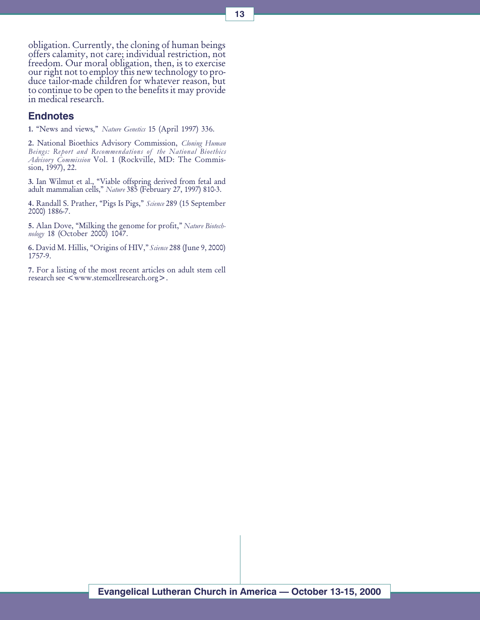obligation. Currently, the cloning of human beings offers calamity, not care; individual restriction, not freedom. Our moral obligation, then, is to exercise our right not to employ this new technology to produce tailor-made children for whatever reason, but to continue to be open to the benefits it may provide in medical research.

#### **Endnotes**

1. "News and views," Nature Genetics 15 (April 1997) 336.

2. National Bioethics Advisory Commission, Cloning Human Beings: Report and Recommendations of the National Bioethics Advisory Commission Vol. 1 (Rockville, MD: The Commission, 1997), 22.

3. Ian Wilmut et al., Viable offspring derived from fetal and adult mammalian cells," *Nature* 385 (February 27, 1997) 810-3.

4. Randall S. Prather, "Pigs Is Pigs," Science 289 (15 September 2000) 1886-7.

5. Alan Dove, "Milking the genome for profit," Nature Biotechnology 18 (October 2000) 1047.

6. David M. Hillis, "Origins of HIV," Science 288 (June 9, 2000) 1757-9.

7. For a listing of the most recent articles on adult stem cell research see  $\leq$  www.stemcellresearch.org  $\geq$ .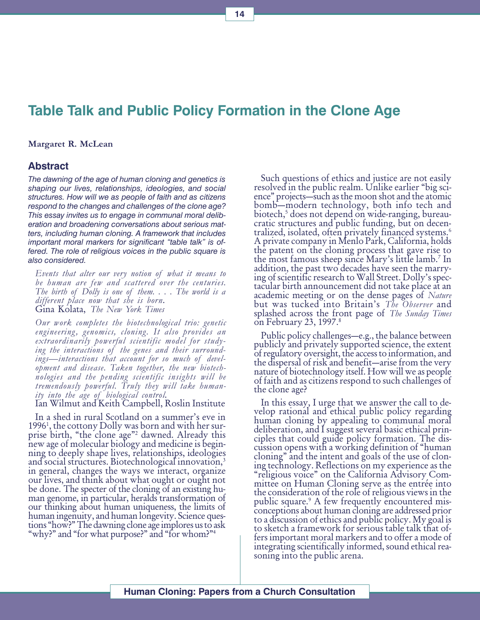## Table Talk and Public Policy Formation in the Clone Age

#### Margaret R. McLean

#### Abstract

The dawning of the age of human cloning and genetics is shaping our lives, relationships, ideologies, and social structures. How will we as people of faith and as citizens respond to the changes and challenges of the clone age? This essay invites us to engage in communal moral deliberation and broadening conversations about serious matters, including human cloning. A framework that includes important moral markers for significant "table talk" is offered. The role of religious voices in the public square is also considered.

Events that alter our very notion of what it means to be human are few and scattered over the centuries. The birth of Dolly is one of them. . . . The world is a different place now that she is born. Gina Kolata, The New York Times

Our work completes the biotechnological trio: genetic engineering, genomics, cloning. It also provides an extraordinarily powerful scientific model for studying the interactions of the genes and their surroundings—interactions that account for so much of development and disease. Taken together, the new biotechnologies and the pending scientific insights will be tremendously powerful. Truly they will take human-<br>ity into the age of biological control.

Ian Wilmut and Keith Campbell, Roslin Institute

In a shed in rural Scotland on a summer's eve in 1996<sup>1</sup>, the cottony Dolly was born and with her surprise birth, "the clone age"<sup>2</sup> dawned. Already this new age of molecular biology and medicine is beginning to deeply shape lives, relationships, ideologies and social structures. Biotechnological innovation,<sup>3</sup> in general, changes the ways we interact, organize our lives, and think about what ought or ought not<br>be done. The specter of the cloning of an existing human genome, in particular, heralds transformation of our thinking about human uniqueness, the limits of human ingenuity, and human longevity. Science questions "how?" The dawning clone age implores us to ask "why?" and "for what purpose?" and "for whom?"<sup>4</sup>

Such questions of ethics and justice are not easily resolved in the public realm. Unlike earlier "big science" projects—such as the moon shot and the atomic bomb—modern technology, both info tech and biotech,<sup>5</sup> does not depend on wide-ranging, bureau-<br>cratic structures and public funding, but on decentralized, isolated, often privately financed systems.6 A private company in Menlo Park, California, holds the patent on the cloning process that gave rise to the most famous sheep since Mary's little lamb.<sup>7</sup> In addition, the past two decades have seen the marrying of scientific research to Wall Street. Dolly's spectacular birth announcement did not take place at an academic meeting or on the dense pages of Nature but was tucked into Britain's The Observer and splashed across the front page of *The Sunday Times* on February 23, 1997.<sup>8</sup>

Public policy challenges—e.g., the balance between publicly and privately supported science, the extent of regulatory oversight, the access to information, and the dispersal of risk and benefit—arise from the very nature of biotechnology itself. How will we as people of faith and as citizens respond to such challenges of the clone age?

In this essay, I urge that we answer the call to develop rational and ethical public policy regarding human cloning by appealing to communal moral deliberation, and I suggest several basic ethical principles that could guide policy formation. The discussion opens with a working definition of "human" cloning" and the intent and goals of the use of cloning technology. Reflections on my experience as the "religious voice" on the California Advisory Committee on Human Cloning serve as the entrée into the consideration of the role of religious views in the public square.<sup>9</sup> A few frequently encountered misconceptions about human cloning are addressed prior to a discussion of ethics and public policy. My goal is to sketch a framework for serious table talk that offers important moral markers and to offer a mode of integrating scientifically informed, sound ethical reasoning into the public arena.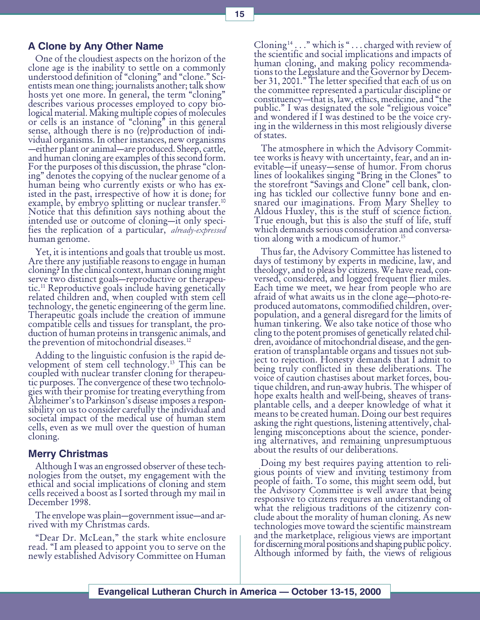#### A Clone by Any Other Name

One of the cloudiest aspects on the horizon of the clone age is the inability to settle on a commonly understood definition of "cloning" and "clone." Scientists mean one thing; journalists another; talk show hosts yet one more. In general, the term "cloning" describes various processes employed to copy biological material. Making multiple copies of molecules or cells is an instance of "cloning" in this general sense, although there is no (re)production of individual organisms. In other instances, new organisms —either plant or animal—are produced. Sheep, cattle, and human cloning are examples of this second form. For the purposes of this discussion, the phrase "cloning" denotes the copying of the nuclear genome of a human being who currently exists or who has existed in the past, irrespective of how it is done; for example, by embryo splitting or nuclear transfer.<sup>10</sup> Notice that this definition says nothing about the intended use or outcome of cloning—it only specifies the replication of a particular, *already-expressed* human genome.

Yet, it is intentions and goals that trouble us most. Are there any justifiable reasons to engage in human cloning? In the clinical context, human cloning might serve two distinct goals—reproductive or therapeutic.11 Reproductive goals include having genetically related children and, when coupled with stem cell technology, the genetic engineering of the germ line. Therapeutic goals include the creation of immune compatible cells and tissues for transplant, the production of human proteins in transgenic animals, and the prevention of mitochondrial diseases.<sup>12</sup>

Adding to the linguistic confusion is the rapid development of stem cell technology.13 This can be coupled with nuclear transfer cloning for therapeutic purposes. The convergence of these two technologies with their promise for treating everything from Alzheimer's to Parkinson's disease imposes a responsibility on us to consider carefully the individual and societal impact of the medical use of human stem cells, even as we mull over the question of human cloning.

#### Merry Christmas

Although I was an engrossed observer of these technologies from the outset, my engagement with the ethical and social implications of cloning and stem cells received a boost as I sorted through my mail in December 1998.

The envelope was plain-government issue-and arrived with my Christmas cards.

"Dear Dr. McLean," the stark white enclosure read. "I am pleased to appoint you to serve on the newly established Advisory Committee on Human Cloning<sup>14</sup> . . . " which is " . . . charged with review of the scientific and social implications and impacts of human cloning, and making policy recommendations to the Legislature and the Governor by December 31, 2001. The letter specified that each of us on the committee represented a particular discipline or constituency—that is, law, ethics, medicine, and "the public." I was designated the sole "religious voice" and wondered if I was destined to be the voice crying in the wilderness in this most religiously diverse of states.

The atmosphere in which the Advisory Committee works is heavy with uncertainty, fear, and an inevitable—if uneasy—sense of humor. From chorus lines of lookalikes singing "Bring in the Clones" to the storefront "Savings and Clone" cell bank, cloning has tickled our collective funny bone and ensnared our imaginations. From Mary Shelley to Aldous Huxley, this is the stuff of science fiction. True enough, but this is also the stuff of life, stuff which demands serious consideration and conversation along with a modicum of humor.15

Thus far, the Advisory Committee has listened to days of testimony by experts in medicine, law, and theology, and to pleas by citizens. We have read, conversed, considered, and logged frequent flier miles. Each time we meet, we hear from people who are afraid of what awaits us in the clone age—photo-reproduced automatons, commodified children, overpopulation, and a general disregard for the limits of human tinkering. We also take notice of those who cling to the potent promises of genetically related children, avoidance of mitochondrial disease, and the generation of transplantable organs and tissues not subject to rejection. Honesty demands that I admit to being truly conflicted in these deliberations. The voice of caution chastises about market forces, boutique children, and run-away hubris. The whisper of hope exalts health and well-being, sheaves of transplantable cells, and a deeper knowledge of what it means to be created human. Doing our best requires asking the right questions, listening attentively, challenging misconceptions about the science, pondering alternatives, and remaining unpresumptuous about the results of our deliberations.

Doing my best requires paying attention to religious points of view and inviting testimony from people of faith. To some, this might seem odd, but the Advisory Committee is well aware that being responsive to citizens requires an understanding of what the religious traditions of the citizenry conclude about the morality of human cloning. As new technologies move toward the scientific mainstream and the marketplace, religious views are important for discerning moral positions and shaping public policy. Although informed by faith, the views of religious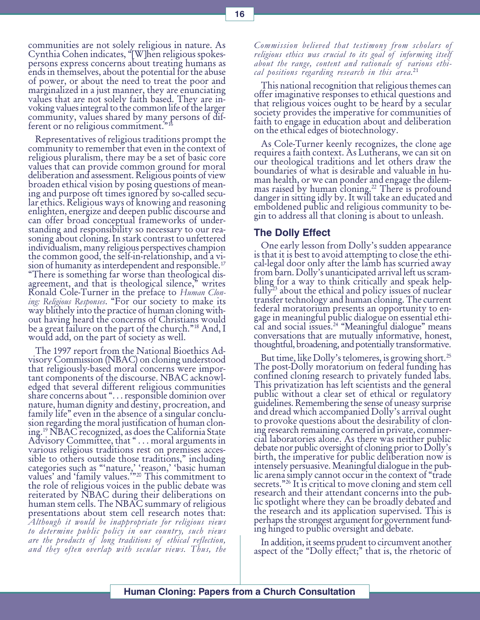communities are not solely religious in nature. As Cynthia Cohen indicates, "[W]hen religious spokespersons express concerns about treating humans as ends in themselves, about the potential for the abuse of power, or about the need to treat the poor and marginalized in a just manner, they are enunciating values that are not solely faith based. They are invoking values integral to the common life of the larger community, values shared by many persons of different or no religious commitment."<sup>16</sup>

Representatives of religious traditions prompt the community to remember that even in the context of religious pluralism, there may be a set of basic core values that can provide common ground for moral deliberation and assessment. Religious points of view broaden ethical vision by posing questions of meaning and purpose oft times ignored by so-called secular ethics. Religious ways of knowing and reasoning enlighten, energize and deepen public discourse and can offer broad conceptual frameworks of understanding and responsibility so necessary to our reasoning about cloning. In stark contrast to unfettered individualism, many religious perspectives champion the common good, the self-in-relationship, and a vision of humanity as interdependent and responsible.<sup>17</sup> There is something far worse than theological disagreement, and that is theological silence," writes Ronald Cole-Turner in the preface to Human Cloning: Religious Responses. "For our society to make its way blithely into the practice of human cloning without having heard the concerns of Christians would be a great failure on the part of the church." $18$  And, I would add, on the part of society as well.

The 1997 report from the National Bioethics Advisory Commission (NBAC) on cloning understood that religiously-based moral concerns were important components of the discourse. NBAC acknowledged that several different religious communities share concerns about "... responsible dominion over nature, human dignity and destiny, procreation, and family life" even in the absence of a singular conclusion regarding the moral justification of human cloning.<sup>19</sup> NBAC recognized, as does the California State Advisory Committee, that "... moral arguments in various religious traditions rest on premises accessible to others outside those traditions," including categories such as "'nature,' 'reason,' 'basic human values' and 'family values.'"<sup>20</sup> This commitment to the role of religious voices in the public debate was reiterated by NBAC during their deliberations on human stem cells. The NBAC summary of religious presentations about stem cell research notes that: Although it would be inappropriate for religious views to determine public policy in our country, such views are the products of long traditions of ethical reflection, and they often overlap with secular views. Thus, the

Commission believed that testimony from scholars of religious ethics was crucial to its goal of informing itself about the range, content and rationale of various ethical positions regarding research in this area.<sup>21</sup>

This national recognition that religious themes can offer imaginative responses to ethical questions and that religious voices ought to be heard by a secular society provides the imperative for communities of faith to engage in education about and deliberation on the ethical edges of biotechnology.

As Cole-Turner keenly recognizes, the clone age requires a faith context. As Lutherans, we can sit on our theological traditions and let others draw the boundaries of what is desirable and valuable in human health, or we can ponder and engage the dilemmas raised by human cloning.<sup>22</sup> There is profound danger in sitting idly by. It will take an educated and emboldened public and religious community to begin to address all that cloning is about to unleash.

#### The Dolly Effect

One early lesson from Dolly's sudden appearance is that it is best to avoid attempting to close the ethical-legal door only after the lamb has scurried away from barn. Dolly's unanticipated arrival left us scrambling for a way to think critically and speak helpfully<sup>23</sup> about the ethical and policy issues of nuclear transfer technology and human cloning. The current federal moratorium presents an opportunity to engage in meaningful public dialogue on essential ethical and social issues.<sup>24</sup> "Meaningful dialogue" means<br>conversations that are mutually informative, honest, thoughtful, broadening, and potentially transformative.

But time, like Dolly's telomeres, is growing short.<sup>25</sup> The post-Dolly moratorium on federal funding has confined cloning research to privately funded labs. This privatization has left scientists and the general public without a clear set of ethical or regulatory guidelines. Remembering the sense of uneasy surprise and dread which accompanied Dolly's arrival ought to provoke questions about the desirability of cloning research remaining cornered in private, commercial laboratories alone. As there was neither public debate nor public oversight of cloning prior to Dolly's birth, the imperative for public deliberation now is intensely persuasive. Meaningful dialogue in the public arena simply cannot occur in the context of "trade" secrets."<sup>26</sup> It is critical to move cloning and stem cell research and their attendant concerns into the public spotlight where they can be broadly debated and the research and its application supervised. This is perhaps the strongest argument for government funding hinged to public oversight and debate.

In addition, it seems prudent to circumvent another aspect of the "Dolly effect;" that is, the rhetoric of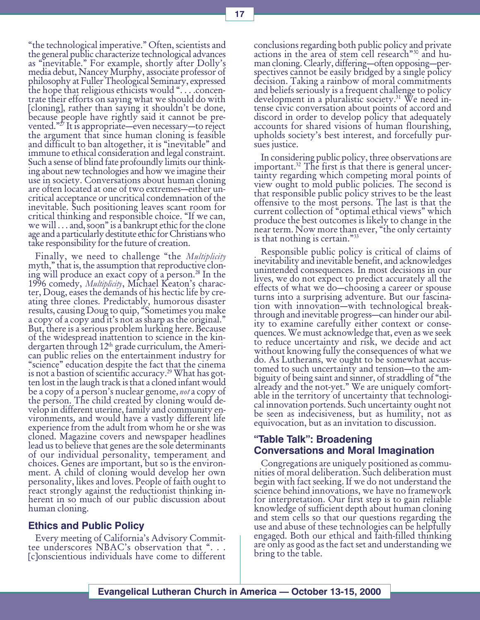the technological imperative. Often, scientists and the general public characterize technological advances as "inevitable." For example, shortly after Dolly's media debut, Nancey Murphy, associate professor of philosophy at Fuller Theological Seminary, expressed the hope that religious ethicists would ".... .concentrate their efforts on saying what we should do with [cloning], rather than saying it shouldn't be done, because people have rightly said it cannot be prevented."<sup>27</sup> It is appropriate—even necessary—to reject the argument that since human cloning is feasible and difficult to ban altogether, it is "inevitable" and immune to ethical consideration and legal constraint. Such a sense of blind fate profoundly limits our thinking about new technologies and how we imagine their use in society. Conversations about human cloning are often located at one of two extremes-either uncritical acceptance or uncritical condemnation of the inevitable. Such positioning leaves scant room for critical thinking and responsible choice. "If we can, we will  $\dots$  and, soon" is a bankrupt ethic for the clone age and a particularly destitute ethic for Christians who take responsibility for the future of creation.

Finally, we need to challenge "the *Multiplicity* myth," that is, the assumption that reproductive cloning will produce an exact copy of a person.28 In the 1996 comedy, Multiplicity, Michael Keaton's character, Doug, eases the demands of his hectic life by creating three clones. Predictably, humorous disaster results, causing Doug to quip, Sometimes you make a copy of a copy and it's not as sharp as the original." But, there is a serious problem lurking here. Because of the widespread inattention to science in the kindergarten through 12<sup>th</sup> grade curriculum, the Ameri-<br>can public relies on the entertainment industry for "science" education despite the fact that the cinema is not a bastion of scientific accuracy.<sup>29</sup> What has got-<br>ten lost in the laugh track is that a cloned infant would<br>be a copy of a person's nuclear genome, *not* a copy of the person. The child created by cloning would develop in different uterine, family and community environments, and would have a vastly different life experience from the adult from whom he or she was cloned. Magazine covers and newspaper headlines lead us to believe that genes are the sole determinants of our individual personality, temperament and choices. Genes are important, but so is the environment. A child of cloning would develop her own personality, likes and loves. People of faith ought to react strongly against the reductionist thinking inherent in so much of our public discussion about human cloning.

#### Ethics and Public Policy

Every meeting of California's Advisory Committee underscores NBAC's observation that "... [c]onscientious individuals have come to different conclusions regarding both public policy and private actions in the area of stem cell research<sup>30</sup> and human cloning. Clearly, differing—often opposing—perspectives cannot be easily bridged by a single policy decision. Taking a rainbow of moral commitments and beliefs seriously is a frequent challenge to policy development in a pluralistic society.<sup>31</sup> We need intense civic conversation about points of accord and discord in order to develop policy that adequately accounts for shared visions of human flourishing, upholds society's best interest, and forcefully pursues justice.

In considering public policy, three observations are important.<sup>32</sup> The first is that there is general uncertainty regarding which competing moral points of view ought to mold public policies. The second is that responsible public policy strives to be the least offensive to the most persons. The last is that the current collection of "optimal ethical views" which produce the best outcomes is likely to change in the near term. Now more than ever, "the only certainty is that nothing is certain."<sup>33</sup>

Responsible public policy is critical of claims of inevitability and inevitable benefit, and acknowledges unintended consequences. In most decisions in our lives, we do not expect to predict accurately all the effects of what we do—choosing a career or spouse turns into a surprising adventure. But our fascination with innovation—with technological breakthrough and inevitable progress—can hinder our ability to examine carefully either context or consequences. We must acknowledge that, even as we seek to reduce uncertainty and risk, we decide and act without knowing fully the consequences of what we do. As Lutherans, we ought to be somewhat accustomed to such uncertainty and tension—to the ambiguity of being saint and sinner, of straddling of "the already and the not-yet." We are uniquely comfortable in the territory of uncertainty that technological innovation portends. Such uncertainty ought not be seen as indecisiveness, but as humility, not as equivocation, but as an invitation to discussion.

#### "Table Talk": Broadening Conversations and Moral Imagination

Congregations are uniquely positioned as communities of moral deliberation. Such deliberation must begin with fact seeking. If we do not understand the science behind innovations, we have no framework for interpretation. Our first step is to gain reliable knowledge of sufficient depth about human cloning and stem cells so that our questions regarding the use and abuse of these technologies can be helpfully engaged. Both our ethical and faith-filled thinking are only as good as the fact set and understanding we bring to the table.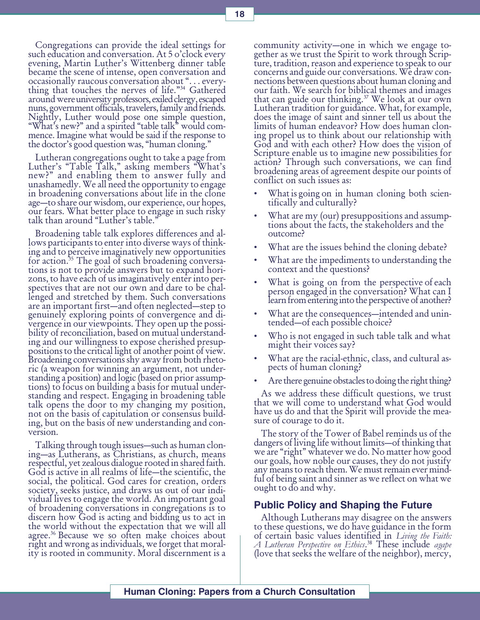Congregations can provide the ideal settings for such education and conversation. At 5 o'clock every evening, Martin Luther's Wittenberg dinner table became the scene of intense, open conversation and occasionally raucous conversation about . . . everything that touches the nerves of life."<sup>34</sup> Gathered around were university professors, exiled clergy, escaped nuns, government officials, travelers, family and friends. Nightly, Luther would pose one simple question, "What's new?" and a spirited "table talk" would commence. Imagine what would be said if the response to the doctor's good question was, "human cloning."

Lutheran congregations ought to take a page from Luther's "Table Talk," asking members "What's new?" and enabling them to answer fully and unashamedly. We all need the opportunity to engage in broadening conversations about life in the clone age—to share our wisdom, our experience, our hopes, our fears. What better place to engage in such risky talk than around "Luther's table."

Broadening table talk explores differences and allows participants to enter into diverse ways of thinking and to perceive imaginatively new opportunities for action.35 The goal of such broadening conversa- tions is not to provide answers but to expand horizons, to have each of us imaginatively enter into perspectives that are not our own and dare to be challenged and stretched by them. Such conversations are an important first—and often neglected—step to genuinely exploring points of convergence and divergence in our viewpoints. They open up the possibility of reconciliation, based on mutual understanding and our willingness to expose cherished presuppositions to the critical light of another point of view. Broadening conversations shy away from both rhetoric (a weapon for winning an argument, not understanding a position) and logic (based on prior assumptions) to focus on building a basis for mutual understanding and respect. Engaging in broadening table talk opens the door to my changing my position, not on the basis of capitulation or consensus building, but on the basis of new understanding and conversion.

Talking through tough issues—such as human cloning—as Lutherans, as Christians, as church, means respectful, yet zealous dialogue rooted in shared faith. God is active in all realms of life—the scientific, the social, the political. God cares for creation, orders society, seeks justice, and draws us out of our individual lives to engage the world. An important goal of broadening conversations in congregations is to discern how God is acting and bidding us to act in the world without the expectation that we will all agree.36 Because we so often make choices about right and wrong as individuals, we forget that morality is rooted in community. Moral discernment is a

community activity—one in which we engage together as we trust the Spirit to work through Scripture, tradition, reason and experience to speak to our concerns and guide our conversations. We draw connections between questions about human cloning and our faith. We search for biblical themes and images that can guide our thinking.<sup>37</sup> We look at our own Lutheran tradition for guidance. What, for example, does the image of saint and sinner tell us about the limits of human endeavor? How does human cloning propel us to think about our relationship with God and with each other? How does the vision of Scripture enable us to imagine new possibilities for action? Through such conversations, we can find broadening areas of agreement despite our points of conflict on such issues as:

- What is going on in human cloning both scientifically and culturally?
- What are my (our) presuppositions and assumptions about the facts, the stakeholders and the outcome?
- What are the issues behind the cloning debate?
- What are the impediments to understanding the context and the questions?
- What is going on from the perspective of each person engaged in the conversation? What can I learn from entering into the perspective of another?
- What are the consequences—intended and unintended—of each possible choice?
- Who is not engaged in such table talk and what might their voices say?
- What are the racial-ethnic, class, and cultural aspects of human cloning?
- Are there genuine obstacles to doing the right thing?

As we address these difficult questions, we trust that we will come to understand what God would have us do and that the Spirit will provide the measure of courage to do it.

The story of the Tower of Babel reminds us of the dangers of living life without limits—of thinking that we are "right" whatever we do. No matter how good our goals, how noble our causes, they do not justify any means to reach them. We must remain ever mindful of being saint and sinner as we reflect on what we ought to do and why.

#### Public Policy and Shaping the Future

Although Lutherans may disagree on the answers to these questions, we do have guidance in the form of certain basic values identified in Living the Faith: A Lutheran Perspective on Ethics.<sup>38</sup> These include agape<br>(love that seeks the welfare of the neighbor), mercy,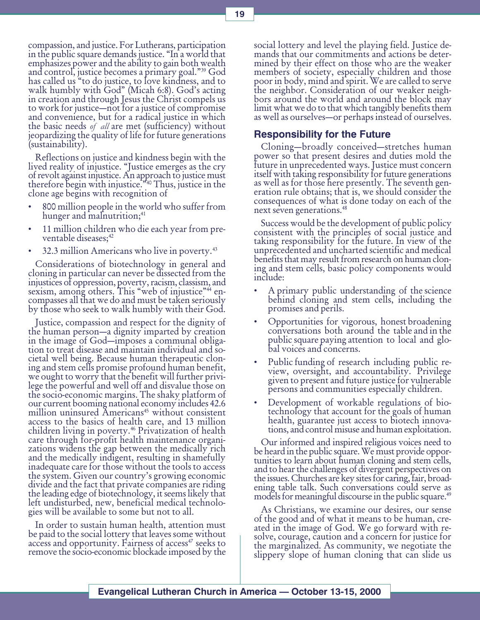compassion, and justice. For Lutherans, participation in the public square demands justice. "In a world that emphasizes power and the ability to gain both wealth and control, justice becomes a primary goal."<sup>39</sup> God has called us "to do justice, to love kindness, and to walk humbly with God" (Micah 6:8). God's acting in creation and through Jesus the Christ compels us to work for justice—not for a justice of compromise and convenience, but for a radical justice in which<br>the basic needs of all are met (sufficiency) without ieopardizing the quality of life for future generations (sustainability).

Reflections on justice and kindness begin with the lived reality of injustice. "Justice emerges as the cry of revolt against injustice. An approach to justice must therefore begin with injustice.<sup>340</sup> Thus, justice in the<br>clone age begins with recognition of

- 800 million people in the world who suffer from hunger and malnutrition;<sup>41</sup>
- 11 million children who die each year from preventable diseases;<sup>42</sup>
- 32.3 million Americans who live in poverty.<sup>43</sup>

Considerations of biotechnology in general and cloning in particular can never be dissected from the injustices of oppression, poverty, racism, classism, and sexism, among others. This "web of injustice"<sup>44</sup> encompasses all that we do and must be taken seriously by those who seek to walk humbly with their God.

Justice, compassion and respect for the dignity of the human person—a dignity imparted by creation in the image of God—imposes a communal obligation to treat disease and maintain individual and societal well being. Because human therapeutic cloning and stem cells promise profound human benefit, we ought to worry that the benefit will further privilege the powerful and well off and disvalue those on the socio-economic margins. The shaky platform of our current booming national economy includes 42.6 million uninsured Americans<sup>45</sup> without consistent access to the basics of health care, and 13 million children living in poverty.<sup>46</sup> Privatization of health care through for-profit health maintenance organizations widens the gap between the medically rich and the medically indigent, resulting in shamefully inadequate care for those without the tools to access the system. Given our country's growing economic divide and the fact that private companies are riding the leading edge of biotechnology, it seems likely that left undisturbed, new, beneficial medical technologies will be available to some but not to all.

In order to sustain human health, attention must be paid to the social lottery that leaves some without access and opportunity. Fairness of access<sup>47</sup> seeks to remove the socio-economic blockade imposed by the social lottery and level the playing field. Justice demands that our commitments and actions be determined by their effect on those who are the weaker members of society, especially children and those poor in body, mind and spirit. We are called to serve the neighbor. Consideration of our weaker neighbors around the world and around the block may limit what we do to that which tangibly benefits them as well as ourselves—or perhaps instead of ourselves.

### Responsibility for the Future

Cloning-broadly conceived-stretches human power so that present desires and duties mold the future in unprecedented ways. Justice must concern itself with taking responsibility for future generations as well as for those here presently. The seventh generation rule obtains; that is, we should consider the consequences of what is done today on each of the next seven generations.48

Success would be the development of public policy consistent with the principles of social justice and taking responsibility for the future. In view of the unprecedented and uncharted scientific and medical benefits that may result from research on human cloning and stem cells, basic policy components would include:

- A primary public understanding of the science behind cloning and stem cells, including the promises and perils.
- Opportunities for vigorous, honest broadening conversations both around the table and in the public square paying attention to local and global voices and concerns.
- Public funding of research including public review, oversight, and accountability. Privilege given to present and future justice for vulnerable persons and communities especially children.
- Development of workable regulations of biotechnology that account for the goals of human health, guarantee just access to biotech innovations, and control misuse and human exploitation.

Our informed and inspired religious voices need to be heard in the public square. We must provide opportunities to learn about human cloning and stem cells, and to hear the challenges of divergent perspectives on the issues. Churches are key sites for caring, fair, broadening table talk. Such conversations could serve as models for meaningful discourse in the public square.<sup>49</sup>

As Christians, we examine our desires, our sense of the good and of what it means to be human, created in the image of God. We go forward with resolve, courage, caution and a concern for justice for the marginalized. As community, we negotiate the slippery slope of human cloning that can slide us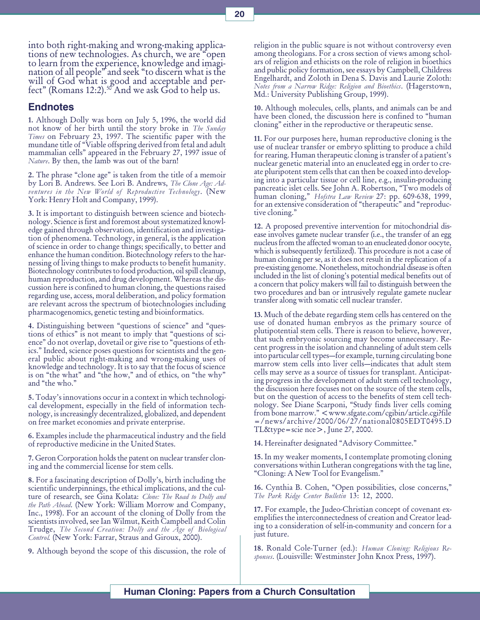into both right-making and wrong-making applications of new technologies. As church, we are "open" to learn from the experience, knowledge and imagination of all people" and seek "to discern what is the will of God what is good and acceptable and perfect" (Romans 12:2).<sup>50</sup> And we ask God to help us.

#### Endnotes

1. Although Dolly was born on July 5, 1996, the world did not know of her birth until the story broke in The Sunday Times on February 23, 1997. The scientific paper with the mundane title of Viable offspring derived from fetal and adult mammalian cells" appeared in the February 27, 1997 issue of Nature. By then, the lamb was out of the barn!

2. The phrase "clone age" is taken from the title of a memoir by Lori B. Andrews. See Lori B. Andrews, The Clone Age: Adventures in the New World of Reproductive Technology. ( $New$ York: Henry Holt and Company, 1999).

3. It is important to distinguish between science and biotechnology. Science is first and foremost about systematized knowledge gained through observation, identification and investigation of phenomena. Technology, in general, is the application of science in order to change things; specifically, to better and enhance the human condition. Biotechnology refers to the harnessing of living things to make products to benefit humanity. Biotechnology contributes to food production, oil spill cleanup, human reproduction, and drug development. Whereas the discussion here is confined to human cloning, the questions raised regarding use, access, moral deliberation, and policy formation are relevant across the spectrum of biotechnologies including pharmacogenomics, genetic testing and bioinformatics.

4. Distinguishing between "questions of science" and "questions of ethics" is not meant to imply that "questions of science" do not overlap, dovetail or give rise to "questions of ethics." Indeed, science poses questions for scientists and the general public about right-making and wrong-making uses of knowledge and technology. It is to say that the focus of science is on "the what" and "the how," and of ethics, on "the why" and "the who."

5. Today's innovations occur in a context in which technological development, especially in the field of information technology, is increasingly decentralized, globalized, and dependent on free market economies and private enterprise.

6. Examples include the pharmaceutical industry and the field of reproductive medicine in the United States.

7. Geron Corporation holds the patent on nuclear transfer cloning and the commercial license for stem cells.

8. For a fascinating description of Dolly's, birth including the scientific underpinnings, the ethical implications, and the culture of research, see Gina Kolata: Clone: The Road to Dolly and the Path Ahead. (New York: William Morrow and Company, Inc., 1998). For an account of the cloning of Dolly from the scientists involved, see Ian Wilmut, Keith Campbell and Colin Trudge, The Second Creation: Dolly and the Age of Biological Control. (New York: Farrar, Straus and Giroux, 2000).

9. Although beyond the scope of this discussion, the role of

religion in the public square is not without controversy even among theologians. For a cross section of views among scholars of religion and ethicists on the role of religion in bioethics and public policy formation, see essays by Campbell, Childress Engelhardt, and Zoloth in Dena S. Davis and Laurie Zoloth: Notes from a Narrow Ridge: Religion and Bioethics. (Hagerstown, Md.: University Publishing Group, 1999).

10. Although molecules, cells, plants, and animals can be and have been cloned, the discussion here is confined to "human" cloning" either in the reproductive or therapeutic sense.

11. For our purposes here, human reproductive cloning is the use of nuclear transfer or embryo splitting to produce a child for rearing. Human therapeutic cloning is transfer of a patient's nuclear genetic material into an enucleated egg in order to create pluripotent stem cells that can then be coaxed into developing into a particular tissue or cell line, e.g., insulin-producing pancreatic islet cells. See John A. Robertson, Two models of human cloning," Hofstra Law Review 27: pp. 609-638, 1999, for an extensive consideration of "therapeutic" and "reproductive cloning."

12. A proposed preventive intervention for mitochondrial disease involves gamete nuclear transfer (i.e., the transfer of an egg nucleus from the affected woman to an enucleated donor oocyte, which is subsequently fertilized). This procedure is not a case of human cloning per se, as it does not result in the replication of a pre-existing genome. Nonetheless, mitochondrial disease is often included in the list of cloning's potential medical benefits out of a concern that policy makers will fail to distinguish between the two procedures and ban or intrusively regulate gamete nuclear transfer along with somatic cell nuclear transfer.

13. Much of the debate regarding stem cells has centered on the use of donated human embryos as the primary source of plutipotential stem cells. There is reason to believe, however, that such embryonic sourcing may become unnecessary. Recent progress in the isolation and channeling of adult stem cells into particular cell types—for example, turning circulating bone marrow stem cells into liver cells-indicates that adult stem cells may serve as a source of tissues for transplant. Anticipating progress in the development of adult stem cell technology, the discussion here focuses not on the source of the stem cells, but on the question of access to the benefits of stem cell technology. See Diane Scarponi, "Study finds liver cells coming from bone marrow." < www.sfgate.com/cgibin/article.cgi?file =/news/archive/2000/06/27/national0805EDT0495.D TL&type=scie nce>, June 27, 2000.

14. Hereinafter designated "Advisory Committee."

15. In my weaker moments, I contemplate promoting cloning conversations within Lutheran congregations with the tag line, Cloning: A New Tool for Evangelism.

16. Cynthia B. Cohen, "Open possibilities, close concerns," The Park Ridge Center Bulletin 13: 12, 2000.

17. For example, the Judeo-Christian concept of covenant exemplifies the interconnectedness of creation and Creator leading to a consideration of self-in-community and concern for a just future.

18. Ronald Cole-Turner (ed.): Human Cloning: Religious Responses. (Louisville: Westminster John Knox Press, 1997).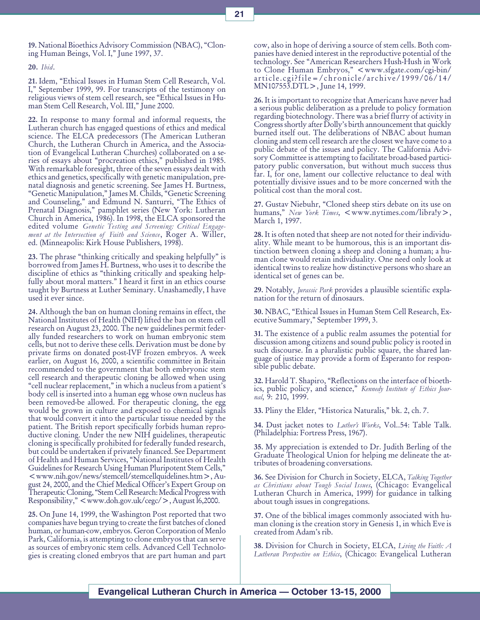19. National Bioethics Advisory Commission (NBAC), "Cloning Human Beings, Vol. I," June 1997, 37.

20. Ibid.

21. Idem, Ethical Issues in Human Stem Cell Research, Vol. I," September 1999, 99. For transcripts of the testimony on religious views of stem cell research, see Ethical Issues in Human Stem Cell Research, Vol. III," June 2000.

22. In response to many formal and informal requests, the Lutheran church has engaged questions of ethics and medical science. The ELCA predecessors (The American Lutheran Church, the Lutheran Church in America, and the Association of Evangelical Lutheran Churches) collaborated on a series of essays about "procreation ethics," published in 1985. With remarkable foresight, three of the seven essays dealt with ethics and genetics, specifically with genetic manipulation, prenatal diagnosis and genetic screening. See James H. Burtness, "Genetic Manipulation," James M. Childs, "Genetic Screening and Counseling," and Edmund N. Santurri, "The Ethics of Prenatal Diagnosis," pamphlet series (New York: Lutheran Church in America, 1986). In 1998, the ELCA sponsored the edited volume Genetic Testing and Screening: Critical Engagement at the Intersection of Faith and Science,  $\widetilde{R}$  oger A. Willer, ed. (Minneapolis: Kirk House Publishers, 1998).

23. The phrase "thinking critically and speaking helpfully" is borrowed from James H. Burtness, who uses it to describe the discipline of ethics as "thinking critically and speaking helpfully about moral matters." I heard it first in an ethics course taught by Burtness at Luther Seminary. Unashamedly, I have used it ever since.

24. Although the ban on human cloning remains in effect, the National Institutes of Health (NIH) lifted the ban on stem cell research on August 23, 2000. The new guidelines permit federally funded researchers to work on human embryonic stem cells, but not to derive these cells. Derivation must be done by private firms on donated post-IVF frozen embryos. A week earlier, on August 16, 2000, a scientific committee in Britain recommended to the government that both embryonic stem cell research and therapeutic cloning be allowed when using "cell nuclear replacement," in which a nucleus from a patient's body cell is inserted into a human egg whose own nucleus has been removed-be allowed. For therapeutic cloning, the egg would be grown in culture and exposed to chemical signals that would convert it into the particular tissue needed by the patient. The British report specifically forbids human reproductive cloning. Under the new NIH guidelines, therapeutic cloning is specifically prohibited for federally funded research, but could be undertaken if privately financed. See Department of Health and Human Services, "National Institutes of Health Guidelines for Research Using Human Pluripotent Stem Cells, <www.nih.gov/news/stemcell/stemcellquidelines.htm>, August 24, 2000, and the Chief Medical Officer's Expert Group on Therapeutic Cloning, "Stem Cell Research: Medical Progress with  $Responsibility, ", August I6,2000.$ 

25. On June 14, 1999, the Washington Post reported that two companies have begun trying to create the first batches of cloned human, or human-cow, embryos. Geron Corporation of Menlo Park, California, is attempting to clone embryos that can serve as sources of embryonic stem cells. Advanced Cell Technologies is creating cloned embryos that are part human and part

cow, also in hope of deriving a source of stem cells. Both companies have denied interest in the reproductive potential of the technology. See "American Researchers Hush-Hush in Work to Clone Human Embryos," <www.sfgate.com/cgi-bin/ article.cgi?file=/chronicle/archive/1999/06/14/ MN107553.DTL>, June 14, 1999.

26. It is important to recognize that Americans have never had a serious public deliberation as a prelude to policy formation regarding biotechnology. There was a brief flurry of activity in Congress shortly after Dolly's birth announcement that quickly burned itself out. The deliberations of NBAC about human cloning and stem cell research are the closest we have come to a public debate of the issues and policy. The California Advisory Committee is attempting to facilitate broad-based participatory public conversation, but without much success thus far. I, for one, lament our collective reluctance to deal with potentially divisive issues and to be more concerned with the political cost than the moral cost.

27. Gustav Niebuhr, "Cloned sheep stirs debate on its use on humans," New York Times,  $\langle w \rangle$  = www.nytimes.com/libraly>, March 1, 1997.

28. It is often noted that sheep are not noted for their individuality. While meant to be humorous, this is an important distinction between cloning a sheep and cloning a human; a human clone would retain individuality. One need only look at identical twins to realize how distinctive persons who share an identical set of genes can be.

29. Notably, Jurassic Park provides a plausible scientific explanation for the return of dinosaurs.

30. NBAC, Ethical Issues in Human Stem Cell Research, Executive Summary," September 1999, 3.

31. The existence of a public realm assumes the potential for discussion among citizens and sound public policy is rooted in such discourse. In a pluralistic public square, the shared language of justice may provide a form of Esperanto for responsible public debate.

32. Harold T. Shapiro, "Reflections on the interface of bioethics, public policy, and science," Kennedy Institute of Ethics Journal, 9: 210, 1999.

33. Pliny the Elder, "Historica Naturalis," bk. 2, ch. 7.

34. Dust jacket notes to Luther's Works, Vol..54: Table Talk. (Philadelphia: Fortress Press, 1967).

35. My appreciation is extended to Dr. Judith Berling of the Graduate Theological Union for helping me delineate the attributes of broadening conversations.

36. See Division for Church in Society, ELCA, Talking Together as Christians about Tough Social Issues, (Chicago: Evangelical Lutheran Church in America, 1999) for guidance in talking about tough issues in congregations.

37. One of the biblical images commonly associated with human cloning is the creation story in Genesis 1, in which Eve is created from Adam's rib.

38. Division for Church in Society, ELCA, Living the Faith: A Lutheran Perspective on Ethics, (Chicago: Evangelical Lutheran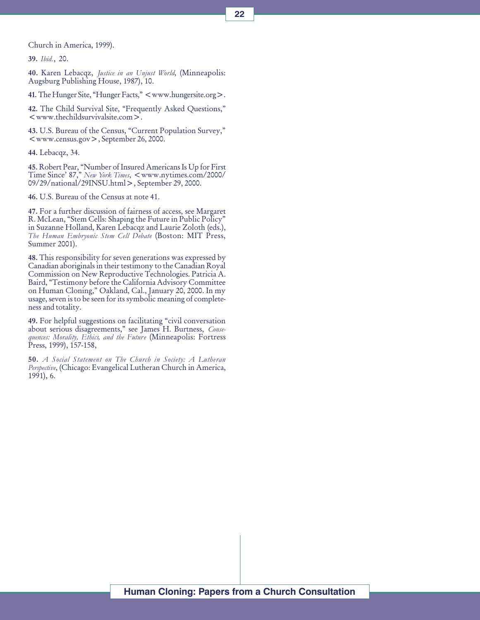Church in America, 1999).

39. Ibid., 20.

40. Karen Lebacqz, Justice in an Unjust World, (Minneapolis: Augsburg Publishing House, 1987), 10.

41. The Hunger Site, "Hunger Facts," <www.hungersite.org >.

42. The Child Survival Site, "Frequently Asked Questions," <www.thechildsurvivalsite.com>.

43. U.S. Bureau of the Census, "Current Population Survey," <www.census.gov>, September 26, 2000.

44. Lebacqz, 34.

45. Robert Pear, "Number of Insured Americans Is Up for First Time Since' 87," New York Times, <www.nytimes.com/2000/ 09/29/national/29INSU.html>, September 29, 2000.

46. U.S. Bureau of the Census at note 41.

47. For a further discussion of fairness of access, see Margaret R. McLean, "Stem Cells: Shaping the Future in Public Policy" in Suzanne Holland, Karen Lebacqz and Laurie Zoloth (eds.), The Human Embryonic Stem Cell Debate (Boston: MIT Press, Summer 2001).

48. This responsibility for seven generations was expressed by Canadian aboriginals in their testimony to the Canadian Royal Commission on New Reproductive Technologies. Patricia A. Baird, Testimony before the California Advisory Committee on Human Cloning," Oakland, Cal., January 20, 2000. In my usage, seven is to be seen for its symbolic meaning of completeness and totality.

49. For helpful suggestions on facilitating "civil conversation about serious disagreements," see James H. Burtness, Consequences: Morality, Ethics, and the Future (Minneapolis: Fortress Press, 1999), 157-158,

50. A Social Statement on The Church in Society: A Lutheran Perspective, (Chicago: Evangelical Lutheran Church in America, 1991), 6.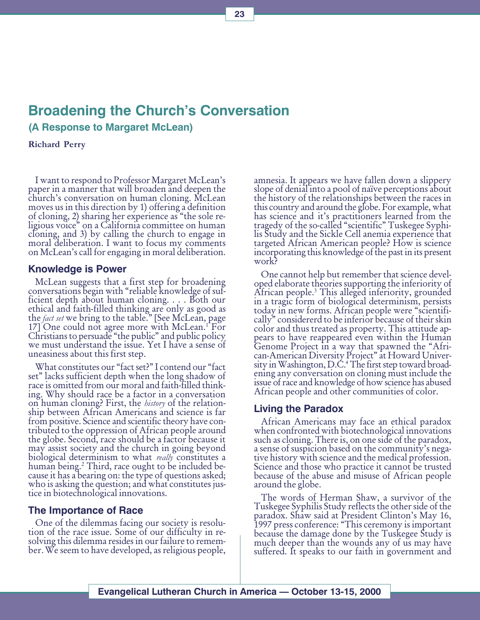## Broadening the Church's Conversation

(A Response to Margaret McLean)

Richard Perry

I want to respond to Professor Margaret McLean's paper in a manner that will broaden and deepen the church's conversation on human cloning. McLean moves us in this direction by 1) offering a definition of cloning, 2) sharing her experience as "the sole religious voice" on a California committee on human cloning, and 3) by calling the church to engage in moral deliberation. I want to focus my comments on McLean's call for engaging in moral deliberation.

#### Knowledge is Power

McLean suggests that a first step for broadening conversations begin with "reliable knowledge of sufficient depth about human cloning. . . . Both our ethical and faith-filled thinking are only as good as the *fact set* we bring to the table." [See McLean, page<br>17] One could not agree more with McLean.<sup>1</sup> For 17] One could not agree more with McLean.<sup>1</sup> For Christians to persuade "the public" and public policy we must understand the issue. Yet I have a sense of uneasiness about this first step.

What constitutes our "fact set?" I contend our "fact set" lacks sufficient depth when the long shadow of race is omitted from our moral and faith-filled thinking. Why should race be a factor in a conversation on human cloning? First, the *history* of the relationship between African Americans and science is far from positive. Science and scientific theory have contributed to the oppression of African people around the globe. Second, race should be a factor because it may assist society and the church in going beyond biological determinism to what *really* constitutes a human being.2 Third, race ought to be included be- cause it has a bearing on: the type of questions asked; who is asking the question; and what constitutes justice in biotechnological innovations.

#### The Importance of Race

One of the dilemmas facing our society is resolution of the race issue. Some of our difficulty in resolving this dilemma resides in our failure to remember. We seem to have developed, as religious people,

amnesia. It appears we have fallen down a slippery slope of denial into a pool of naïve perceptions about the history of the relationships between the races in this country and around the globe. For example, what has science and it's practitioners learned from the tragedy of the so-called "scientific" Tuskegee Syphilis Study and the Sickle Cell anemia experience that targeted African American people? How is science incorporating this knowledge of the past in its present work?

One cannot help but remember that science developed elaborate theories supporting the inferiority of African people.3 This alleged inferiority, grounded in a tragic form of biological determinism, persists today in new forms. African people were "scientifically" considererd to be inferior because of their skin color and thus treated as property. This attitude appears to have reappeared even within the Human Genome Project in a way that spawned the "African-American Diversity Project" at Howard University in Washington, D.C.4 The first step toward broad- ening any conversation on cloning must include the issue of race and knowledge of how science has abused African people and other communities of color.

#### Living the Paradox

African Americans may face an ethical paradox when confronted with biotechnological innovations such as cloning. There is, on one side of the paradox, a sense of suspicion based on the community's negative history with science and the medical profession. Science and those who practice it cannot be trusted because of the abuse and misuse of African people around the globe.

The words of Herman Shaw, a survivor of the Tuskegee Syphilis Study reflects the other side of the paradox. Shaw said at President Clinton's May 16, 1997 press conference: This ceremony is important because the damage done by the Tuskegee Study is much deeper than the wounds any of us may have suffered. It speaks to our faith in government and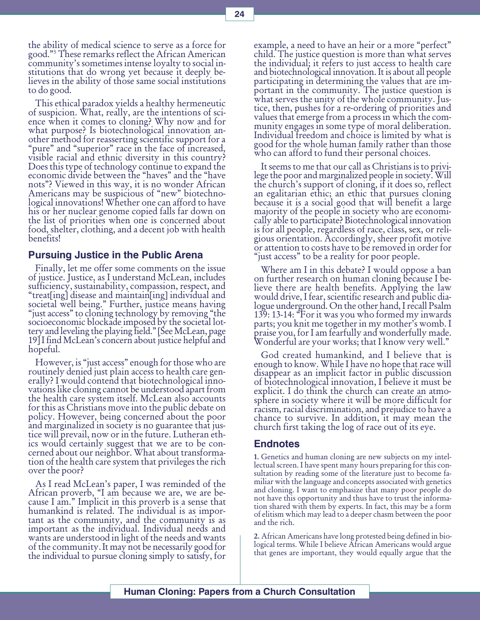the ability of medical science to serve as a force for good.5 These remarks reflect the African American community's sometimes intense loyalty to social institutions that do wrong yet because it deeply believes in the ability of those same social institutions to do good.

This ethical paradox yields a healthy hermeneutic of suspicion. What, really, are the intentions of science when it comes to cloning? Why now and for what purpose? Is biotechnological innovation another method for reasserting scientific support for a "pure" and "superior" race in the face of increased, visible racial and ethnic diversity in this country? Does this type of technology continue to expand the economic divide between the "haves" and the "have nots"? Viewed in this way, it is no wonder African Americans may be suspicious of "new" biotechnological innovations! Whether one can afford to have his or her nuclear genome copied falls far down on the list of priorities when one is concerned about food, shelter, clothing, and a decent job with health benefits!

#### Pursuing Justice in the Public Arena

Finally, let me offer some comments on the issue of justice. Justice, as I understand McLean, includes sufficiency, sustainability, compassion, respect, and treat[ing] disease and maintain[ing] individual and societal well being." Further, justice means having "just access" to cloning technology by removing "the socioeconomic blockade imposed by the societal lottery and leveling the playing field." [See McLean, page 19] I find McLean's concern about justice helpful and hopeful.

However, is "just access" enough for those who are routinely denied just plain access to health care generally? I would contend that biotechnological innovations like cloning cannot be understood apart from the health care system itself. McLean also accounts for this as Christians move into the public debate on policy. However, being concerned about the poor and marginalized in society is no guarantee that justice will prevail, now or in the future. Lutheran ethics would certainly suggest that we are to be concerned about our neighbor. What about transformation of the health care system that privileges the rich over the poor?

As I read McLean's paper, I was reminded of the African proverb, "I am because we are, we are because I am." Implicit in this proverb is a sense that humankind is related. The individual is as important as the community, and the community is as important as the individual. Individual needs and wants are understood in light of the needs and wants of the community. It may not be necessarily good for the individual to pursue cloning simply to satisfy, for

example, a need to have an heir or a more "perfect" child. The justice question is more than what serves the individual; it refers to just access to health care and biotechnological innovation. It is about all people participating in determining the values that are important in the community. The justice question is what serves the unity of the whole community. Justice, then, pushes for a re-ordering of priorities and values that emerge from a process in which the community engages in some type of moral deliberation. Individual freedom and choice is limited by what is good for the whole human family rather than those who can afford to fund their personal choices.

It seems to me that our call as Christians is to privilege the poor and marginalized people in society. Will the church's support of cloning, if it does so, reflect an egalitarian ethic; an ethic that pursues cloning because it is a social good that will benefit a large majority of the people in society who are economically able to participate? Biotechnological innovation is for all people, regardless of race, class, sex, or religious orientation. Accordingly, sheer profit motive or attention to costs have to be removed in order for "just access" to be a reality for poor people.

Where am I in this debate? I would oppose a ban on further research on human cloning because I believe there are health benefits. Applying the law would drive, I fear, scientific research and public dialogue underground. On the other hand, I recall Psalm 139: 13-14: For it was you who formed my inwards parts; you knit me together in my mother's womb. I praise you, for I am fearfully and wonderfully made. Wonderful are your works; that I know very well.

God created humankind, and I believe that is enough to know. While I have no hope that race will disappear as an implicit factor in public discussion of biotechnological innovation, I believe it must be explicit. I do think the church can create an atmosphere in society where it will be more difficult for racism, racial discrimination, and prejudice to have a chance to survive. In addition, it may mean the church first taking the log of race out of its eye.

#### Endnotes

1. Genetics and human cloning are new subjects on my intellectual screen. I have spent many hours preparing for this consultation by reading some of the literature just to become familiar with the language and concepts associated with genetics and cloning. I want to emphasize that many poor people do not have this opportunity and thus have to trust the information shared with them by experts. In fact, this may be a form of elitism which may lead to a deeper chasm between the poor and the rich.

2. African Americans have long protested being defined in biological terms. While I believe African Americans would argue that genes are important, they would equally argue that the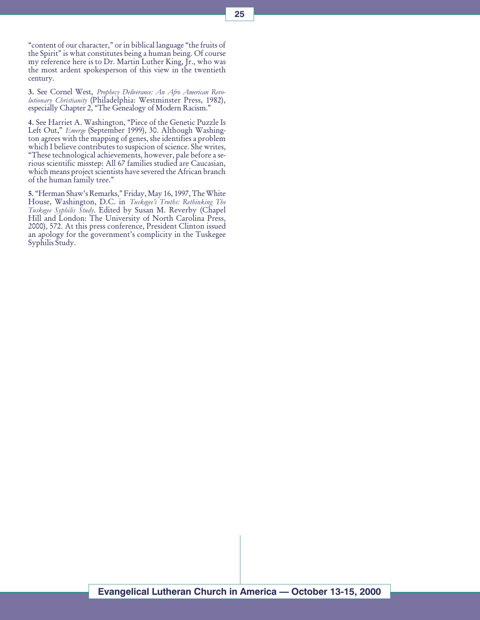"content of our character," or in biblical language "the fruits of the Spirit" is what constitutes being a human being. Of course my reference here is to Dr. Martin Luther King, Jr., who was the most ardent spokesperson of this view in the twentieth century.

3. See Cornel West, Prophecy Deliverance: An Afro American Revolutionary Christianity (Philadelphia: Westminster Press, 1982), especially Chapter 2, "The Genealogy of Modern Racism."

4. See Harriet A. Washington, "Piece of the Genetic Puzzle Is Left Out," Emerge (September 1999), 30. Although Washington agrees with the mapping of genes, she identifies a problem which I believe contributes to suspicion of science. She writes, These technological achievements, however, pale before a serious scientific misstep: All 67 families studied are Caucasian, which means project scientists have severed the African branch of the human family tree.

5. "Herman Shaw's Remarks," Friday, May 16, 1997, The White House, Washington, D.C. in Tuskegee's Truths: Rethinking The Tuskegee Syphilis Study. Edited by Susan M. Reverby (Chapel Hill and London: The University of North Carolina Press, 2000), 572. At this press conference, President Clinton issued an apology for the government's complicity in the Tuskegee Syphilis Study.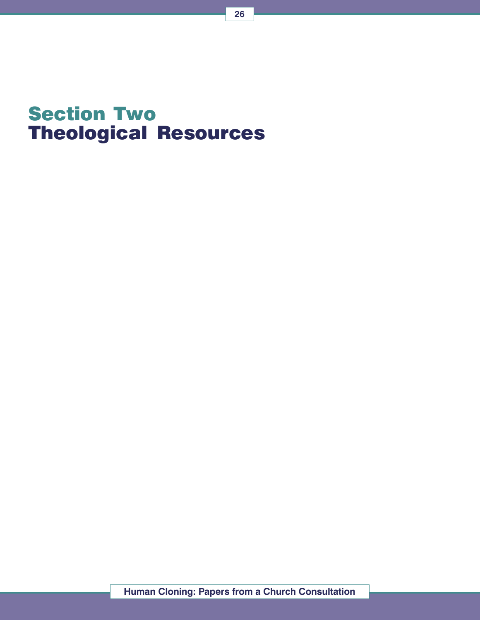## Section Two Theological Resources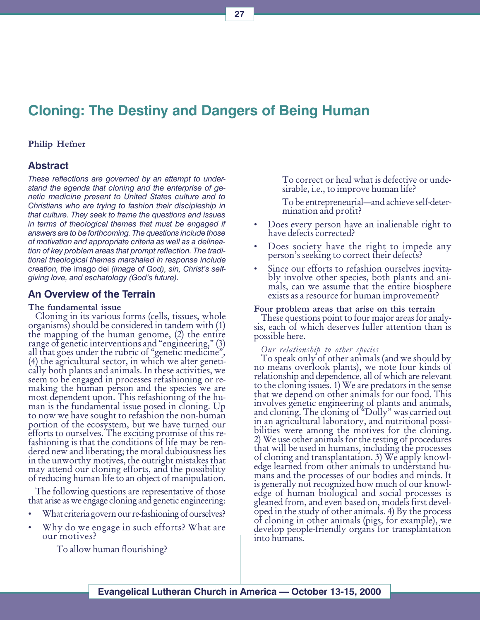## Cloning: The Destiny and Dangers of Being Human

#### Philip Hefner

#### Abstract

These reflections are governed by an attempt to understand the agenda that cloning and the enterprise of genetic medicine present to United States culture and to Christians who are trying to fashion their discipleship in that culture. They seek to frame the questions and issues in terms of theological themes that must be engaged if answers are to be forthcoming. The questions include those of motivation and appropriate criteria as well as a delineation of key problem areas that prompt reflection. The traditional theological themes marshaled in response include creation, the imago dei (image of God), sin, Christ's selfgiving love, and eschatology (God's future).

#### An Overview of the Terrain

#### The fundamental issue

Cloning in its various forms (cells, tissues, whole organisms) should be considered in tandem with (1) the mapping of the human genome, (2) the entire range of genetic interventions and "engineering," (3) all that goes under the rubric of "genetic medicine", (4) the agricultural sector, in which we alter genetically both plants and animals. In these activities, we seem to be engaged in processes refashioning or remaking the human person and the species we are most dependent upon. This refashioning of the human is the fundamental issue posed in cloning. Up to now we have sought to refashion the non-human portion of the ecosystem, but we have turned our efforts to ourselves. The exciting promise of this refashioning is that the conditions of life may be rendered new and liberating; the moral dubiousness lies in the unworthy motives, the outright mistakes that may attend our cloning efforts, and the possibility of reducing human life to an object of manipulation.

The following questions are representative of those that arise as we engage cloning and genetic engineering:

- What criteria govern our re-fashioning of ourselves?
- Why do we engage in such efforts? What are our motives?

To allow human flourishing?

To correct or heal what is defective or undesirable, i.e., to improve human life?

To be entrepreneurial—and achieve self-determination and profit?

- Does every person have an inalienable right to have defects corrected?
- Does society have the right to impede any person's seeking to correct their defects?
- Since our efforts to refashion ourselves inevitably involve other species, both plants and animals, can we assume that the entire biosphere exists as a resource for human improvement?

#### Four problem areas that arise on this terrain

These questions point to four major areas for analysis, each of which deserves fuller attention than is possible here.

#### Our relationship to other species

To speak only of other animals (and we should by no means overlook plants), we note four kinds of relationship and dependence, all of which are relevant to the cloning issues. 1) We are predators in the sense that we depend on other animals for our food. This involves genetic engineering of plants and animals, and cloning. The cloning of "Dolly" was carried out in an agricultural laboratory, and nutritional possibilities were among the motives for the cloning. 2) We use other animals for the testing of procedures that will be used in humans, including the processes of cloning and transplantation. 3) We apply knowledge learned from other animals to understand humans and the processes of our bodies and minds. It is generally not recognized how much of our knowledge of human biological and social processes is gleaned from, and even based on, models first developed in the study of other animals. 4) By the process of cloning in other animals (pigs, for example), we develop people-friendly organs for transplantation into humans.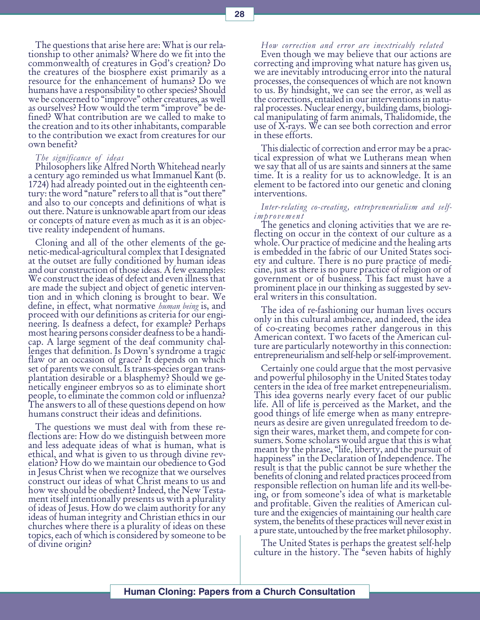The questions that arise here are: What is our relationship to other animals? Where do we fit into the commonwealth of creatures in God's creation? Do the creatures of the biosphere exist primarily as a resource for the enhancement of humans? Do we humans have a responsibility to other species? Should we be concerned to "improve" other creatures, as well as ourselves? How would the term "improve" be defined? What contribution are we called to make to the creation and to its other inhabitants, comparable to the contribution we exact from creatures for our own benefit?

The significance of ideas

Philosophers like Alfred North Whitehead nearly a century ago reminded us what Immanuel Kant (b. 1724) had already pointed out in the eighteenth century: the word "nature" refers to all that is "out there" and also to our concepts and definitions of what is out there. Nature is unknowable apart from our ideas or concepts of nature even as much as it is an objective reality independent of humans.

Cloning and all of the other elements of the genetic-medical-agricultural complex that I designated at the outset are fully conditioned by human ideas and our construction of those ideas. A few examples: We construct the ideas of defect and even illness that are made the subject and object of genetic intervention and in which cloning is brought to bear. We define, in effect, what normative *human being* is, and proceed with our definitions as criteria for our engineering. Is deafness a defect, for example? Perhaps most hearing persons consider deafness to be a handicap. A large segment of the deaf community challenges that definition. Is Down's syndrome a tragic flaw or an occasion of grace? It depends on which set of parents we consult. Is trans-species organ transplantation desirable or a blasphemy? Should we genetically engineer embryos so as to eliminate short people, to eliminate the common cold or influenza? The answers to all of these questions depend on how humans construct their ideas and definitions.

The questions we must deal with from these reflections are: How do we distinguish between more and less adequate ideas of what is human, what is ethical, and what is given to us through divine revelation? How do we maintain our obedience to God in Jesus Christ when we recognize that we ourselves construct our ideas of what Christ means to us and how we should be obedient? Indeed, the New Testament itself intentionally presents us with a plurality of ideas of Jesus. How do we claim authority for any ideas of human integrity and Christian ethics in our churches where there is a plurality of ideas on these topics, each of which is considered by someone to be of divine origin?

How correction and error are inextricably related

Even though we may believe that our actions are correcting and improving what nature has given us, we are inevitably introducing error into the natural processes, the consequences of which are not known to us. By hindsight, we can see the error, as well as the corrections, entailed in our interventions in natural processes. Nuclear energy, building dams, biological manipulating of farm animals, Thalidomide, the use of X-rays. We can see both correction and error in these efforts.

This dialectic of correction and error may be a practical expression of what we Lutherans mean when we say that all of us are saints and sinners at the same time. It is a reality for us to acknowledge. It is an element to be factored into our genetic and cloning interventions.

#### Inter-relating co-creating, entrepreneurialism and selfimprovement

The genetics and cloning activities that we are reflecting on occur in the context of our culture as a whole. Our practice of medicine and the healing arts is embedded in the fabric of our United States society and culture. There is no pure practice of medicine, just as there is no pure practice of religion or of government or of business. This fact must have a prominent place in our thinking as suggested by several writers in this consultation.

The idea of re-fashioning our human lives occurs only in this cultural ambience, and indeed, the idea of co-creating becomes rather dangerous in this American context. Two facets of the American culture are particularly noteworthy in this connection: entrepreneurialism and self-help or self-improvement.

Certainly one could argue that the most pervasive and powerful philosophy in the United States today centers in the idea of free market entrepeneurialism. This idea governs nearly every facet of our public life. All of life is perceived as the Market, and the good things of life emerge when as many entrepreneurs as desire are given unregulated freedom to design their wares, market them, and compete for consumers. Some scholars would argue that this is what meant by the phrase, "life, liberty, and the pursuit of happiness" in the Declaration of Independence. The result is that the public cannot be sure whether the benefits of cloning and related practices proceed from responsible reflection on human life and its well-being, or from someone's idea of what is marketable and profitable. Given the realities of American culture and the exigencies of maintaining our health care system, the benefits of these practices will never exist in a pure state, untouched by the free market philosophy.

The United States is perhaps the greatest self-help culture in the history. The "seven habits of highly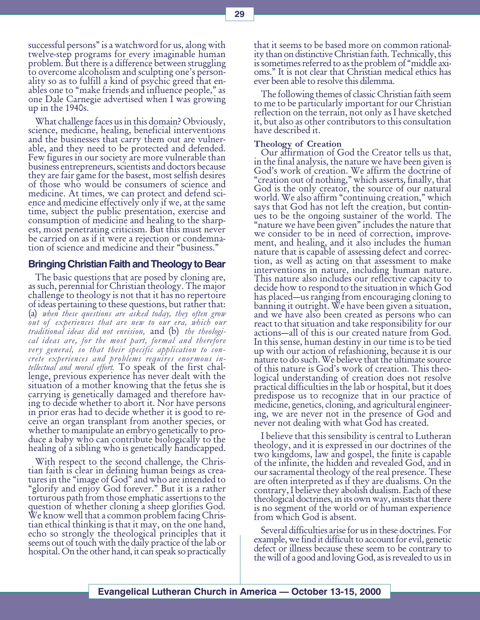successful persons" is a watchword for us, along with twelve-step programs for every imaginable human problem. But there is a difference between struggling to overcome alcoholism and sculpting one's personality so as to fulfill a kind of psychic greed that enables one to "make friends and influence people," as one Dale Carnegie advertised when I was growing up in the 1940s.

What challenge faces us in this domain? Obviously, science, medicine, healing, beneficial interventions and the businesses that carry them out are vulnerable, and they need to be protected and defended. Few figures in our society are more vulnerable than business entrepreneurs, scientists and doctors because they are fair game for the basest, most selfish desires of those who would be consumers of science and medicine. At times, we can protect and defend science and medicine effectively only if we, at the same time, subject the public presentation, exercise and consumption of medicine and healing to the sharpest, most penetrating criticism. But this must never be carried on as if it were a rejection or condemnation of science and medicine and their "business."

#### Bringing Christian Faith and Theology to Bear

The basic questions that are posed by cloning are, as such, perennial for Christian theology. The major challenge to theology is not that it has no repertoire of ideas pertaining to these questions, but rather that: (a) when these questions are asked today, they often grow out of experiences that are new to our era, which our traditional ideas did not envision, and  $(b)$  the theological ideas are, for the most part, formal and therefore very general, so that their specific application to concrete experiences and problems requires enormous in-<br>tellectual and moral effort. To speak of the first challenge, previous experience has never dealt with the situation of a mother knowing that the fetus she is carrying is genetically damaged and therefore having to decide whether to abort it. Nor have persons in prior eras had to decide whether it is good to receive an organ transplant from another species, or whether to manipulate an embryo genetically to produce a baby who can contribute biologically to the healing of a sibling who is genetically handicapped.

With respect to the second challenge, the Christian faith is clear in defining human beings as creatures in the "image of God" and who are intended to glorify and enjoy God forever. But it is a rather torturous path from those emphatic assertions to the question of whether cloning a sheep glorifies God. We know well that a common problem facing Christian ethical thinking is that it may, on the one hand, echo so strongly the theological principles that it seems out of touch with the daily practice of the lab or hospital. On the other hand, it can speak so practically that it seems to be based more on common rationality than on distinctive Christian faith. Technically, this is sometimes referred to as the problem of middle axioms." It is not clear that Christian medical ethics has ever been able to resolve this dilemma.

The following themes of classic Christian faith seem to me to be particularly important for our Christian reflection on the terrain, not only as I have sketched it, but also as other contributors to this consultation have described it.

#### Theology of Creation

Our affirmation of God the Creator tells us that, in the final analysis, the nature we have been given is God's work of creation. We affirm the doctrine of creation out of nothing, which asserts, finally, that God is the only creator, the source of our natural world. We also affirm "continuing creation," which says that God has not left the creation, but continues to be the ongoing sustainer of the world. The "nature we have been given" includes the nature that we consider to be in need of correction, improvement, and healing, and it also includes the human nature that is capable of assessing defect and correction, as well as acting on that assessment to make interventions in nature, including human nature. This nature also includes our reflective capacity to decide how to respond to the situation in which God has placed—us ranging from encouraging cloning to banning it outright. We have been given a situation, and we have also been created as persons who can react to that situation and take responsibility for our actions—all of this is our created nature from God. In this sense, human destiny in our time is to be tied up with our action of refashioning, because it is our nature to do such. We believe that the ultimate source of this nature is God's work of creation. This theological understanding of creation does not resolve practical difficulties in the lab or hospital, but it does predispose us to recognize that in our practice of medicine, genetics, cloning, and agricultural engineering, we are never not in the presence of God and never not dealing with what God has created.

I believe that this sensibility is central to Lutheran theology, and it is expressed in our doctrines of the two kingdoms, law and gospel, the finite is capable of the infinite, the hidden and revealed God, and in our sacramental theology of the real presence. These are often interpreted as if they are dualisms. On the contrary, I believe they abolish dualism. Each of these theological doctrines, in its own way, insists that there is no segment of the world or of human experience from which God is absent.

Several difficulties arise for us in these doctrines. For example, we find it difficult to account for evil, genetic defect or illness because these seem to be contrary to the will of a good and loving God, as is revealed to us in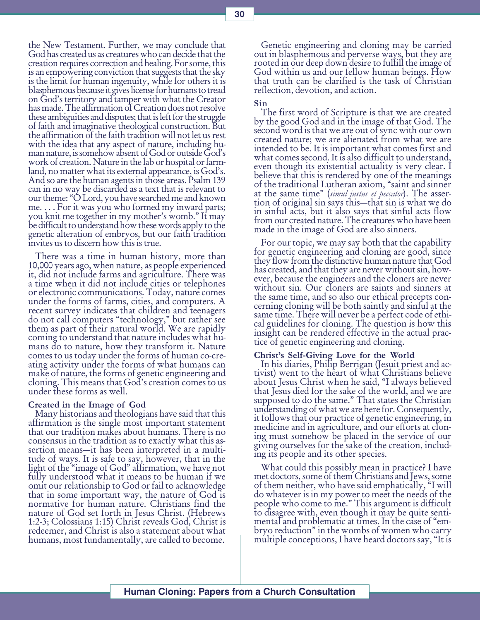the New Testament. Further, we may conclude that God has created us as creatures who can decide that the creation requires correction and healing. For some, this is an empowering conviction that suggests that the sky is the limit for human ingenuity, while for others it is blasphemous because it gives license for humans to tread on God's territory and tamper with what the Creator has made. The affirmation of Creation does not resolve these ambiguities and disputes; that is left for the struggle of faith and imaginative theological construction. But the affirmation of the faith tradition will not let us rest with the idea that any aspect of nature, including human nature, is somehow absent of God or outside God's work of creation. Nature in the lab or hospital or farmland, no matter what its external appearance, is God's. And so are the human agents in those areas. Psalm 139 can in no way be discarded as a text that is relevant to our theme: "O Lord, you have searched me and known me. . . . For it was you who formed my inward parts; you knit me together in my mother's womb." It may be difficult to understand how these words apply to the genetic alteration of embryos, but our faith tradition invites us to discern how this is true.

There was a time in human history, more than 10,000 years ago, when nature, as people experienced it, did not include farms and agriculture. There was a time when it did not include cities or telephones or electronic communications. Today, nature comes under the forms of farms, cities, and computers. A recent survey indicates that children and teenagers do not call computers "technology," but rather see them as part of their natural world. We are rapidly coming to understand that nature includes what humans do to nature, how they transform it. Nature comes to us today under the forms of human co-creating activity under the forms of what humans can make of nature, the forms of genetic engineering and cloning. This means that God's creation comes to us under these forms as well.

#### Created in the Image of God

Many historians and theologians have said that this affirmation is the single most important statement that our tradition makes about humans. There is no consensus in the tradition as to exactly what this assertion means—it has been interpreted in a multitude of ways. It is safe to say, however, that in the light of the "image of God" affirmation, we have not fully understood what it means to be human if we omit our relationship to God or fail to acknowledge that in some important way, the nature of God is normative for human nature. Christians find the nature of God set forth in Jesus Christ. (Hebrews 1:2-3; Colossians 1:15) Christ reveals God, Christ is redeemer, and Christ is also a statement about what humans, most fundamentally, are called to become.

Genetic engineering and cloning may be carried out in blasphemous and perverse ways, but they are rooted in our deep down desire to fulfill the image of God within us and our fellow human beings. How that truth can be clarified is the task of Christian reflection, devotion, and action.

#### Sin

The first word of Scripture is that we are created by the good God and in the image of that God. The second word is that we are out of sync with our own created nature; we are alienated from what we are intended to be. It is important what comes first and what comes second. It is also difficult to understand, even though its existential actuality is very clear. I believe that this is rendered by one of the meanings of the traditional Lutheran axiom, "saint and sinner at the same time" (*simul justus et peccator*). The assertion of original sin says this—that sin is what we do in sinful acts, but it also says that sinful acts flow from our created nature. The creatures who have been made in the image of God are also sinners.

For our topic, we may say both that the capability for genetic engineering and cloning are good, since they flow from the distinctive human nature that God has created, and that they are never without sin, however, because the engineers and the cloners are never without sin. Our cloners are saints and sinners at the same time, and so also our ethical precepts concerning cloning will be both saintly and sinful at the same time. There will never be a perfect code of ethical guidelines for cloning. The question is how this insight can be rendered effective in the actual practice of genetic engineering and cloning.

#### Christ's Self-Giving Love for the World

In his diaries, Philip Berrigan (Jesuit priest and activist) went to the heart of what Christians believe about Jesus Christ when he said, "I always believed that Jesus died for the sake of the world, and we are supposed to do the same." That states the Christian understanding of what we are here for. Consequently, it follows that our practice of genetic engineering, in medicine and in agriculture, and our efforts at cloning must somehow be placed in the service of our giving ourselves for the sake of the creation, including its people and its other species.

What could this possibly mean in practice? I have met doctors, some of them Christians and Jews, some of them neither, who have said emphatically, "I will do whatever is in my power to meet the needs of the people who come to me. This argument is difficult to disagree with, even though it may be quite sentimental and problematic at times. In the case of "embryo reduction" in the wombs of women who carry multiple conceptions, I have heard doctors say, "It is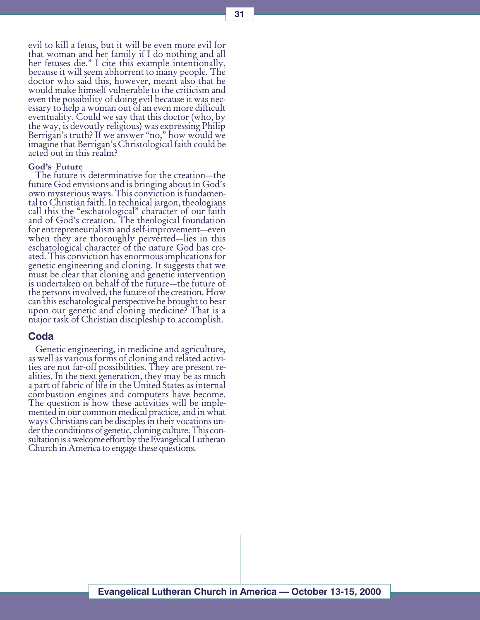evil to kill a fetus, but it will be even more evil for that woman and her family if I do nothing and all her fetuses die." I cite this example intentionally, because it will seem abhorrent to many people. The doctor who said this, however, meant also that he would make himself vulnerable to the criticism and even the possibility of doing evil because it was necessary to help a woman out of an even more difficult eventuality. Could we say that this doctor (who, by the way, is devoutly religious) was expressing Philip Berrigan's truth? If we answer "no," how would we imagine that Berrigan's Christological faith could be acted out in this realm?

#### God's Future

The future is determinative for the creation—the future God envisions and is bringing about in God's own mysterious ways. This conviction is fundamental to Christian faith. In technical jargon, theologians call this the "eschatological" character of our faith and of God's creation. The theological foundation for entrepreneurialism and self-improvement-even when they are thoroughly perverted-lies in this eschatological character of the nature God has created. This conviction has enormous implications for genetic engineering and cloning. It suggests that we must be clear that cloning and genetic intervention is undertaken on behalf of the future-the future of the persons involved, the future of the creation. How can this eschatological perspective be brought to bear upon our genetic and cloning medicine? That is a major task of Christian discipleship to accomplish.

#### Coda

Genetic engineering, in medicine and agriculture, as well as various forms of cloning and related activities are not far-off possibilities. They are present realities. In the next generation, they may be as much a part of fabric of life in the United States as internal combustion engines and computers have become. The question is how these activities will be implemented in our common medical practice, and in what<br>ways Christians can be disciples in their vocations under the conditions of genetic, cloning culture. This consultation is a welcome effort by the Evangelical Lutheran Church in America to engage these questions.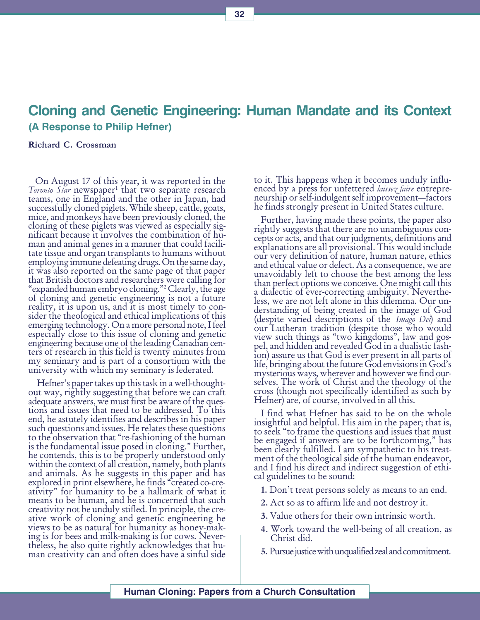## Cloning and Genetic Engineering: Human Mandate and its Context (A Response to Philip Hefner)

#### Richard C. Crossman

On August 17 of this year, it was reported in the Toronto Star newspaper<sup>1</sup> that two separate research<br>teams, one in England and the other in Japan, had successfully cloned piglets. While sheep, cattle, goats, mice, and monkeys have been previously cloned, the cloning of these piglets was viewed as especially significant because it involves the combination of human and animal genes in a manner that could facilitate tissue and organ transplants to humans without employing immune defeating drugs. On the same day, it was also reported on the same page of that paper that British doctors and researchers were calling for expanded human embryo cloning.2 Clearly, the age of cloning and genetic engineering is not a future reality, it is upon us, and it is most timely to consider the theological and ethical implications of this emerging technology. On a more personal note, I feel especially close to this issue of cloning and genetic engineering because one of the leading Canadian centers of research in this field is twenty minutes from my seminary and is part of a consortium with the university with which my seminary is federated.

Hefner's paper takes up this task in a well-thoughtout way, rightly suggesting that before we can craft adequate answers, we must first be aware of the questions and issues that need to be addressed. To this end, he astutely identifies and describes in his paper such questions and issues. He relates these questions to the observation that "re-fashioning of the human is the fundamental issue posed in cloning. Further, he contends, this is to be properly understood only within the context of all creation, namely, both plants and animals. As he suggests in this paper and has explored in print elsewhere, he finds "created co-creativity" for humanity to be a hallmark of what it means to be human, and he is concerned that such creativity not be unduly stifled. In principle, the creative work of cloning and genetic engineering he views to be as natural for humanity as honey-making is for bees and milk-making is for cows. Nevertheless, he also quite rightly acknowledges that human creativity can and often does have a sinful side

to it. This happens when it becomes unduly influ-<br>enced by a press for unfettered *laissez faire* entrepreneurship or self-indulgent self improvement-factors he finds strongly present in United States culture.

Further, having made these points, the paper also rightly suggests that there are no unambiguous concepts or acts, and that our judgments, definitions and explanations are all provisional. This would include our very definition of nature, human nature, ethics and ethical value or defect. As a consequence, we are unavoidably left to choose the best among the less than perfect options we conceive. One might call this a dialectic of ever-correcting ambiguity. Nevertheless, we are not left alone in this dilemma. Our understanding of being created in the image of God<br>(despite varied descriptions of the *Imago Dei*) and our Lutheran tradition (despite those who would view such things as "two kingdoms", law and gospel, and hidden and revealed God in a dualistic fashion) assure us that God is ever present in all parts of life, bringing about the future God envisions in God's mysterious ways, wherever and however we find ourselves. The work of Christ and the theology of the cross (though not specifically identified as such by Hefner) are, of course, involved in all this.

I find what Hefner has said to be on the whole insightful and helpful. His aim in the paper; that is, to seek "to frame the questions and issues that must be engaged if answers are to be forthcoming," has been clearly fulfilled. I am sympathetic to his treatment of the theological side of the human endeavor, and I find his direct and indirect suggestion of ethical guidelines to be sound:

- 1. Don't treat persons solely as means to an end.
- 2. Act so as to affirm life and not destroy it.
- 3. Value others for their own intrinsic worth.
- 4. Work toward the well-being of all creation, as Christ did.
- 5. Pursue justice with unqualified zeal and commitment.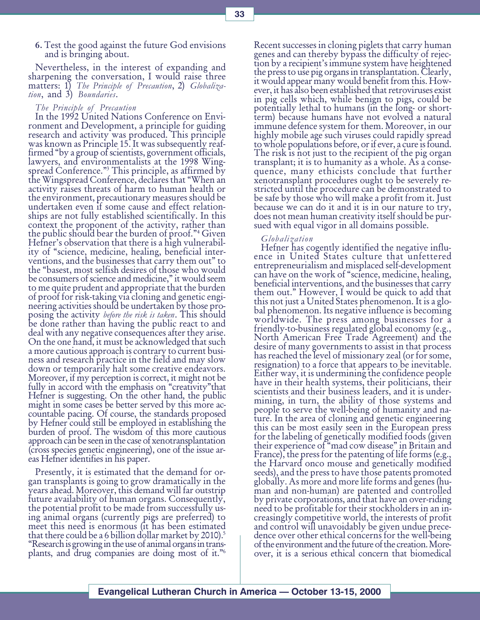6. Test the good against the future God envisions and is bringing about.

Nevertheless, in the interest of expanding and sharpening the conversation, I would raise three matters: 1) The Principle of Precaution, 2) Globalization, and 3) Boundaries.

#### The Principle of Precaution

In the 1992 United Nations Conference on Environment and Development, a principle for guiding research and activity was produced. This principle was known as Principle 15. It was subsequently reaffirmed "by a group of scientists, government officials, lawyers, and environmentalists at the 1998 Wingspread Conference."<sup>3</sup> This principle, as affirmed by<br>the Wingspread Conference, declares that "When an activity raises threats of harm to human health or the environment, precautionary measures should be undertaken even if some cause and effect relationships are not fully established scientifically. In this context the proponent of the activity, rather than the public should bear the burden of proof."<sup>4</sup> Given Hefner's observation that there is a high vulnerability of science, medicine, healing, beneficial interventions, and the businesses that carry them out" to the "basest, most selfish desires of those who would be consumers of science and medicine," it would seem to me quite prudent and appropriate that the burden of proof for risk-taking via cloning and genetic engineering activities should be undertaken by those proposing the activity before the risk is taken. This should be done rather than having the public react to and deal with any negative consequences after they arise. On the one hand, it must be acknowledged that such a more cautious approach is contrary to current business and research practice in the field and may slow down or temporarily halt some creative endeavors. Moreover, if my perception is correct, it might not be fully in accord with the emphasis on "creativity" that Hefner is suggesting. On the other hand, the public might in some cases be better served by this more accountable pacing. Of course, the standards proposed by Hefner could still be employed in establishing the burden of proof. The wisdom of this more cautious approach can be seen in the case of xenotransplantation (cross species genetic engineering), one of the issue areas Hefner identifies in his paper.

Presently, it is estimated that the demand for organ transplants is going to grow dramatically in the years ahead. Moreover, this demand will far outstrip future availability of human organs. Consequently, the potential profit to be made from successfully using animal organs (currently pigs are preferred) to meet this need is enormous (it has been estimated that there could be a 6 billion dollar market by 2010).<sup>5</sup> Research is growing in the use of animal organs in transplants, and drug companies are doing most of it.<sup>36</sup>

Recent successes in cloning piglets that carry human genes and can thereby bypass the difficulty of rejection by a recipient's immune system have heightened the press to use pig organs in transplantation. Clearly, it would appear many would benefit from this. However, it has also been established that retroviruses exist in pig cells which, while benign to pigs, could be potentially lethal to humans (in the long- or shortterm) because humans have not evolved a natural immune defence system for them. Moreover, in our highly mobile age such viruses could rapidly spread to whole populations before, or if ever, a cure is found. The risk is not just to the recipient of the pig organ transplant; it is to humanity as a whole. As a consequence, many ethicists conclude that further xenotransplant procedures ought to be severely restricted until the procedure can be demonstrated to be safe by those who will make a profit from it. Just because we can do it and it is in our nature to try, does not mean human creativity itself should be pursued with equal vigor in all domains possible.

#### Globalization

Hefner has cogently identified the negative influence in United States culture that unfettered entrepreneurialism and misplaced self-development can have on the work of "science, medicine, healing, beneficial interventions, and the businesses that carry them out." However, I would be quick to add that this not just a United States phenomenon. It is a global phenomenon. Its negative influence is becoming worldwide. The press among businesses for a friendly-to-business regulated global economy (e.g., North American Free Trade Agreement) and the desire of many governments to assist in that process has reached the level of missionary zeal (or for some, resignation) to a force that appears to be inevitable. Either way, it is undermining the confidence people have in their health systems, their politicians, their scientists and their business leaders, and it is undermining, in turn, the ability of those systems and people to serve the well-being of humanity and nature. In the area of cloning and genetic engineering this can be most easily seen in the European press for the labeling of genetically modified foods (given their experience of "mad cow disease" in Britain and France), the press for the patenting of life forms (e.g., the Harvard onco mouse and genetically modified seeds), and the press to have those patents promoted globally. As more and more life forms and genes (human and non-human) are patented and controlled by private corporations, and that have an over-riding need to be profitable for their stockholders in an increasingly competitive world, the interests of profit and control will unavoidably be given undue precedence over other ethical concerns for the well-being of the environment and the future of the creation. Moreover, it is a serious ethical concern that biomedical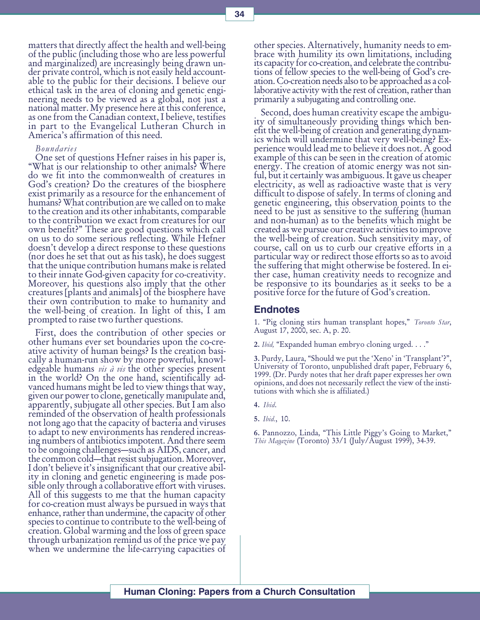matters that directly affect the health and well-being of the public (including those who are less powerful and marginalized) are increasingly being drawn under private control, which is not easily held accountable to the public for their decisions. I believe our ethical task in the area of cloning and genetic engineering needs to be viewed as a global, not just a national matter. My presence here at this conference, as one from the Canadian context, I believe, testifies in part to the Evangelical Lutheran Church in America's affirmation of this need.

#### Boundaries

One set of questions Hefner raises in his paper is, What is our relationship to other animals? Where do we fit into the commonwealth of creatures in God's creation? Do the creatures of the biosphere exist primarily as a resource for the enhancement of humans? What contribution are we called on to make to the creation and its other inhabitants, comparable to the contribution we exact from creatures for our own benefit?" These are good questions which call on us to do some serious reflecting. While Hefner doesn't develop a direct response to these questions (nor does he set that out as his task), he does suggest that the unique contribution humans make is related to their innate God-given capacity for co-creativity. Moreover, his questions also imply that the other creatures [plants and animals] of the biosphere have their own contribution to make to humanity and the well-being of creation. In light of this, I am prompted to raise two further questions.

First, does the contribution of other species or other humans ever set boundaries upon the co-creative activity of human beings? Is the creation basically a human-run show by more powerful, knowl-<br>edgeable humans *vis à vis* the other species present in the world? On the one hand, scientifically advanced humans might be led to view things that way, given our power to clone, genetically manipulate and, apparently, subjugate all other species. But I am also reminded of the observation of health professionals not long ago that the capacity of bacteria and viruses to adapt to new environments has rendered increasing numbers of antibiotics impotent. And there seem to be ongoing challenges—such as AIDS, cancer, and the common cold—that resist subjugation. Moreover, I don't believe it's insignificant that our creative ability in cloning and genetic engineering is made possible only through a collaborative effort with viruses. All of this suggests to me that the human capacity for co-creation must always be pursued in ways that enhance, rather than undermine, the capacity of other species to continue to contribute to the well-being of creation. Global warming and the loss of green space through urbanization remind us of the price we pay when we undermine the life-carrying capacities of

other species. Alternatively, humanity needs to embrace with humility its own limitations, including its capacity for co-creation, and celebrate the contributions of fellow species to the well-being of God's creation. Co-creation needs also to be approached as a collaborative activity with the rest of creation, rather than primarily a subjugating and controlling one.

Second, does human creativity escape the ambiguity of simultaneously providing things which benefit the well-being of creation and generating dynamics which will undermine that very well-being? Experience would lead me to believe it does not. A good example of this can be seen in the creation of atomic energy. The creation of atomic energy was not sinful, but it certainly was ambiguous. It gave us cheaper electricity, as well as radioactive waste that is very difficult to dispose of safely. In terms of cloning and genetic engineering, this observation points to the need to be just as sensitive to the suffering (human and non-human) as to the benefits which might be created as we pursue our creative activities to improve the well-being of creation. Such sensitivity may, of course, call on us to curb our creative efforts in a particular way or redirect those efforts so as to avoid the suffering that might otherwise be fostered. In either case, human creativity needs to recognize and be responsive to its boundaries as it seeks to be a positive force for the future of God's creation.

#### **Endnotes**

1. "Pig cloning stirs human transplant hopes," Toronto Star, August 17, 2000, sec. A, p. 20.

2. Ibid, "Expanded human embryo cloning urged. . . ."

3. Purdy, Laura, "Should we put the 'Xeno' in 'Transplant'?", University of Toronto, unpublished draft paper, February 6, 1999. (Dr. Purdy notes that her draft paper expresses her own opinions, and does not necessarily reflect the view of the institutions with which she is affiliated.)

4. Ibid.

6. Pannozzo, Linda, "This Little Piggy's Going to Market," This Magazine (Toronto) 33/1 (July/August 1999), 34-39.

<sup>5.</sup> Ibid., 10.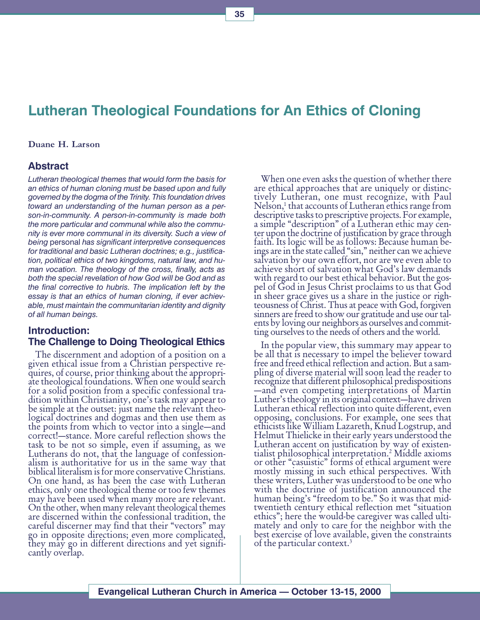## Lutheran Theological Foundations for An Ethics of Cloning

#### Duane H. Larson

#### Abstract

Lutheran theological themes that would form the basis for an ethics of human cloning must be based upon and fully governed by the dogma of the Trinity. This foundation drives toward an understanding of the human person as a person-in-community. A person-in-community is made both the more particular and communal while also the community is ever more communal in its diversity. Such a view of being personal has significant interpretive consequences for traditional and basic Lutheran doctrines; e.g., justification, political ethics of two kingdoms, natural law, and human vocation. The theology of the cross, finally, acts as both the special revelation of how God will be God and as the final corrective to hubris. The implication left by the essay is that an ethics of human cloning, if ever achievable, must maintain the communitarian identity and dignity of all human beings.

#### Introduction: The Challenge to Doing Theological Ethics

The discernment and adoption of a position on a given ethical issue from a Christian perspective requires, of course, prior thinking about the appropriate theological foundations. When one would search for a solid position from a specific confessional tradition within Christianity, one's task may appear to be simple at the outset: just name the relevant theological doctrines and dogmas and then use them as the points from which to vector into a single—and correct!—stance. More careful reflection shows the task to be not so simple, even if assuming, as we Lutherans do not, that the language of confessionalism is authoritative for us in the same way that biblical literalism is for more conservative Christians. On one hand, as has been the case with Lutheran ethics, only one theological theme or too few themes may have been used when many more are relevant. On the other, when many relevant theological themes are discerned within the confessional tradition, the careful discerner may find that their "vectors" may go in opposite directions; even more complicated, they may go in different directions and yet significantly overlap.

When one even asks the question of whether there are ethical approaches that are uniquely or distinctively Lutheran, one must recognize, with Paul Nelson,<sup>1</sup> that accounts of Lutheran ethics range from descriptive tasks to prescriptive projects. For example, a simple "description" of a Lutheran ethic may center upon the doctrine of justification by grace through faith. Its logic will be as follows: Because human beings are in the state called "sin," neither can we achieve salvation by our own effort, nor are we even able to achieve short of salvation what God's law demands with regard to our best ethical behavior. But the gospel of God in Jesus Christ proclaims to us that God in sheer grace gives us a share in the justice or righ- teousness of Christ. Thus at peace with God, forgiven sinners are freed to show our gratitude and use our talents by loving our neighbors as ourselves and committing ourselves to the needs of others and the world.

In the popular view, this summary may appear to be all that is necessary to impel the believer toward free and freed ethical reflection and action. But a sampling of diverse material will soon lead the reader to recognize that different philosophical predispositions and even competing interpretations of Martin Luther's theology in its original context—have driven Lutheran ethical reflection into quite different, even opposing, conclusions. For example, one sees that ethicists like William Lazareth, Knud Logstrup, and Helmut Thielicke in their early years understood the Lutheran accent on justification by way of existentialist philosophical interpretation.2 Middle axioms or other "casuistic" forms of ethical argument were mostly missing in such ethical perspectives. With these writers, Luther was understood to be one who with the doctrine of justification announced the human being's "freedom to be." So it was that midtwentieth century ethical reflection met "situation ethics"; here the would-be caregiver was called ultimately and only to care for the neighbor with the best exercise of love available, given the constraints of the particular context.3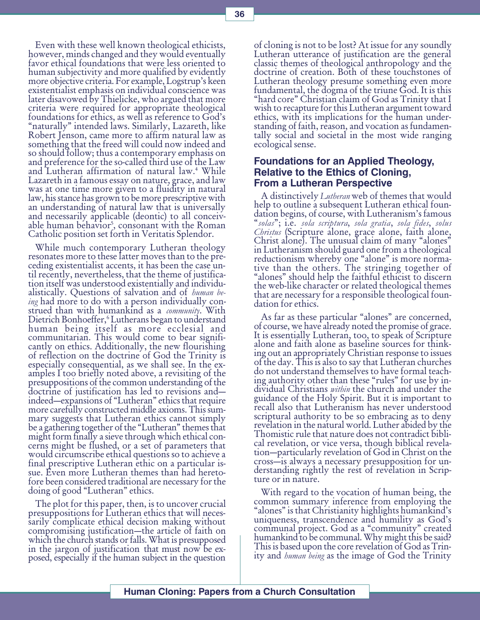Even with these well known theological ethicists, however, minds changed and they would eventually favor ethical foundations that were less oriented to human subjectivity and more qualified by evidently more objective criteria. For example, Logstrup's keen existentialist emphasis on individual conscience was later disavowed by Thielicke, who argued that more criteria were required for appropriate theological foundations for ethics, as well as reference to God's naturally intended laws. Similarly, Lazareth, like Robert Jenson, came more to affirm natural law as something that the freed will could now indeed and so should follow; thus a contemporary emphasis on and preference for the so-called third use of the Law and Lutheran affirmation of natural law.4 While Lazareth in a famous essay on nature, grace, and law was at one time more given to a fluidity in natural law, his stance has grown to be more prescriptive with an understanding of natural law that is universally and necessarily applicable (deontic) to all conceivable human behavior5 , consonant with the Roman Catholic position set forth in Veritatis Splendor.

While much contemporary Lutheran theology resonates more to these latter moves than to the preceding existentialist accents, it has been the case until recently, nevertheless, that the theme of justification itself was understood existentially and individualistically. Questions of salvation and of *human be*ing had more to do with a person individually construed than with humankind as a *community*. With Dietrich Bonhoeffer, <sup>6</sup> Lutherans began to understand human being itself as more ecclesial and communitarian. This would come to bear significantly on ethics. Additionally, the new flourishing of reflection on the doctrine of God the Trinity is especially consequential, as we shall see. In the examples I too briefly noted above, a revisiting of the presuppositions of the common understanding of the doctrine of justification has led to revisions and indeed—expansions of "Lutheran" ethics that require more carefully constructed middle axioms. This summary suggests that Lutheran ethics cannot simply be a gathering together of the "Lutheran" themes that might form finally a sieve through which ethical concerns might be flushed, or a set of parameters that would circumscribe ethical questions so to achieve a final prescriptive Lutheran ethic on a particular issue. Even more Lutheran themes than had heretofore been considered traditional are necessary for the doing of good "Lutheran" ethics.

The plot for this paper, then, is to uncover crucial presuppositions for Lutheran ethics that will necessarily complicate ethical decision making without compromising justification—the article of faith on which the church stands or falls. What is presupposed in the jargon of justification that must now be exposed, especially if the human subject in the question of cloning is not to be lost? At issue for any soundly Lutheran utterance of justification are the general classic themes of theological anthropology and the doctrine of creation. Both of these touchstones of Lutheran theology presume something even more fundamental, the dogma of the triune God. It is this "hard core" Christian claim of God as Trinity that I wish to recapture for this Lutheran argument toward ethics, with its implications for the human understanding of faith, reason, and vocation as fundamentally social and societal in the most wide ranging ecological sense.

### Foundations for an Applied Theology, Relative to the Ethics of Cloning, From a Lutheran Perspective

A distinctively *Lutheran* web of themes that would help to outline a subsequent Lutheran ethical foundation begins, of course, with Lutheranism's famous "solas"; i.e. sola scriptura, sola gratia, sola fides, solus Christus (Scripture alone, grace alone, faith alone, Christ alone). The unusual claim of many "alones" in Lutheranism should guard one from a theological reductionism whereby one "alone" is more normative than the others. The stringing together of "alones" should help the faithful ethicist to discern the web-like character or related theological themes that are necessary for a responsible theological foundation for ethics.

As far as these particular "alones" are concerned, of course, we have already noted the promise of grace. It is essentially Lutheran, too, to speak of Scripture alone and faith alone as baseline sources for thinking out an appropriately Christian response to issues of the day. This is also to say that Lutheran churches do not understand themselves to have formal teaching authority other than these "rules" for use by individual Christians *within* the church and under the guidance of the Holy Spirit. But it is important to recall also that Lutheranism has never understood scriptural authority to be so embracing as to deny revelation in the natural world. Luther abided by the Thomistic rule that nature does not contradict biblical revelation, or vice versa, though biblical revelation—particularly revelation of God in Christ on the cross—is always a necessary presupposition for understanding rightly the rest of revelation in Scripture or in nature.

With regard to the vocation of human being, the common summary inference from employing the "alones" is that Christianity highlights humankind's uniqueness, transcendence and humility as God's communal project. God as a "community" created humankind to be communal. Why might this be said? This is based upon the core revelation of God as Trinity and *human being* as the image of God the Trinity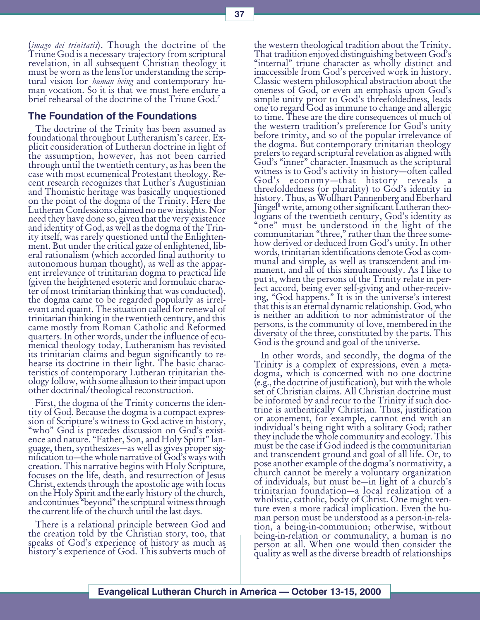(*imago dei trinitatis*). Though the doctrine of the Triune God is a necessary trajectory from scriptural revelation, in all subsequent Christian theology it must be worn as the lens for understanding the scrip-<br>tural vision for *human being* and contemporary human vocation. So it is that we must here endure a brief rehearsal of the doctrine of the Triune God.7

# The Foundation of the Foundations

The doctrine of the Trinity has been assumed as foundational throughout Lutheranism's career. Explicit consideration of Lutheran doctrine in light of the assumption, however, has not been carried through until the twentieth century, as has been the case with most ecumenical Protestant theology. Recent research recognizes that Luther's Augustinian and Thomistic heritage was basically unquestioned on the point of the dogma of the Trinity. Here the Lutheran Confessions claimed no new insights. Nor need they have done so, given that the very existence and identity of God, as well as the dogma of the Trinity itself, was rarely questioned until the Enlightenment. But under the critical gaze of enlightened, liberal rationalism (which accorded final authority to autonomous human thought), as well as the apparent irrelevance of trinitarian dogma to practical life (given the heightened esoteric and formulaic character of most trinitarian thinking that was conducted), the dogma came to be regarded popularly as irrelevant and quaint. The situation called for renewal of trinitarian thinking in the twentieth century, and this came mostly from Roman Catholic and Reformed quarters. In other words, under the influence of ecumenical theology today, Lutheranism has revisited its trinitarian claims and begun significantly to rehearse its doctrine in their light. The basic characteristics of contemporary Lutheran trinitarian theology follow, with some allusion to their impact upon other doctrinal/theological reconstruction.

First, the dogma of the Trinity concerns the identity of God. Because the dogma is a compact expression of Scripture's witness to God active in history, "who" God is precedes discussion on God's existence and nature. "Father, Son, and Holy Spirit" language, then, synthesizes—as well as gives proper signification to-the whole narrative of  $\text{God's ways with}$ creation. This narrative begins with Holy Scripture, focuses on the life, death, and resurrection of Jesus Christ, extends through the apostolic age with focus on the Holy Spirit and the early history of the church, and continues "beyond" the scriptural witness through the current life of the church until the last days.

There is a relational principle between God and the creation told by the Christian story, too, that speaks of God's experience of history as much as history's experience of God. This subverts much of

the western theological tradition about the Trinity. That tradition enjoyed distinguishing between God's "internal" triune character as wholly distinct and inaccessible from God's perceived work in history. Classic western philosophical abstraction about the oneness of God, or even an emphasis upon God's simple unity prior to God's threefoldedness, leads one to regard God as immune to change and allergic to time. These are the dire consequences of much of the western tradition's preference for God's unity before trinity, and so of the popular irrelevance of the dogma. But contemporary trinitarian theology prefers to regard scriptural revelation as aligned with God's "inner" character. Inasmuch as the scriptural witness is to God's activity in history—often called God's economy—that history reveals a threefoldedness (or plurality) to God's identity in history. Thus, as Wolfhart Pannenberg and Eberhard Jüngel<sup>8</sup> write, among other significant Lutheran theo-<br>logians of the twentieth century, God's identity as "one" must be understood in the light of the communitarian "three," rather than the three somehow derived or deduced from God's unity. In other words, trinitarian identifications denote God as communal and simple, as well as transcendent and immanent, and all of this simultaneously. As I like to put it, when the persons of the Trinity relate in perfect accord, being ever self-giving and other-receiving, "God happens." It is in the universe's interest that this is an eternal dynamic relationship. God, who is neither an addition to nor administrator of the persons, is the community of love, membered in the diversity of the three, constituted by the parts. This God is the ground and goal of the universe.

In other words, and secondly, the dogma of the Trinity is a complex of expressions, even a metadogma, which is concerned with no one doctrine (e.g., the doctrine of justification), but with the whole set of Christian claims. All Christian doctrine must be informed by and recur to the Trinity if such doctrine is authentically Christian. Thus, justification or atonement, for example, cannot end with an individual's being right with a solitary God; rather they include the whole community and ecology. This must be the case if God indeed is the communitarian and transcendent ground and goal of all life. Or, to pose another example of the dogma's normativity, a church cannot be merely a voluntary organization of individuals, but must be—in light of a church's trinitarian foundation—a local realization of a wholistic, catholic, body of Christ. One might venture even a more radical implication. Even the human person must be understood as a person-in-relation, a being-in-communion; otherwise, without being-in-relation or communality, a human is no person at all. When one would then consider the quality as well as the diverse breadth of relationships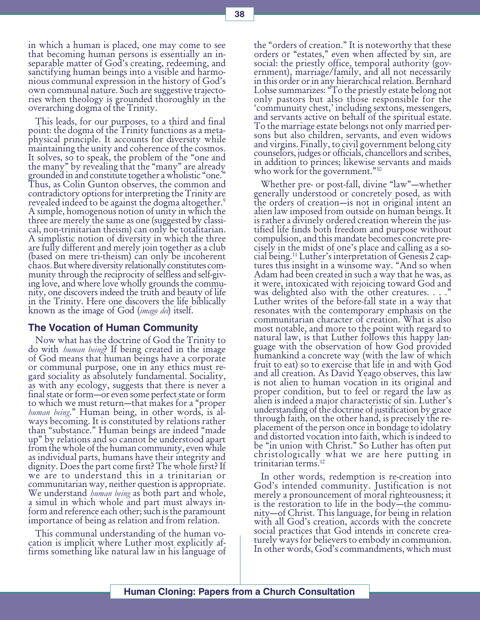in which a human is placed, one may come to see that becoming human persons is essentially an inseparable matter of God's creating, redeeming, and sanctifying human beings into a visible and harmonious communal expression in the history of God's own communal nature. Such are suggestive trajectories when theology is grounded thoroughly in the overarching dogma of the Trinity.

This leads, for our purposes, to a third and final point: the dogma of the Trinity functions as a metaphysical principle. It accounts for diversity while maintaining the unity and coherence of the cosmos. It solves, so to speak, the problem of the "one and the many" by revealing that the "many" are already grounded in and constitute together a wholistic "one." Thus, as Colin Gunton observes, the common and contradictory options for interpreting the Trinity are revealed indeed to be against the dogma altogether.<sup>9</sup> A simple, homogenous notion of unity in which the three are merely the same as one (suggested by classical, non-trinitarian theism) can only be totalitarian. A simplistic notion of diversity in which the three are fully different and merely join together as a club (based on mere tri-theism) can only be incoherent chaos. But where diversity relationally constitutes community through the reciprocity of selfless and self-giving love, and where love wholly grounds the community, one discovers indeed the truth and beauty of life in the Trinity. Here one discovers the life biblically known as the image of God (imago dei) itself.

#### The Vocation of Human Community

Now what has the doctrine of God the Trinity to<br>do with *human being*? If being created in the image of God means that human beings have a corporate or communal purpose, one in any ethics must regard sociality as absolutely fundamental. Sociality, as with any ecology, suggests that there is never a final state or form—or even some perfect state or form to which we must return—that makes for a "proper" human being." Human being, in other words, is always becoming. It is constituted by relations rather than "substance." Human beings are indeed "made up" by relations and so cannot be understood apart from the whole of the human community, even while as individual parts, humans have their integrity and dignity. Does the part come first? The whole first? If we are to understand this in a trinitarian or communitarian way, neither question is appropriate. We understand *human being* as both part and whole, a simul in which whole and part must always inform and reference each other; such is the paramount importance of being as relation and from relation.

This communal understanding of the human vocation is implicit where Luther most explicitly affirms something like natural law in his language of

the "orders of creation." It is noteworthy that these orders or "estates," even when affected by sin, are social: the priestly office, temporal authority (government), marriage/family, and all not necessarily in this order or in any hierarchical relation. Bernhard Lohse summarizes: "To the priestly estate belong not only pastors but also those responsible for the communuity chest, including sextons, messengers, and servants active on behalf of the spiritual estate. To the marriage estate belongs not only married persons but also children, servants, and even widows and virgins. Finally, to civil government belong city counselors, judges or officials, chancellors and scribes, in addition to princes; likewise servants and maids who work for the government."<sup>10</sup>

Whether pre- or post-fall, divine "law"-whether generally understood or concretely posed, as with the orders of creation—is not in original intent an alien law imposed from outside on human beings. It is rather a divinely ordered creation wherein the justified life finds both freedom and purpose without compulsion, and this mandate becomes concrete precisely in the midst of one's place and calling as a social being.<sup>11</sup> Luther's interpretation of Genesis 2 cap-<br>tures this insight in a winsome way. "And so when Adam had been created in such a way that he was, as it were, intoxicated with rejoicing toward God and was delighted also with the other creatures. . . . Luther writes of the before-fall state in a way that resonates with the contemporary emphasis on the communitarian character of creation. What is also most notable, and more to the point with regard to natural law, is that Luther follows this happy language with the observation of how God provided humankind a concrete way (with the law of which fruit to eat) so to exercise that life in and with God and all creation. As David Yeago observes, this law is not alien to human vocation in its original and proper condition, but to feel or regard the law as alien is indeed a major characteristic of sin. Luther's understanding of the doctrine of justification by grace through faith, on the other hand, is precisely the replacement of the person once in bondage to idolatry and distorted vocation into faith, which is indeed to be "in union with Christ." So Luther has often put christologically what we are here putting in trinitarian terms.12

In other words, redemption is re-creation into God's intended community. Justification is not merely a pronouncement of moral righteousness; it is the restoration to life in the body—the community—of Christ. This language, for being in relation with all God's creation, accords with the concrete social practices that God intends in concrete creaturely ways for believers to embody in communion. In other words, God's commandments, which must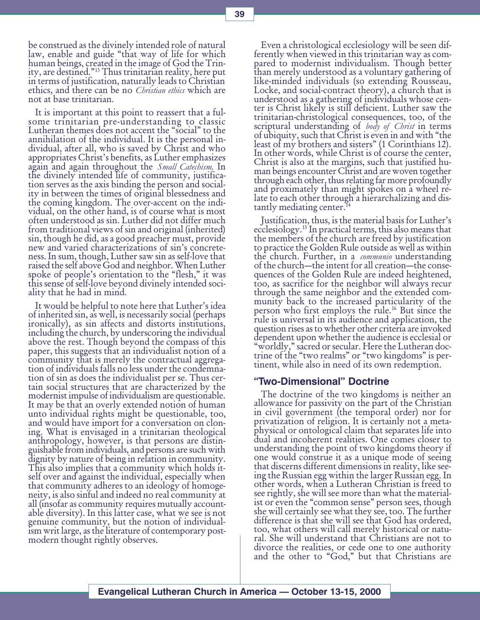be construed as the divinely intended role of natural law, enable and guide "that way of life for which human beings, created in the image of God the Trinity, are destined."<sup>13</sup> Thus trinitarian reality, here put in terms of justification, naturally leads to Christian ethics, and there can be no *Christian ethics* which are not at base trinitarian.

It is important at this point to reassert that a fulsome trinitarian pre-understanding to classic Lutheran themes does not accent the "social" to the annihilation of the individual. It is the personal individual, after all, who is saved by Christ and who appropriates Christ's benefits, as Luther emphasizes again and again throughout the *Small Catechism*. In the divinely intended life of community, justification serves as the axis binding the person and sociality in between the times of original blessedness and the coming kingdom. The over-accent on the individual, on the other hand, is of course what is most often understood as sin. Luther did not differ much from traditional views of sin and original (inherited) sin, though he did, as a good preacher must, provide new and varied characterizations of sin's concreteness. In sum, though, Luther saw sin as self-love that raised the self above God and neighbor. When Luther spoke of people's orientation to the "flesh," it was this sense of self-love beyond divinely intended sociality that he had in mind.

It would be helpful to note here that Luther's idea of inherited sin, as well, is necessarily social (perhaps ironically), as sin affects and distorts institutions, including the church, by underscoring the individual above the rest. Though beyond the compass of this paper, this suggests that an individualist notion of a community that is merely the contractual aggregation of individuals falls no less under the condemnation of sin as does the individualist per se. Thus certain social structures that are characterized by the modernist impulse of individualism are questionable. It may be that an overly extended notion of human unto individual rights might be questionable, too, and would have import for a conversation on cloning. What is envisaged in a trinitarian theological anthropology, however, is that persons are distinguishable from individuals, and persons are such with dignity by nature of being in relation in community. This also implies that a community which holds itself over and against the individual, especially when that community adheres to an ideology of homogeneity, is also sinful and indeed no real community at all (insofar as community requires mutually accountable diversity). In this latter case, what we see is not genuine community, but the notion of individualism writ large, as the literature of contemporary postmodern thought rightly observes.

Even a christological ecclesiology will be seen differently when viewed in this trinitarian way as compared to modernist individualism. Though better than merely understood as a voluntary gathering of like-minded individuals (so extending Rousseau, Locke, and social-contract theory), a church that is understood as a gathering of individuals whose center is Christ likely is still deficient. Luther saw the trinitarian-christological consequences, too, of the scriptural understanding of *body of Christ* in terms of ubiquity, such that Christ is even in and with "the least of my brothers and sisters" (1 Corinthians 12). In other words, while Christ is of course the center, Christ is also at the margins, such that justified human beings encounter Christ and are woven together through each other, thus relating far more profoundly and proximately than might spokes on a wheel relate to each other through a hierarchalizing and distantly mediating center.<sup>14</sup>

Justification, thus, is the material basis for Luther's ecclesiology.15 In practical terms, this also means that the members of the church are freed by justification to practice the Golden Rule outside as well as within the church. Further, in a *communio* understanding<br>of the church—the intent for all creation—the consequences of the Golden Rule are indeed heightened, too, as sacrifice for the neighbor will always recur through the same neighbor and the extended community back to the increased particularity of the person who first employs the rule.16 But since the rule is universal in its audience and application, the question rises as to whether other criteria are invoked dependent upon whether the audience is ecclesial or worldly, sacred or secular. Here the Lutheran doctrine of the "two realms" or "two kingdoms" is pertinent, while also in need of its own redemption.

#### "Two-Dimensional" Doctrine

The doctrine of the two kingdoms is neither an allowance for passivity on the part of the Christian in civil government (the temporal order) nor for privatization of religion. It is certainly not a metaphysical or ontological claim that separates life into dual and incoherent realities. One comes closer to understanding the point of two kingdoms theory if one would construe it as a unique mode of seeing that discerns different dimensions in reality, like seeing the Russian egg within the larger Russian egg. In other words, when a Lutheran Christian is freed to see rightly, she will see more than what the materialist or even the "common sense" person sees, though she will certainly see what they see, too. The further difference is that she will see that God has ordered, too, what others will call merely historical or natural. She will understand that Christians are not to divorce the realities, or cede one to one authority and the other to "God," but that Christians are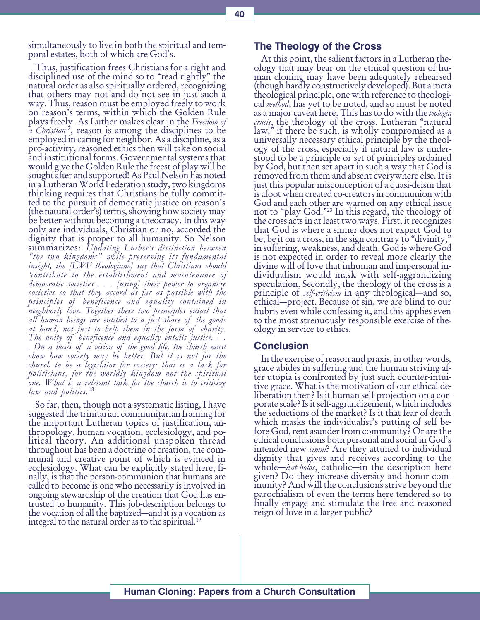simultaneously to live in both the spiritual and temporal estates, both of which are God's.

Thus, justification frees Christians for a right and disciplined use of the mind so to "read rightly" the natural order as also spiritually ordered, recognizing that others may not and do not see in just such a way. Thus, reason must be employed freely to work on reason's terms, within which the Golden Rule plays freely. As Luther makes clear in the Freedom of  $\tilde{a}$  Christian<sup>17</sup>, reason is among the disciplines to be employed in caring for neighbor. As a discipline, as a pro-activity, reasoned ethics then will take on social and institutional forms. Governmental systems that would give the Golden Rule the freest of play will be sought after and supported! As Paul Nelson has noted in a Lutheran World Federation study, two kingdoms thinking requires that Christians be fully committed to the pursuit of democratic justice on reason's (the natural order's) terms, showing how society may be better without becoming a theocracy. In this way only are individuals, Christian or no, accorded the dignity that is proper to all humanity. So Nelson summarizes: Updating Luther's distinction between "the two kingdoms" while preserving its fundamental insight, the [LWF theologians] say that Christians should contribute to the establishment and maintenance of democratic societies . . . [using] their power to organize societies so that they accord as far as possible with the principles of beneficence and equality contained in neighborly love. Together these two principles entail that all human beings are entitled to a just share of the goods at hand, not just to help them in the form of charity. The unity of beneficence and equality entails justice... . On a basis of a vision of the good life, the church must show how society may be better. But it is not for the church to be a legislator for society: that is a task for politicians, for the worldly kingdom not the spiritual one. What is a relevant task for the church is to criticize law and politics.<sup>18</sup>

So far, then, though not a systematic listing, I have suggested the trinitarian communitarian framing for the important Lutheran topics of justification, anthropology, human vocation, ecclesiology, and political theory. An additional unspoken thread throughout has been a doctrine of creation, the communal and creative point of which is evinced in ecclesiology. What can be explicitly stated here, finally, is that the person-communion that humans are called to become is one who necessarily is involved in ongoing stewardship of the creation that God has entrusted to humanity. This job-description belongs to the vocation of all the baptized—and it is a vocation as integral to the natural order as to the spiritual.19

# The Theology of the Cross

At this point, the salient factors in a Lutheran theology that may bear on the ethical question of human cloning may have been adequately rehearsed (though hardly constructively developed). But a meta theological principle, one with reference to theological *method*, has yet to be noted, and so must be noted as a major caveat here. This has to do with the *teologia* crucis, the theology of the cross. Lutheran "natural" law," if there be such, is wholly compromised as a universally necessary ethical principle by the theology of the cross, especially if natural law is understood to be a principle or set of principles ordained by God, but then set apart in such a way that God is removed from them and absent everywhere else. It is just this popular misconception of a quasi-deism that is afoot when created co-creators in communion with God and each other are warned on any ethical issue<br>not to "play God."<sup>20</sup> In this regard, the theology of the cross acts in at least two ways. First, it recognizes that God is where a sinner does not expect God to be, be it on a cross, in the sign contrary to "divinity, in suffering, weakness, and death. God is where God is not expected in order to reveal more clearly the divine will of love that inhuman and impersonal individualism would mask with self-aggrandizing speculation. Secondly, the theology of the cross is a principle of *self-criticism* in any theological—and so, ethical—project. Because of sin, we are blind to our hubris even while confessing it, and this applies even to the most strenuously responsible exercise of theology in service to ethics.

#### **Conclusion**

In the exercise of reason and praxis, in other words, grace abides in suffering and the human striving after utopia is confronted by just such counter-intuitive grace. What is the motivation of our ethical deliberation then? Is it human self-projection on a corporate scale? Is it self-aggrandizement, which includes the seductions of the market? Is it that fear of death which masks the individualist's putting of self before God, rent asunder from community? Or are the ethical conclusions both personal and social in God's<br>intended new simul? Are they attuned to individual dignity that gives and receives according to the whole—*kat-holos*, catholic—in the description here given? Do they increase diversity and honor community? And will the conclusions strive beyond the parochialism of even the terms here tendered so to finally engage and stimulate the free and reasoned reign of love in a larger public?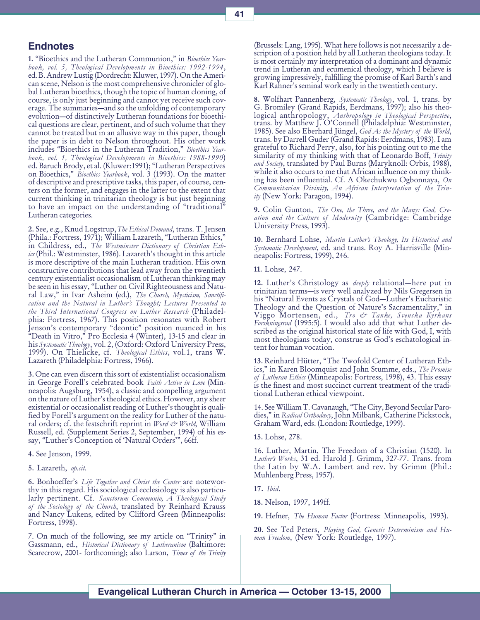# **Endnotes**

1. "Bioethics and the Lutheran Communion," in Bioethics Yearbook, vol. 5, Theological Developments in Bioethics: 1992-1994, ed. B. Andrew Lustig (Dordrecht: Kluwer, 1997). On the American scene, Nelson is the most comprehensive chronicler of global Lutheran bioethics, though the topic of human cloning, of course, is only just beginning and cannot yet receive such coverage. The summaries—and so the unfolding of contemporary evolution-of distinctively Lutheran foundations for bioethical questions are clear, pertinent, and of such volume that they cannot be treated but in an allusive way in this paper, though the paper is in debt to Nelson throughout. His other work includes "Bioethics in the Lutheran Tradition," Bioethics Yearbook, vol. 1, Theological Developments in Bioethics: 1988-1990) ed. Baruch Brody, et al. (Kluwer:1991); Lutheran Perspectives on Bioethics," Bioethics Yearbook, vol. 3 (1993). On the matter of descriptive and prescriptive tasks, this paper, of course, centers on the former, and engages in the latter to the extent that current thinking in trinitarian theology is but just beginning to have an impact on the understanding of "traditional" Lutheran categories.

2. See, e.g., Knud Logstrup, The Ethical Demand, trans. T. Jensen (Phila.: Fortress, 1971); William Lazareth, "Lutheran Ethics," in Childress, ed., The Westminster Dictionary of Christian Eth $i\epsilon s$  (Phil.: Westminster, 1986). Lazareth's thought in this article is more descriptive of the main Lutheran tradition. Hiis own constructive contributions that lead away from the twentieth century existentialist occasionalism of Lutheran thinking may be seen in his essay, Luther on Civil Righteousness and Natural Law," in Ivar Asheim (ed.), The Church, Mysticism, Sanctification and the Natural in Luther's Thought; Lectures Presented to the Third International Congress on Luther Research (Philadelphia: Fortress, 1967). This position resonates with Robert Jenson's contemporary "deontic" position nuanced in his "Death in Vitro," Pro Ecclesia 4 (Winter), 13-15 and clear in his Systematic Theology, vol. 2, (Oxford: Oxford University Press, 1999). On Thielicke, cf. Theological Ethics, vol.1, trans W. Lazareth (Philadelphia: Fortress, 1966).

3. One can even discern this sort of existentialist occasionalism in George Forell's celebrated book Faith Active in Love (Minneapolis: Augsburg, 1954), a classic and compelling argument on the nature of Luther's theological ethics. However, any sheer existential or occasionalist reading of Luther's thought is qualified by Forell's argument on the reality for Luther of the natural orders; cf. the festschrift reprint in  $Word \, \text{c}$ <sup>y</sup> World, William Russell, ed. (Supplement Series 2, September, 1994) of his essay, "Luther's Conception of 'Natural Orders'", 66ff.

4. See Jenson, 1999.

5. Lazareth, op.cit.

6. Bonhoeffer's Life Together and Christ the Center are noteworthy in this regard. His sociological ecclesiology is also particularly pertinent. Cf. Sanctorum Communio, A Theological Study of the Sociology of the Church, translated by Reinhard Krauss and Nancy Lukens, edited by Clifford Green (Minneapolis: Fortress, 1998).

7. On much of the following, see my article on "Trinity" in Gassmann, ed., Historical Dictionary of Lutheranism (Baltimore: Scarecrow, 2001- forthcoming); also Larson, *Times of the Trinity*  (Brussels: Lang, 1995). What here follows is not necessarily a description of a position held by all Lutheran theologians today. It is most certainly my interpretation of a dominant and dynamic trend in Lutheran and ecumenical theology, which I believe is growing impressively, fulfilling the promise of Karl Barth's and Karl Rahner's seminal work early in the twentieth century.

8. Wolfhart Pannenberg, *Systematic Theology*, vol. 1, trans. by G. Bromiley (Grand Rapids, Eerdmans, 1997); also his theological anthropology, Anthropology in Theological Perspective, trans. by Matthew J. O'Connell (Philadelphia: Westminster, 1985). See also Eberhard Jüngel, God As the Mystery of the World, trans. by Darrell Guder (Grand Rapids: Eerdmans, 1983). I am grateful to Richard Perry, also, for his pointing out to me the similarity of my thinking with that of Leonardo Boff, Trinity and Society, translated by Paul Burns (Maryknoll: Orbis, 1988), while it also occurs to me that African influence on my thinking has been influential. Cf. A Okechukwu Ogbonnaya, On Communitarian Divinity, An African Interpretation of the Trinity (New York: Paragon, 1994).

9. Colin Gunton, The One, the Three, and the Many: God, Creation and the Culture of Modernity (Cambridge: Cambridge University Press, 1993).

10. Bernhard Lohse, Martin Luther's Theology, Its Historical and Systematic Development, ed. and trans. Roy A. Harrisville (Minneapolis: Fortress, 1999), 246.

11. Lohse, 247.

12. Luther's Christology as *deeply* relational—here put in trinitarian terms—is very well analyzed by Nils Gregersen in his "Natural Events as Crystals of God—Luther's Eucharistic Theology and the Question of Nature's Sacramentality," in Viggo Mortensen, ed., Tro & Tanke, Svenska Kyrkans Forskningsrad (1995:5). I would also add that what Luther described as the original historical state of life with God, I, with most theologians today, construe as God's eschatological intent for human vocation.

13. Reinhard Hütter, "The Twofold Center of Lutheran Ethics," in Karen Bloomquist and John Stumme, eds., The Promise of Lutheran Ethics (Minneapolis: Fortress, 1998), 43. This essay is the finest and most succinct current treatment of the traditional Lutheran ethical viewpoint.

14. See William T. Cavanaugh, The City, Beyond Secular Parodies," in Radical Orthodoxy, John Milbank, Catherine Pickstock, Graham Ward, eds. (London: Routledge, 1999).

15. Lohse, 278.

16. Luther, Martin, The Freedom of a Christian (1520). In Luther's Works, 31 ed. Harold J. Grimm, 327-77. Trans. from the Latin by W.A. Lambert and rev. by Grimm (Phil.: Muhlenberg Press, 1957).

17. Ibid.

18. Nelson, 1997, 149ff.

19. Hefner, The Human Factor (Fortress: Minneapolis, 1993).

20. See Ted Peters, Playing God, Genetic Determinism and Human Freedom, (New York: Routledge, 1997).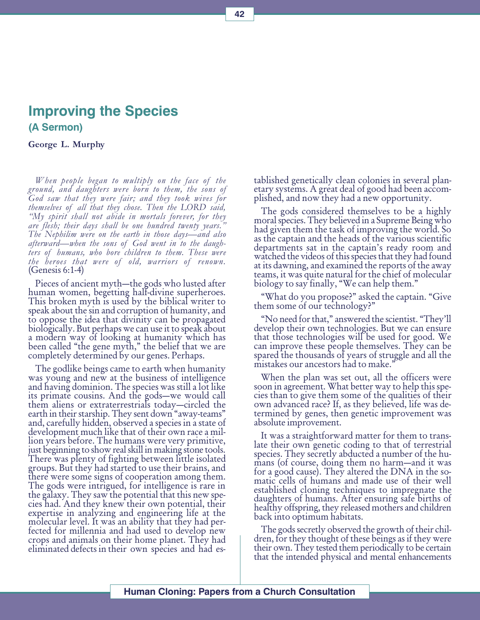# Improving the Species (A Sermon)

George L. Murphy

When people began to multiply on the face of the ground, and daughters were born to them, the sons of God saw that they were fair; and they took wives for themselves of all that they chose. Then the LORD said, "My spirit shall not abide in mortals forever, for they are flesh; their days shall be one hundred twenty years." The Nephilim were on the earth in those days—and also afterward—when the sons of God went in to the daughters of humans, who bore children to them. These were the heroes that were of old, warriors of renown. (Genesis 6:1-4)

Pieces of ancient myth—the gods who lusted after human women, begetting half-divine superheroes. This broken myth is used by the biblical writer to speak about the sin and corruption of humanity, and to oppose the idea that divinity can be propagated biologically. But perhaps we can use it to speak about a modern way of looking at humanity which has been called "the gene myth," the belief that we are completely determined by our genes. Perhaps.

The godlike beings came to earth when humanity was young and new at the business of intelligence and having dominion. The species was still a lot like its primate cousins. And the gods-we would call them aliens or extraterrestrials today—circled the earth in their starship. They sent down "away-teams" and, carefully hidden, observed a species in a state of development much like that of their own race a million years before. The humans were very primitive, just beginning to show real skill in making stone tools. There was plenty of fighting between little isolated groups. But they had started to use their brains, and there were some signs of cooperation among them. The gods were intrigued, for intelligence is rare in the galaxy. They saw the potential that this new species had. And they knew their own potential, their expertise in analyzing and engineering life at the molecular level. It was an ability that they had perfected for millennia and had used to develop new crops and animals on their home planet. They had eliminated defects in their own species and had established genetically clean colonies in several planetary systems. A great deal of good had been accomplished, and now they had a new opportunity.

The gods considered themselves to be a highly moral species. They believed in a Supreme Being who had given them the task of improving the world. So as the captain and the heads of the various scientific departments sat in the captain's ready room and watched the videos of this species that they had found at its dawning, and examined the reports of the away teams, it was quite natural for the chief of molecular biology to say finally, "We can help them."

"What do you propose?" asked the captain. "Give them some of our technology?

"No need for that," answered the scientist. "They'll develop their own technologies. But we can ensure that those technologies will be used for good. We can improve these people themselves. They can be spared the thousands of years of struggle and all the mistakes our ancestors had to make.

When the plan was set out, all the officers were soon in agreement. What better way to help this species than to give them some of the qualities of their own advanced race? If, as they believed, life was determined by genes, then genetic improvement was absolute improvement.

It was a straightforward matter for them to translate their own genetic coding to that of terrestrial species. They secretly abducted a number of the humans (of course, doing them no harm—and it was for a good cause). They altered the DNA in the somatic cells of humans and made use of their well established cloning techniques to impregnate the daughters of humans. After ensuring safe births of healthy offspring, they released mothers and children back into optimum habitats.

The gods secretly observed the growth of their children, for they thought of these beings as if they were their own. They tested them periodically to be certain that the intended physical and mental enhancements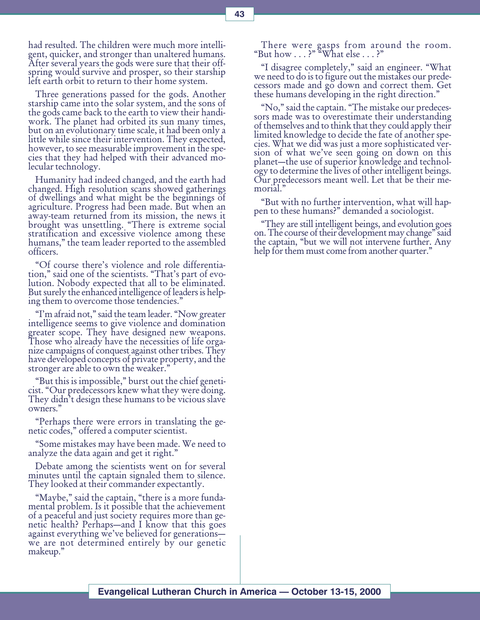had resulted. The children were much more intelligent, quicker, and stronger than unaltered humans. After several years the gods were sure that their offspring would survive and prosper, so their starship left earth orbit to return to their home system.

Three generations passed for the gods. Another starship came into the solar system, and the sons of the gods came back to the earth to view their handiwork. The planet had orbited its sun many times, but on an evolutionary time scale, it had been only a little while since their intervention. They expected, however, to see measurable improvement in the species that they had helped with their advanced molecular technology.

Humanity had indeed changed, and the earth had changed. High resolution scans showed gatherings of dwellings and what might be the beginnings of agriculture. Progress had been made. But when an away-team returned from its mission, the news it brought was unsettling. There is extreme social stratification and excessive violence among these humans," the team leader reported to the assembled officers.

"Of course there's violence and role differentiation," said one of the scientists. "That's part of evolution. Nobody expected that all to be eliminated. But surely the enhanced intelligence of leaders is helping them to overcome those tendencies.

"I'm afraid not," said the team leader. "Now greater intelligence seems to give violence and domination greater scope. They have designed new weapons. Those who already have the necessities of life organize campaigns of conquest against other tribes. They have developed concepts of private property, and the stronger are able to own the weaker."

"But this is impossible," burst out the chief geneticist. Our predecessors knew what they were doing. They didn't design these humans to be vicious slave owners.

Perhaps there were errors in translating the genetic codes," offered a computer scientist.

Some mistakes may have been made. We need to analyze the data again and get it right.

Debate among the scientists went on for several minutes until the captain signaled them to silence. They looked at their commander expectantly.

"Maybe," said the captain, "there is a more fundamental problem. Is it possible that the achievement of a peaceful and just society requires more than genetic health? Perhaps—and I know that this goes against everything we've believed for generations we are not determined entirely by our genetic makeup.

There were gasps from around the room. "But how  $\ldots$  ?" "What else  $\ldots$  ?"

I disagree completely, said an engineer. What we need to do is to figure out the mistakes our predecessors made and go down and correct them. Get these humans developing in the right direction.

"No," said the captain. "The mistake our predecessors made was to overestimate their understanding of themselves and to think that they could apply their limited knowledge to decide the fate of another species. What we did was just a more sophisticated version of what we've seen going on down on this planet—the use of superior knowledge and technology to determine the lives of other intelligent beings. Our predecessors meant well. Let that be their memorial.

But with no further intervention, what will happen to these humans? demanded a sociologist.

They are still intelligent beings, and evolution goes on. The course of their development may change" said the captain, "but we will not intervene further. Any help for them must come from another quarter."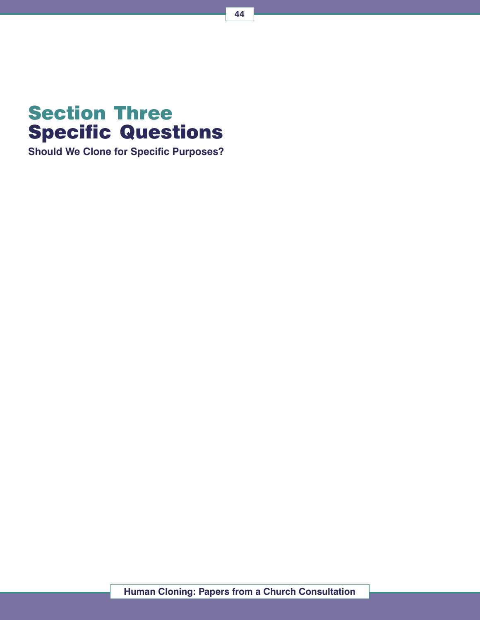

Should We Clone for Specific Purposes?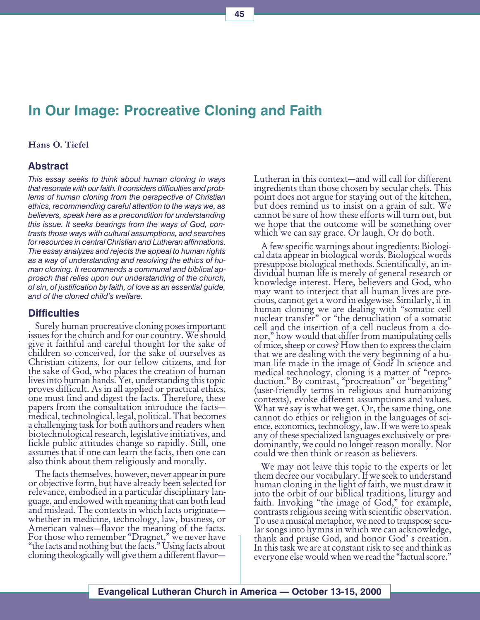# In Our Image: Procreative Cloning and Faith

#### Hans O. Tiefel

## Abstract

This essay seeks to think about human cloning in ways that resonate with our faith. It considers difficulties and problems of human cloning from the perspective of Christian ethics, recommending careful attention to the ways we, as believers, speak here as a precondition for understanding this issue. It seeks bearings from the ways of God, contrasts those ways with cultural assumptions, and searches for resources in central Christian and Lutheran affirmations. The essay analyzes and rejects the appeal to human rights as a way of understanding and resolving the ethics of human cloning. It recommends a communal and biblical approach that relies upon our understanding of the church, of sin, of justification by faith, of love as an essential guide, and of the cloned child's welfare.

#### **Difficulties**

Surely human procreative cloning poses important issues for the church and for our country. We should give it faithful and careful thought for the sake of children so conceived, for the sake of ourselves as Christian citizens, for our fellow citizens, and for the sake of God, who places the creation of human lives into human hands. Yet, understanding this topic proves difficult. As in all applied or practical ethics, one must find and digest the facts. Therefore, these papers from the consultation introduce the facts medical, technological, legal, political. That becomes a challenging task for both authors and readers when biotechnological research, legislative initiatives, and fickle public attitudes change so rapidly. Still, one assumes that if one can learn the facts, then one can also think about them religiously and morally.

The facts themselves, however, never appear in pure or objective form, but have already been selected for relevance, embodied in a particular disciplinary language, and endowed with meaning that can both lead and mislead. The contexts in which facts originate whether in medicine, technology, law, business, or American values—flavor the meaning of the facts. For those who remember "Dragnet," we never have "the facts and nothing but the facts." Using facts about cloning theologically will give them a different flavor

Lutheran in this context—and will call for different ingredients than those chosen by secular chefs. This point does not argue for staying out of the kitchen, but does remind us to insist on a grain of salt. We cannot be sure of how these efforts will turn out, but we hope that the outcome will be something over which we can say grace. Or laugh. Or do both.

A few specific warnings about ingredients: Biological data appear in biological words. Biological words presuppose biological methods. Scientifically, an individual human life is merely of general research or knowledge interest. Here, believers and God, who may want to interject that all human lives are precious, cannot get a word in edgewise. Similarly, if in human cloning we are dealing with "somatic cell nuclear transfer" or "the denucliation of a somatic cell and the insertion of a cell nucleus from a donor," how would that differ from manipulating cells of mice, sheep or cows? How then to express the claim that we are dealing with the very beginning of a human life made in the image of God? In science and medical technology, cloning is a matter of "reproduction." By contrast, "procreation" or "begetting" (user-friendly terms in religious and humanizing contexts), evoke different assumptions and values. What we say is what we get. Or, the same thing, one cannot do ethics or religion in the languages of science, economics, technology, law. If we were to speak any of these specialized languages exclusively or predominantly, we could no longer reason morally. Nor could we then think or reason as believers.

We may not leave this topic to the experts or let them decree our vocabulary. If we seek to understand human cloning in the light of faith, we must draw it into the orbit of our biblical traditions, liturgy and faith. Invoking "the image of God," for example, contrasts religious seeing with scientific observation. To use a musical metaphor, we need to transpose secular songs into hymns in which we can acknowledge, thank and praise God, and honor God's creation. In this task we are at constant risk to see and think as everyone else would when we read the "factual score."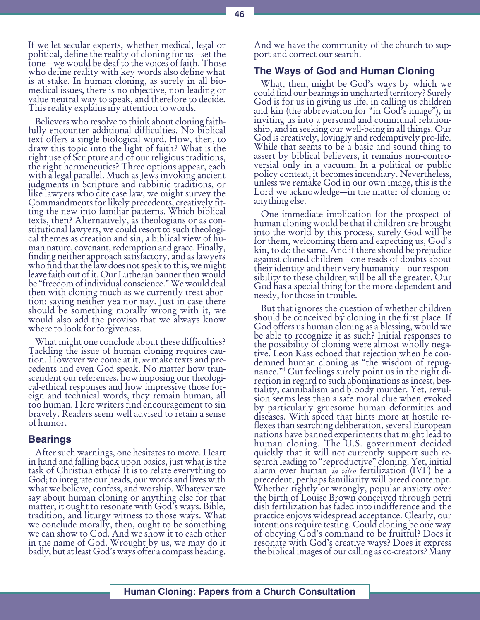Believers who resolve to think about cloning faithfully encounter additional difficulties. No biblical text offers a single biological word. How, then, to draw this topic into the light of faith? What is the right use of Scripture and of our religious traditions, the right hermeneutics? Three options appear, each with a legal parallel. Much as Jews invoking ancient judgments in Scripture and rabbinic traditions, or like lawyers who cite case law, we might survey the Commandments for likely precedents, creatively fitting the new into familiar patterns. Which biblical texts, then? Alternatively, as theologians or as constitutional lawyers, we could resort to such theological themes as creation and sin, a biblical view of human nature, covenant, redemption and grace. Finally, finding neither approach satisfactory, and as lawyers who find that the law does not speak to this, we might leave faith out of it. Our Lutheran banner then would be "freedom of individual conscience." We would deal then with cloning much as we currently treat abortion: saying neither yea nor nay. Just in case there should be something morally wrong with it, we would also add the proviso that we always know where to look for forgiveness.

What might one conclude about these difficulties? Tackling the issue of human cloning requires caution. However we come at it,  $we$  make texts and pre-<br>cedents and even God speak. No matter how transcendent our references, how imposing our theological-ethical responses and how impressive those foreign and technical words, they remain human, all too human. Here writers find encouragement to sin bravely. Readers seem well advised to retain a sense of humor.

#### Bearings

After such warnings, one hesitates to move. Heart in hand and falling back upon basics, just what is the task of Christian ethics? It is to relate everything to God; to integrate our heads, our words and lives with what we believe, confess, and worship. Whatever we say about human cloning or anything else for that matter, it ought to resonate with God's ways. Bible, tradition, and liturgy witness to those ways. What we conclude morally, then, ought to be something we can show to God. And we show it to each other in the name of God. Wrought by us, we may do it badly, but at least God's ways offer a compass heading.

And we have the community of the church to support and correct our search.

#### The Ways of God and Human Cloning

What, then, might be God's ways by which we could find our bearings in uncharted territory? Surely God is for us in giving us life, in calling us children and kin (the abbreviation for "in God's image"), in inviting us into a personal and communal relationship, and in seeking our well-being in all things. Our God is creatively, lovingly and redemptively pro-life. While that seems to be a basic and sound thing to assert by biblical believers, it remains non-controversial only in a vacuum. In a political or public policy context, it becomes incendiary. Nevertheless, unless we remake God in our own image, this is the Lord we acknowledge—in the matter of cloning or anything else.

One immediate implication for the prospect of human cloning would be that if children are brought into the world by this process, surely God will be for them, welcoming them and expecting us, God's kin, to do the same. And if there should be prejudice against cloned children-one reads of doubts about their identity and their very humanity—our responsibility to these children will be all the greater. Our God has a special thing for the more dependent and needy, for those in trouble.

But that ignores the question of whether children should be conceived by cloning in the first place. If God offers us human cloning as a blessing, would we be able to recognize it as such? Initial responses to the possibility of cloning were almost wholly negative. Leon Kass echoed that rejection when he condemned human cloning as "the wisdom of repugnance.1 Gut feelings surely point us in the right di- rection in regard to such abominations as incest, bestiality, cannibalism and bloody murder. Yet, revulsion seems less than a safe moral clue when evoked by particularly gruesome human deformities and diseases. With speed that hints more at hostile reflexes than searching deliberation, several European nations have banned experiments that might lead to human cloning. The U.S. government decided quickly that it will not currently support such research leading to "reproductive" cloning. Yet, initial alarm over human *in vitro* fertilization (IVF) be a precedent, perhaps familiarity will breed contempt. Whether rightly or wrongly, popular anxiety over the birth of Louise Brown conceived through petri dish fertilization has faded into indifference and the practice enjoys widespread acceptance. Clearly, our intentions require testing. Could cloning be one way of obeying God's command to be fruitful? Does it resonate with God's creative ways? Does it express the biblical images of our calling as co-creators? Many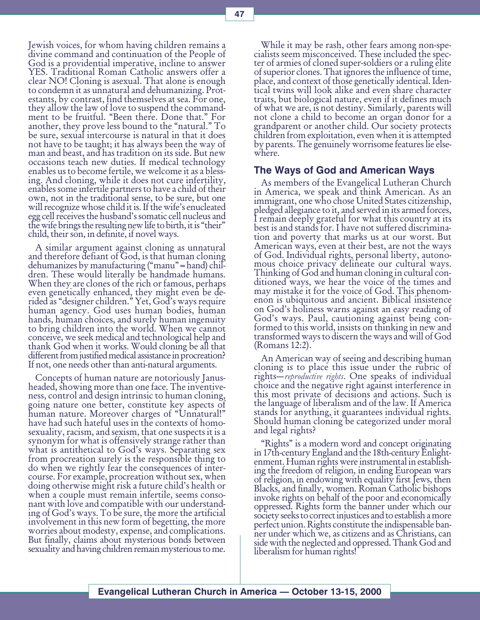Jewish voices, for whom having children remains a divine command and continuation of the People of God is a providential imperative, incline to answer YES. Traditional Roman Catholic answers offer a clear NO! Cloning is asexual. That alone is enough to condemn it as unnatural and dehumanizing. Protestants, by contrast, find themselves at sea. For one, they allow the law of love to suspend the commandment to be fruitful. "Been there. Done that." For another, they prove less bound to the "natural." To be sure, sexual intercourse is natural in that it does not have to be taught; it has always been the way of man and beast, and has tradition on its side. But new occasions teach new duties. If medical technology enables us to become fertile, we welcome it as a blessing. And cloning, while it does not cure infertility, enables some infertile partners to have a child of their own, not in the traditional sense, to be sure, but one will recognize whose child it is. If the wife's enucleated egg cell receives the husband's somatic cell nucleus and the wife brings the resulting new life to birth, it is "their" child, their son, in definite, if novel ways.

A similar argument against cloning as unnatural and therefore defiant of God, is that human cloning dehumanizes by manufacturing ("manu" = hand) children. These would literally be handmade humans. When they are clones of the rich or famous, perhaps even genetically enhanced, they might even be derided as "designer children." Yet, God's ways require human agency. God uses human bodies, human hands, human choices, and surely human ingenuity to bring children into the world. When we cannot conceive, we seek medical and technological help and thank God when it works. Would cloning be all that different from justified medical assistance in procreation? If not, one needs other than anti-natural arguments.

Concepts of human nature are notoriously Janusheaded, showing more than one face. The inventiveness, control and design intrinsic to human cloning, going nature one better, constitute key aspects of human nature. Moreover charges of "Unnatural!" have had such hateful uses in the contexts of homosexuality, racism, and sexism, that one suspects it is a synonym for what is offensively strange rather than what is antithetical to God's ways. Separating sex from procreation surely is the responsible thing to do when we rightly fear the consequences of intercourse. For example, procreation without sex, when doing otherwise might risk a future child's health or when a couple must remain infertile, seems consonant with love and compatible with our understanding of God's ways. To be sure, the more the artificial involvement in this new form of begetting, the more worries about modesty, expense, and complications. But finally, claims about mysterious bonds between sexuality and having children remain mysterious to me.

While it may be rash, other fears among non-specialists seem misconceived. These included the specter of armies of cloned super-soldiers or a ruling elite of superior clones. That ignores the influence of time, place, and context of those genetically identical. Identical twins will look alike and even share character traits, but biological nature, even if it defines much of what we are, is not destiny. Similarly, parents will not clone a child to become an organ donor for a grandparent or another child. Our society protects children from exploitation, even when it is attempted by parents. The genuinely worrisome features lie elsewhere.

#### The Ways of God and American Ways

As members of the Evangelical Lutheran Church in America, we speak and think American. As an immigrant, one who chose United States citizenship, pledged allegiance to it, and served in its armed forces, I remain deeply grateful for what this country at its best is and stands for. I have not suffered discrimination and poverty that marks us at our worst. But American ways, even at their best, are not the ways of God. Individual rights, personal liberty, autonomous choice privacy delineate our cultural ways. Thinking of God and human cloning in cultural conditioned ways, we hear the voice of the times and may mistake it for the voice of God. This phenomenon is ubiquitous and ancient. Biblical insistence on God's holiness warns against an easy reading of God's ways. Paul, cautioning against being conformed to this world, insists on thinking in new and transformed ways to discern the ways and will of God (Romans 12:2).

An American way of seeing and describing human cloning is to place this issue under the rubric of rights—*reproductive rights*. One speaks of individual choice and the negative right against interference in this most private of decisions and actions. Such is the language of liberalism and of the law. If America stands for anything, it guarantees individual rights. Should human cloning be categorized under moral and legal rights?

"Rights" is a modern word and concept originating in 17th-century England and the 18th-century Enlightenment. Human rights were instrumental in establishing the freedom of religion, in ending European wars of religion, in endowing with equality first Jews, then Blacks, and finally, women. Roman Catholic bishops invoke rights on behalf of the poor and economically oppressed. Rights form the banner under which our society seeks to correct injustices and to establish a more perfect union. Rights constitute the indispensable banner under which we, as citizens and as Christians, can side with the neglected and oppressed. Thank God and liberalism for human rights!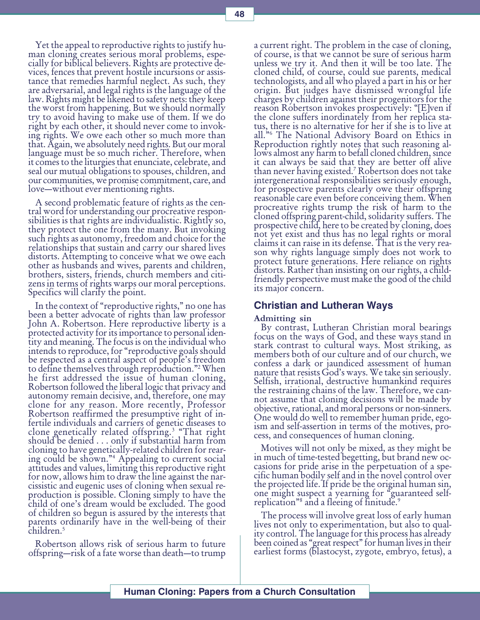Yet the appeal to reproductive rights to justify human cloning creates serious moral problems, especially for biblical believers. Rights are protective devices, fences that prevent hostile incursions or assistance that remedies harmful neglect. As such, they are adversarial, and legal rights is the language of the law. Rights might be likened to safety nets: they keep the worst from happening. But we should normally try to avoid having to make use of them. If we do right by each other, it should never come to invoking rights. We owe each other so much more than that. Again, we absolutely need rights. But our moral language must be so much richer. Therefore, when it comes to the liturgies that enunciate, celebrate, and seal our mutual obligations to spouses, children, and our communities, we promise commitment, care, and love—without ever mentioning rights.

A second problematic feature of rights as the central word for understanding our procreative responsibilities is that rights are individualistic. Rightly so, they protect the one from the many. But invoking such rights as autonomy, freedom and choice for the relationships that sustain and carry our shared lives distorts. Attempting to conceive what we owe each other as husbands and wives, parents and children, brothers, sisters, friends, church members and citizens in terms of rights warps our moral perceptions. Specifics will clarify the point.

In the context of "reproductive rights," no one has been a better advocate of rights than law professor John A. Robertson. Here reproductive liberty is a protected activity for its importance to personal identity and meaning. The focus is on the individual who intends to reproduce, for "reproductive goals should be respected as a central aspect of people's freedom to define themselves through reproduction."<sup>2</sup> When he first addressed the issue of human cloning, Robertson followed the liberal logic that privacy and autonomy remain decisive, and, therefore, one may clone for any reason. More recently, Professor Robertson reaffirmed the presumptive right of infertile individuals and carriers of genetic diseases to clone genetically related offspring.3 That right should be denied . . . only if substantial harm from cloning to have genetically-related children for rearing could be shown.4 Appealing to current social attitudes and values, limiting this reproductive right for now, allows him to draw the line against the narcissistic and eugenic uses of cloning when sexual reproduction is possible. Cloning simply to have the child of one's dream would be excluded. The good of children so begun is assured by the interests that parents ordinarily have in the well-being of their children.<sup>5</sup>

Robertson allows risk of serious harm to future offspring—risk of a fate worse than death—to trump a current right. The problem in the case of cloning, of course, is that we cannot be sure of serious harm unless we try it. And then it will be too late. The cloned child, of course, could sue parents, medical technologists, and all who played a part in his or her origin. But judges have dismissed wrongful life charges by children against their progenitors for the reason Robertson invokes prospectively: "[E]ven if the clone suffers inordinately from her replica status, there is no alternative for her if she is to live at all."<sup>6</sup> The National Advisory Board on Ethics in Reproduction rightly notes that such reasoning allows almost any harm to befall cloned children, since it can always be said that they are better off alive than never having existed.7 Robertson does not take intergenerational responsibilities seriously enough, for prospective parents clearly owe their offspring reasonable care even before conceiving them. When procreative rights trump the risk of harm to the cloned offspring parent-child, solidarity suffers. The prospective child, here to be created by cloning, does not yet exist and thus has no legal rights or moral claims it can raise in its defense. That is the very reason why rights language simply does not work to protect future generations. Here reliance on rights distorts. Rather than insisting on our rights, a childfriendly perspective must make the good of the child its major concern.

#### Christian and Lutheran Ways

#### Admitting sin

By contrast, Lutheran Christian moral bearings focus on the ways of God, and these ways stand in stark contrast to cultural ways. Most striking, as members both of our culture and of our church, we confess a dark or jaundiced assessment of human nature that resists God's ways. We take sin seriously. Selfish, irrational, destructive humankind requires the restraining chains of the law. Therefore, we cannot assume that cloning decisions will be made by objective, rational, and moral persons or non-sinners. One would do well to remember human pride, egoism and self-assertion in terms of the motives, process, and consequences of human cloning.

Motives will not only be mixed, as they might be in much of time-tested begetting, but brand new occasions for pride arise in the perpetuation of a specific human bodily self and in the novel control over the projected life. If pride be the original human sin, one might suspect a yearning for "guaranteed selfreplication"<sup>8</sup> and a fleeing of finitude.<sup>9</sup>

The process will involve great loss of early human lives not only to experimentation, but also to quality control. The language for this process has already been coined as "great respect" for human lives in their earliest forms (blastocyst, zygote, embryo, fetus), a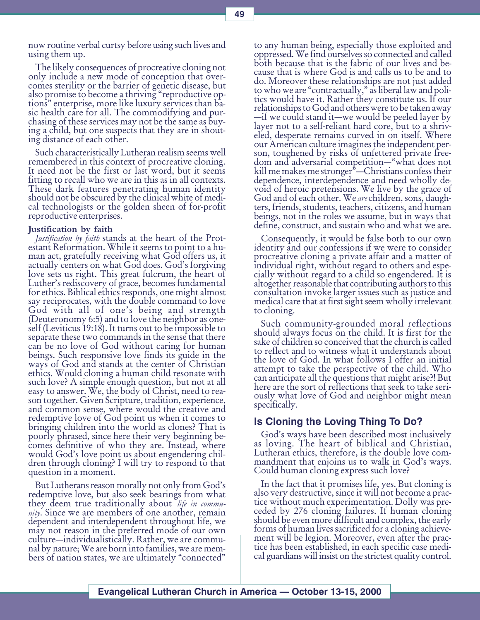now routine verbal curtsy before using such lives and using them up.

The likely consequences of procreative cloning not only include a new mode of conception that overcomes sterility or the barrier of genetic disease, but also promise to become a thriving "reproductive options" enterprise, more like luxury services than basic health care for all. The commodifying and purchasing of these services may not be the same as buying a child, but one suspects that they are in shouting distance of each other.

Such characteristically Lutheran realism seems well remembered in this context of procreative cloning. It need not be the first or last word, but it seems fitting to recall who we are in this as in all contexts. These dark features penetrating human identity should not be obscured by the clinical white of medical technologists or the golden sheen of for-profit reproductive enterprises.

#### Justification by faith

*Justification by faith* stands at the heart of the Protestant Reformation. While it seems to point to a human act, gratefully receiving what God offers us, it actually centers on what God does. God's forgiving love sets us right. This great fulcrum, the heart of Luther's rediscovery of grace, becomes fundamental for ethics. Biblical ethics responds, one might almost say reciprocates, with the double command to love God with all of one's being and strength (Deuteronomy 6:5) and to love the neighbor as oneself (Leviticus 19:18). It turns out to be impossible to separate these two commands in the sense that there can be no love of God without caring for human beings. Such responsive love finds its guide in the ways of God and stands at the center of Christian ethics. Would cloning a human child resonate with such love? A simple enough question, but not at all easy to answer. We, the body of Christ, need to reason together. Given Scripture, tradition, experience, and common sense, where would the creative and redemptive love of God point us when it comes to bringing children into the world as clones? That is poorly phrased, since here their very beginning becomes definitive of who they are. Instead, where would God's love point us about engendering children through cloning? I will try to respond to that question in a moment.

But Lutherans reason morally not only from God's redemptive love, but also seek bearings from what they deem true traditionally about *life in commu*nity. Since we are members of one another, remain dependent and interdependent throughout life, we may not reason in the preferred mode of our own culture—individualistically. Rather, we are communal by nature; We are born into families, we are members of nation states, we are ultimately "connected"

to any human being, especially those exploited and oppressed. We find ourselves so connected and called both because that is the fabric of our lives and because that is where God is and calls us to be and to do. Moreover these relationships are not just added to who we are "contractually," as liberal law and politics would have it. Rather they constitute us. If our relationships to God and others were to be taken away  $\overline{-}$ if we could stand it—we would be peeled layer by layer not to a self-reliant hard core, but to a shriveled, desperate remains curved in on itself. Where our American culture imagines the independent person, toughened by risks of unfettered private freedom and adversarial competition—"what does not kill me makes me stronger"—Christians confess their dependence, interdependence and need wholly devoid of heroic pretensions. We live by the grace of God and of each other. We *are* children, sons, daugh-<br>ters, friends, students, teachers, citizens, and human beings, not in the roles we assume, but in ways that define, construct, and sustain who and what we are.

Consequently, it would be false both to our own identity and our confessions if we were to consider procreative cloning a private affair and a matter of individual right, without regard to others and especially without regard to a child so engendered. It is altogether reasonable that contributing authors to this consultation invoke larger issues such as justice and medical care that at first sight seem wholly irrelevant to cloning.

Such community-grounded moral reflections should always focus on the child. It is first for the sake of children so conceived that the church is called to reflect and to witness what it understands about the love of God. In what follows I offer an initial attempt to take the perspective of the child. Who can anticipate all the questions that might arise?! But here are the sort of reflections that seek to take seriously what love of God and neighbor might mean specifically.

#### Is Cloning the Loving Thing To Do?

God's ways have been described most inclusively as loving. The heart of biblical and Christian, Lutheran ethics, therefore, is the double love commandment that enjoins us to walk in God's ways. Could human cloning express such love?

In the fact that it promises life, yes. But cloning is also very destructive, since it will not become a practice without much experimentation. Dolly was preceded by 276 cloning failures. If human cloning should be even more difficult and complex, the early forms of human lives sacrificed for a cloning achievement will be legion. Moreover, even after the practice has been established, in each specific case medical guardians will insist on the strictest quality control.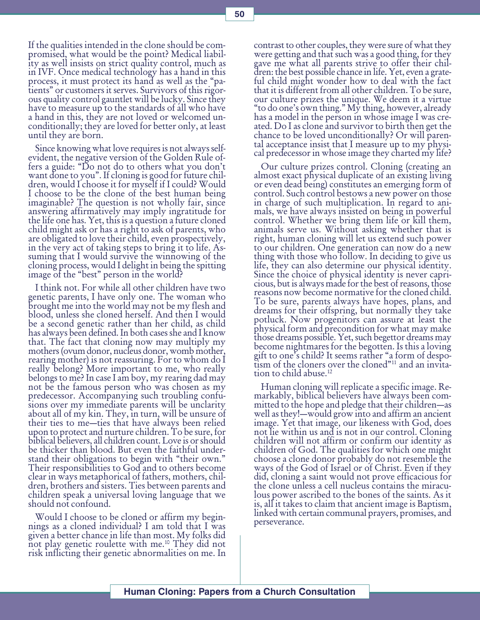If the qualities intended in the clone should be compromised, what would be the point? Medical liability as well insists on strict quality control, much as in IVF. Once medical technology has a hand in this process, it must protect its hand as well as the "patients" or customers it serves. Survivors of this rigorous quality control gauntlet will be lucky. Since they have to measure up to the standards of all who have a hand in this, they are not loved or welcomed unconditionally; they are loved for better only, at least until they are born.

Since knowing what love requires is not always selfevident, the negative version of the Golden Rule offers a guide: "Do not do to others what you don't want done to you". If cloning is good for future children, would I choose it for myself if I could? Would I choose to be the clone of the best human being imaginable? The question is not wholly fair, since answering affirmatively may imply ingratitude for the life one has. Yet, this is a question a future cloned child might ask or has a right to ask of parents, who are obligated to love their child, even prospectively, in the very act of taking steps to bring it to life. Assuming that I would survive the winnowing of the cloning process, would I delight in being the spitting image of the "best" person in the world?

I think not. For while all other children have two genetic parents, I have only one. The woman who brought me into the world may not be my flesh and blood, unless she cloned herself. And then I would be a second genetic rather than her child, as child has always been defined. In both cases she and I know that. The fact that cloning now may multiply my mothers (ovum donor, nucleus donor, womb mother, rearing mother) is not reassuring. For to whom do I really belong? More important to me, who really belongs to me? In case I am boy, my rearing dad may not be the famous person who was chosen as my predecessor. Accompanying such troubling confusions over my immediate parents will be unclarity about all of my kin. They, in turn, will be unsure of their ties to me—ties that have always been relied upon to protect and nurture children. To be sure, for biblical believers, all children count. Love is or should be thicker than blood. But even the faithful understand their obligations to begin with "their own." Their responsibilities to God and to others become clear in ways metaphorical of fathers, mothers, children, brothers and sisters. Ties between parents and children speak a universal loving language that we should not confound.

Would I choose to be cloned or affirm my beginnings as a cloned individual? I am told that I was given a better chance in life than most. My folks did not play genetic roulette with me.10 They did not risk inflicting their genetic abnormalities on me. In

contrast to other couples, they were sure of what they were getting and that such was a good thing, for they gave me what all parents strive to offer their children: the best possible chance in life. Yet, even a grateful child might wonder how to deal with the fact that it is different from all other children. To be sure, our culture prizes the unique. We deem it a virtue "to do one's own thing." My thing, however, already has a model in the person in whose image I was created. Do I as clone and survivor to birth then get the chance to be loved unconditionally? Or will parental acceptance insist that I measure up to my physical predecessor in whose image they charted my life?

Our culture prizes control. Cloning (creating an almost exact physical duplicate of an existing living or even dead being) constitutes an emerging form of control. Such control bestows a new power on those in charge of such multiplication. In regard to animals, we have always insisted on being in powerful control. Whether we bring them life or kill them, animals serve us. Without asking whether that is right, human cloning will let us extend such power to our children. One generation can now do a new thing with those who follow. In deciding to give us life, they can also determine our physical identity. Since the choice of physical identity is never capricious, but is always made for the best of reasons, those reasons now become normative for the cloned child. To be sure, parents always have hopes, plans, and dreams for their offspring, but normally they take potluck. Now progenitors can assure at least the physical form and precondition for what may make those dreams possible. Yet, such begettor dreams may become nightmares for the begotten. Is this a loving gift to one's child? It seems rather "a form of despo $tism$  of the cloners over the cloned" $11$  and an invitation to child abuse.<sup>12</sup>

Human cloning will replicate a specific image. Remarkably, biblical believers have always been committed to the hope and pledge that their children—as well as they!—would grow into and affirm an ancient image. Yet that image, our likeness with God, does not lie within us and is not in our control. Cloning children will not affirm or confirm our identity as children of God. The qualities for which one might choose a clone donor probably do not resemble the ways of the God of Israel or of Christ. Even if they did, cloning a saint would not prove efficacious for the clone unless a cell nucleus contains the miraculous power ascribed to the bones of the saints. As it is, all it takes to claim that ancient image is Baptism, linked with certain communal prayers, promises, and perseverance.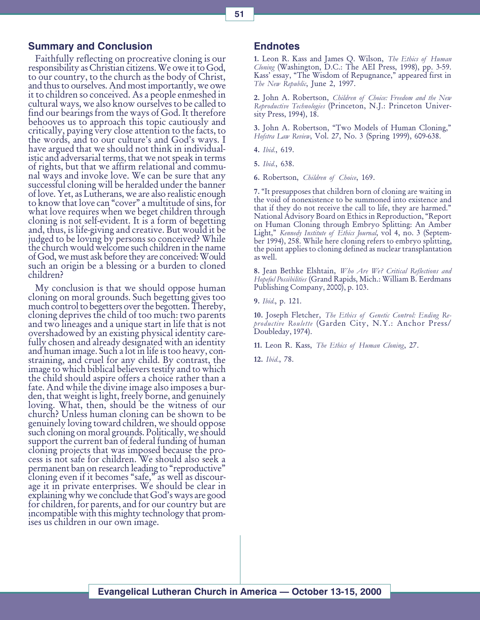## Summary and Conclusion

Faithfully reflecting on procreative cloning is our responsibility as Christian citizens. We owe it to God, to our country, to the church as the body of Christ, and thus to ourselves. And most importantly, we owe it to children so conceived. As a people enmeshed in cultural ways, we also know ourselves to be called to find our bearings from the ways of God. It therefore behooves us to approach this topic cautiously and critically, paying very close attention to the facts, to the words, and to our culture's and God's ways. I have argued that we should not think in individualistic and adversarial terms, that we not speak in terms of rights, but that we affirm relational and communal ways and invoke love. We can be sure that any successful cloning will be heralded under the banner of love. Yet, as Lutherans, we are also realistic enough to know that love can "cover" a multitude of sins, for what love requires when we beget children through cloning is not self-evident. It is a form of begetting and, thus, is life-giving and creative. But would it be judged to be loving by persons so conceived? While the church would welcome such children in the name of God, we must ask before they are conceived: Would such an origin be a blessing or a burden to cloned children?

My conclusion is that we should oppose human cloning on moral grounds. Such begetting gives too much control to begetters over the begotten. Thereby, cloning deprives the child of too much: two parents and two lineages and a unique start in life that is not overshadowed by an existing physical identity carefully chosen and already designated with an identity and human image. Such a lot in life is too heavy, constraining, and cruel for any child. By contrast, the image to which biblical believers testify and to which the child should aspire offers a choice rather than a fate. And while the divine image also imposes a burden, that weight is light, freely borne, and genuinely loving. What, then, should be the witness of our church? Unless human cloning can be shown to be genuinely loving toward children, we should oppose such cloning on moral grounds. Politically, we should support the current ban of federal funding of human cloning projects that was imposed because the process is not safe for children. We should also seek a permanent ban on research leading to "reproductive" cloning even if it becomes "safe," as well as discourage it in private enterprises. We should be clear in  $explaining why we conclude that God's ways are good$ for children, for parents, and for our country but are incompatible with this mighty technology that promises us children in our own image.

#### **Endnotes**

1. Leon R. Kass and James Q. Wilson, The Ethics of Human Cloning (Washington, D.C.: The AEI Press, 1998), pp. 3-59. Kass' essay, "The Wisdom of Repugnance," appeared first in The New Republic, June 2, 1997.

2. John A. Robertson, Children of Choice: Freedom and the New Reproductive Technologies (Princeton, N.J.: Princeton University Press, 1994), 18.

3. John A. Robertson, "Two Models of Human Cloning," Hofstra Law Review, Vol. 27, No. 3 (Spring 1999), 609-638.

4. Ibid., 619.

5. Ibid., 638.

6. Robertson, Children of Choice, 169.

7. "It presupposes that children born of cloning are waiting in the void of nonexistence to be summoned into existence and that if they do not receive the call to life, they are harmed. National Advisory Board on Ethics in Reproduction, "Report on Human Cloning through Embryo Splitting: An Amber Light," Kennedy Institute of Ethics Journal, vol 4, no. 3 (September 1994), 258. While here cloning refers to embryo splitting, the point applies to cloning defined as nuclear transplantation as well.

8. Jean Bethke Elshtain, Who Are We? Critical Reflections and Hopeful Possibilities (Grand Rapids, Mich.: William B. Eerdmans Publishing Company, 2000), p. 103.

9. Ibid., p. 121.

10. Joseph Fletcher, The Ethics of Genetic Control: Ending Reproductive Roulette (Garden City, N.Y.: Anchor Press/ Doubleday, 1974).

11. Leon R. Kass, The Ethics of Human Cloning, 27.

12. Ibid., 78.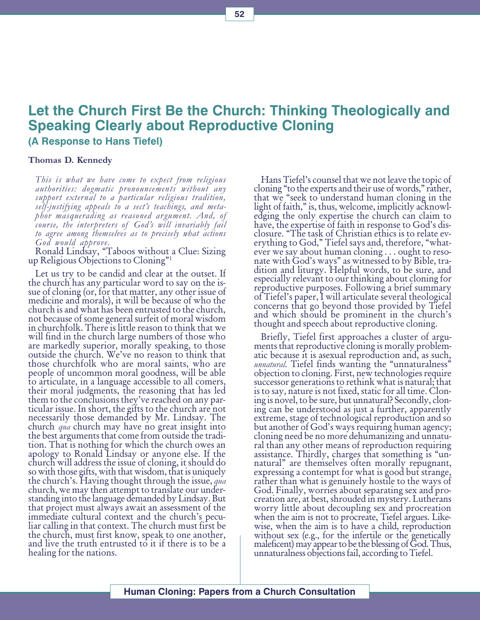# Let the Church First Be the Church: Thinking Theologically and Speaking Clearly about Reproductive Cloning (A Response to Hans Tiefel)

#### Thomas D. Kennedy

This is what we have come to expect from religious authorities: dogmatic pronouncements without any support external to a particular religious tradition, self-justifying appeals to a sect's teachings, and metaphor masquerading as reasoned argument. And, of course, the interpreters of God's will invariably fail to agree among themselves as to precisely what actions God would approve.

Ronald Lindsay, Taboos without a Clue: Sizing up Religious Objections to Cloning" $1$ 

Let us try to be candid and clear at the outset. If the church has any particular word to say on the issue of cloning (or, for that matter, any other issue of medicine and morals), it will be because of who the church is and what has been entrusted to the church, not because of some general surfeit of moral wisdom in churchfolk. There is little reason to think that we will find in the church large numbers of those who are markedly superior, morally speaking, to those outside the church. We've no reason to think that those churchfolk who are moral saints, who are people of uncommon moral goodness, will be able to articulate, in a language accessible to all comers, their moral judgments, the reasoning that has led them to the conclusions they've reached on any particular issue. In short, the gifts to the church are not necessarily those demanded by Mr. Lindsay. The church *qua* church may have no great insight into the best arguments that come from outside the tradition. That is nothing for which the church owes an apology to Ronald Lindsay or anyone else. If the church will address the issue of cloning, it should do so with those gifts, with that wisdom, that is uniquely the church's. Having thought through the issue,  $q_{\mu a}$ church, we may then attempt to translate our understanding into the language demanded by Lindsay. But that project must always await an assessment of the immediate cultural context and the church's peculiar calling in that context. The church must first be the church, must first know, speak to one another, and live the truth entrusted to it if there is to be a healing for the nations.

Hans Tiefel's counsel that we not leave the topic of cloning "to the experts and their use of words," rather, that we "seek to understand human cloning in the light of faith," is, thus, welcome, implicitly acknowledging the only expertise the church can claim to have, the expertise of faith in response to God's disclosure. The task of Christian ethics is to relate everything to God," Tiefel says and, therefore, "whatever we say about human cloning . . . ought to resonate with God's ways" as witnessed to by Bible, tradition and liturgy. Helpful words, to be sure, and especially relevant to our thinking about cloning for reproductive purposes. Following a brief summary of Tiefel's paper, I will articulate several theological concerns that go beyond those provided by Tiefel and which should be prominent in the church's thought and speech about reproductive cloning.

Briefly, Tiefel first approaches a cluster of arguments that reproductive cloning is morally problematic because it is asexual reproduction and, as such, unnatural. Tiefel finds wanting the "unnaturalness" objection to cloning. First, new technologies require successor generations to rethink what is natural; that is to say, nature is not fixed, static for all time. Cloning is novel, to be sure, but unnatural? Secondly, cloning can be understood as just a further, apparently extreme, stage of technological reproduction and so but another of God's ways requiring human agency; cloning need be no more dehumanizing and unnatural than any other means of reproduction requiring assistance. Thirdly, charges that something is "unnatural" are themselves often morally repugnant, expressing a contempt for what is good but strange, rather than what is genuinely hostile to the ways of God. Finally, worries about separating sex and procreation are, at best, shrouded in mystery. Lutherans worry little about decoupling sex and procreation when the aim is not to procreate, Tiefel argues. Likewise, when the aim is to have a child, reproduction without sex (e.g., for the infertile or the genetically maleficent) may appear to be the blessing of God. Thus, unnaturalness objections fail, according to Tiefel.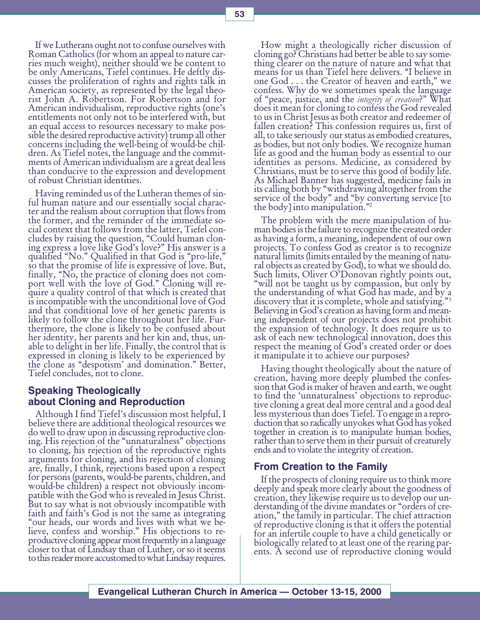If we Lutherans ought not to confuse ourselves with Roman Catholics (for whom an appeal to nature carries much weight), neither should we be content to be only Americans, Tiefel continues. He deftly discusses the proliferation of rights and rights talk in American society, as represented by the legal theorist John A. Robertson. For Robertson and for American individualism, reproductive rights (one's entitlements not only not to be interfered with, but an equal access to resources necessary to make possible the desired reproductive activity) trump all other concerns including the well-being of would-be children. As Tiefel notes, the language and the commitments of American individualism are a great deal less than conducive to the expression and development of robust Christian identities.

Having reminded us of the Lutheran themes of sinful human nature and our essentially social character and the realism about corruption that flows from the former, and the reminder of the immediate social context that follows from the latter, Tiefel concludes by raising the question, "Could human cloning express a love like God's love?" His answer is a qualified "No." Qualified in that God is "pro-life," so that the promise of life is expressive of love. But, finally, "No, the practice of cloning does not comport well with the love of God." Cloning will require a quality control of that which is created that is incompatible with the unconditional love of God and that conditional love of her genetic parents is likely to follow the clone throughout her life. Furthermore, the clone is likely to be confused about her identity, her parents and her kin and, thus, unable to delight in her life. Finally, the control that is expressed in cloning is likely to be experienced by the clone as "despotism' and domination." Better, Tiefel concludes, not to clone.

# Speaking Theologically about Cloning and Reproduction

Although I find Tiefel's discussion most helpful, I believe there are additional theological resources we do well to draw upon in discussing reproductive cloning. His rejection of the "unnaturalness" objections to cloning, his rejection of the reproductive rights arguments for cloning, and his rejection of cloning are, finally, I think, rejections based upon a respect for persons (parents, would-be parents, children, and would-be children) a respect not obviously incompatible with the God who is revealed in Jesus Christ. But to say what is not obviously incompatible with faith and faith's God is not the same as integrating our heads, our words and lives with what we believe, confess and worship." His objections to reproductive cloning appear most frequently in a language closer to that of Lindsay than of Luther, or so it seems to this reader more accustomed to what Lindsay requires.

How might a theologically richer discussion of cloning go? Christians had better be able to say something clearer on the nature of nature and what that means for us than Tiefel here delivers. "I believe in one God . . . the Creator of heaven and earth," we confess. Why do we sometimes speak the language of "peace, justice, and the *integrity of creation*?" What does it mean for cloning to confess the God revealed to us in Christ Jesus as both creator and redeemer of fallen creation? This confession requires us, first of all, to take seriously our status as embodied creatures, as bodies, but not only bodies. We recognize human life as good and the human body as essential to our identities as persons. Medicine, as considered by Christians, must be to serve this good of bodily life. As Michael Banner has suggested, medicine fails in its calling both by "withdrawing altogether from the service of the body" and "by converting service [to the body] into manipulation."2

The problem with the mere manipulation of human bodies is the failure to recognize the created order as having a form, a meaning, independent of our own projects. To confess God as creator is to recognize natural limits (limits entailed by the meaning of natural objects as created by God), to what we should do. Such limits, Oliver O'Donovan rightly points out, will not be taught us by compassion, but only by the understanding of what God has made, and by a discovery that it is complete, whole and satisfying."3 Believing in God's creation as having form and meaning independent of our projects does not prohibit the expansion of technology. It does require us to ask of each new technological innovation, does this respect the meaning of God's created order or does it manipulate it to achieve our purposes?

Having thought theologically about the nature of creation, having more deeply plumbed the confession that God is maker of heaven and earth, we ought to find the 'unnaturalness' objections to reproductive cloning a great deal more central and a good deal less mysterious than does Tiefel. To engage in a repro- duction that so radically unyokes what God has yoked together in creation is to manipulate human bodies, rather than to serve them in their pursuit of creaturely ends and to violate the integrity of creation.

## From Creation to the Family

If the prospects of cloning require us to think more deeply and speak more clearly about the goodness of creation, they likewise require us to develop our understanding of the divine mandates or "orders of creation," the family in particular. The chief attraction of reproductive cloning is that it offers the potential for an infertile couple to have a child genetically or biologically related to at least one of the rearing parents. A second use of reproductive cloning would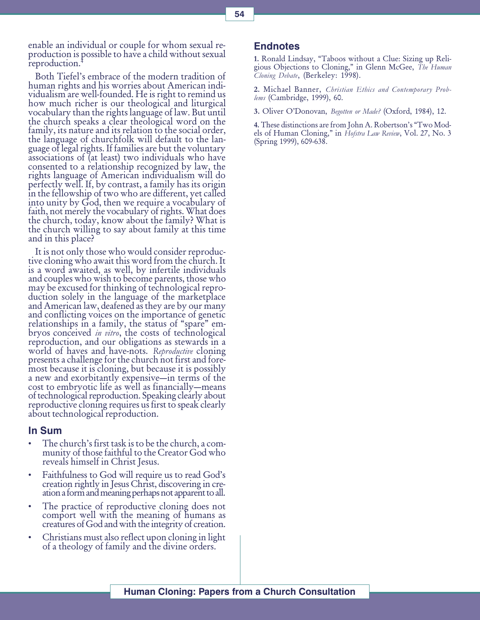enable an individual or couple for whom sexual reproduction is possible to have a child without sexual reproduction.<sup>4</sup>

Both Tiefel's embrace of the modern tradition of human rights and his worries about American individualism are well-founded. He is right to remind us how much richer is our theological and liturgical vocabulary than the rights language of law. But until the church speaks a clear theological word on the family, its nature and its relation to the social order, the language of churchfolk will default to the language of legal rights. If families are but the voluntary associations of (at least) two individuals who have consented to a relationship recognized by law, the rights language of American individualism will do perfectly well. If, by contrast, a family has its origin in the fellowship of two who are different, yet called into unity by God, then we require a vocabulary of faith, not merely the vocabulary of rights. What does the church, today, know about the family? What is the church willing to say about family at this time and in this place?

It is not only those who would consider reproductive cloning who await this word from the church. It is a word awaited, as well, by infertile individuals and couples who wish to become parents, those who may be excused for thinking of technological reproduction solely in the language of the marketplace and American law, deafened as they are by our many and conflicting voices on the importance of genetic relationships in a family, the status of "spare" embryos conceived *in vitro*, the costs of technological reproduction, and our obligations as stewards in a world of haves and have-nots. *Reproductive* cloning presents a challenge for the church not first and foremost because it is cloning, but because it is possibly a new and exorbitantly expensive—in terms of the cost to embryotic life as well as financially—means of technological reproduction. Speaking clearly about reproductive cloning requires us first to speak clearly about technological reproduction.

#### In Sum

- The church's first task is to be the church, a community of those faithful to the Creator God who reveals himself in Christ Jesus.
- Faithfulness to God will require us to read God's creation rightly in Jesus Christ, discovering in creation a form and meaning perhaps not apparent to all.
- The practice of reproductive cloning does not comport well with the meaning of humans as creatures of God and with the integrity of creation.
- Christians must also reflect upon cloning in light of a theology of family and the divine orders.

#### Endnotes

1. Ronald Lindsay, Taboos without a Clue: Sizing up Religious Objections to Cloning," in Glenn McGee, The Human Cloning Debate, (Berkeley: 1998).

2. Michael Banner, Christian Ethics and Contemporary Problems (Cambridge, 1999), 60.

3. Oliver O'Donovan, Begotten or Made? (Oxford, 1984), 12.

4. These distinctions are from John A. Robertson's "Two Models of Human Cloning," in Hofstra Law Review, Vol. 27, No. 3 (Spring 1999), 609-638.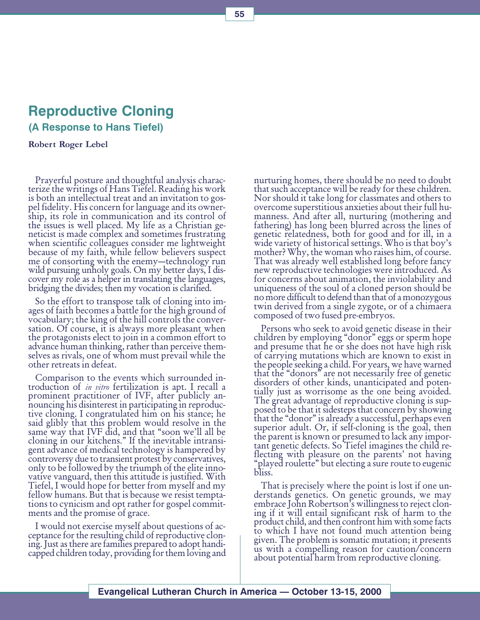# Reproductive Cloning

(A Response to Hans Tiefel)

Robert Roger Lebel

Prayerful posture and thoughtful analysis characterize the writings of Hans Tiefel. Reading his work is both an intellectual treat and an invitation to gospel fidelity. His concern for language and its ownership, its role in communication and its control of the issues is well placed. My life as a Christian geneticist is made complex and sometimes frustrating when scientific colleagues consider me lightweight because of my faith, while fellow believers suspect me of consorting with the enemy—technology run wild pursuing unholy goals. On my better days, I discover my role as a helper in translating the languages, bridging the divides; then my vocation is clarified.

So the effort to transpose talk of cloning into images of faith becomes a battle for the high ground of vocabulary; the king of the hill controls the conversation. Of course, it is always more pleasant when the protagonists elect to join in a common effort to advance human thinking, rather than perceive themselves as rivals, one of whom must prevail while the other retreats in defeat.

Comparison to the events which surrounded introduction of *in vitro* fertilization is apt. I recall a prominent practitioner of IVF, after publicly announcing his disinterest in participating in reproductive cloning. I congratulated him on his stance; he said glibly that this problem would resolve in the same way that IVF did, and that "soon we'll all be cloning in our kitchens." If the inevitable intransigent advance of medical technology is hampered by controversy due to transient protest by conservatives, only to be followed by the triumph of the elite innovative vanguard, then this attitude is justified. With Tiefel, I would hope for better from myself and my fellow humans. But that is because we resist temptations to cynicism and opt rather for gospel commitments and the promise of grace.

I would not exercise myself about questions of acceptance for the resulting child of reproductive cloning. Just as there are families prepared to adopt handicapped children today, providing for them loving and nurturing homes, there should be no need to doubt that such acceptance will be ready for these children. Nor should it take long for classmates and others to overcome superstitious anxieties about their full humanness. And after all, nurturing (mothering and fathering) has long been blurred across the lines of genetic relatedness, both for good and for ill, in a wide variety of historical settings. Who is that boy's mother? Why, the woman who raises him, of course. That was already well established long before fancy new reproductive technologies were introduced. As for concerns about animation, the inviolability and uniqueness of the soul of a cloned person should be no more difficult to defend than that of a monozygous twin derived from a single zygote, or of a chimaera composed of two fused pre-embryos.

Persons who seek to avoid genetic disease in their children by employing "donor" eggs or sperm hope and presume that he or she does not have high risk of carrying mutations which are known to exist in the people seeking a child. For years, we have warned that the "donors" are not necessarily free of genetic disorders of other kinds, unanticipated and potentially just as worrisome as the one being avoided. The great advantage of reproductive cloning is supposed to be that it sidesteps that concern by showing that the "donor" is already a successful, perhaps even superior adult. Or, if self-cloning is the goal, then the parent is known or presumed to lack any important genetic defects. So Tiefel imagines the child reflecting with pleasure on the parents' not having "played roulette" but electing a sure route to eugenic bliss.

That is precisely where the point is lost if one understands genetics. On genetic grounds, we may embrace John Robertson's willingness to reject cloning if it will entail significant risk of harm to the product child, and then confront him with some facts to which I have not found much attention being given. The problem is somatic mutation; it presents us with a compelling reason for caution/concern about potential harm from reproductive cloning.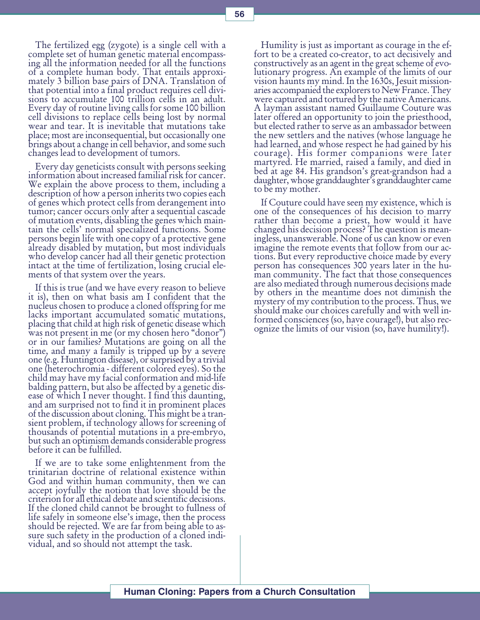The fertilized egg (zygote) is a single cell with a complete set of human genetic material encompassing all the information needed for all the functions of a complete human body. That entails approximately 3 billion base pairs of DNA. Translation of that potential into a final product requires cell divisions to accumulate 100 trillion cells in an adult. Every day of routine living calls for some 100 billion cell divisions to replace cells being lost by normal wear and tear. It is inevitable that mutations take place; most are inconsequential, but occasionally one brings about a change in cell behavior, and some such changes lead to development of tumors.

Every day geneticists consult with persons seeking information about increased familial risk for cancer. We explain the above process to them, including a description of how a person inherits two copies each of genes which protect cells from derangement into tumor; cancer occurs only after a sequential cascade of mutation events, disabling the genes which maintain the cells' normal specialized functions. Some persons begin life with one copy of a protective gene already disabled by mutation, but most individuals who develop cancer had all their genetic protection intact at the time of fertilization, losing crucial elements of that system over the years.

If this is true (and we have every reason to believe it is), then on what basis am I confident that the nucleus chosen to produce a cloned offspring for me lacks important accumulated somatic mutations, placing that child at high risk of genetic disease which was not present in me (or my chosen hero "donor") or in our families? Mutations are going on all the time, and many a family is tripped up by a severe one (e.g. Huntington disease), or surprised by a trivial one (heterochromia - different colored eyes). So the child may have my facial conformation and mid-life balding pattern, but also be affected by a genetic disease of which I never thought. I find this daunting, and am surprised not to find it in prominent places of the discussion about cloning. This might be a transient problem, if technology allows for screening of thousands of potential mutations in a pre-embryo, but such an optimism demands considerable progress before it can be fulfilled.

If we are to take some enlightenment from the trinitarian doctrine of relational existence within God and within human community, then we can accept joyfully the notion that love should be the criterion for all ethical debate and scientific decisions. If the cloned child cannot be brought to fullness of life safely in someone else's image, then the process should be rejected. We are far from being able to assure such safety in the production of a cloned individual, and so should not attempt the task.

Humility is just as important as courage in the effort to be a created co-creator, to act decisively and constructively as an agent in the great scheme of evolutionary progress. An example of the limits of our vision haunts my mind. In the 1630s, Jesuit missionaries accompanied the explorers to New France. They were captured and tortured by the native Americans. A layman assistant named Guillaume Couture was later offered an opportunity to join the priesthood, but elected rather to serve as an ambassador between the new settlers and the natives (whose language he had learned, and whose respect he had gained by his courage). His former companions were later martyred. He married, raised a family, and died in bed at age 84. His grandson's great-grandson had a daughter, whose granddaughter's granddaughter came to be my mother.

If Couture could have seen my existence, which is one of the consequences of his decision to marry rather than become a priest, how would it have changed his decision process? The question is meaningless, unanswerable. None of us can know or even imagine the remote events that follow from our actions. But every reproductive choice made by every person has consequences 300 years later in the human community. The fact that those consequences are also mediated through numerous decisions made by others in the meantime does not diminish the mystery of my contribution to the process. Thus, we should make our choices carefully and with well informed consciences (so, have courage!), but also recognize the limits of our vision (so, have humility!).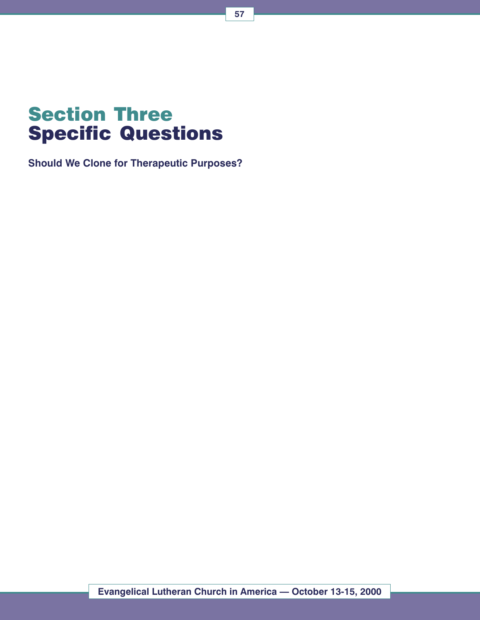# Section Three Specific Questions

Should We Clone for Therapeutic Purposes?

Evangelical Lutheran Church in America - October 13-15, 2000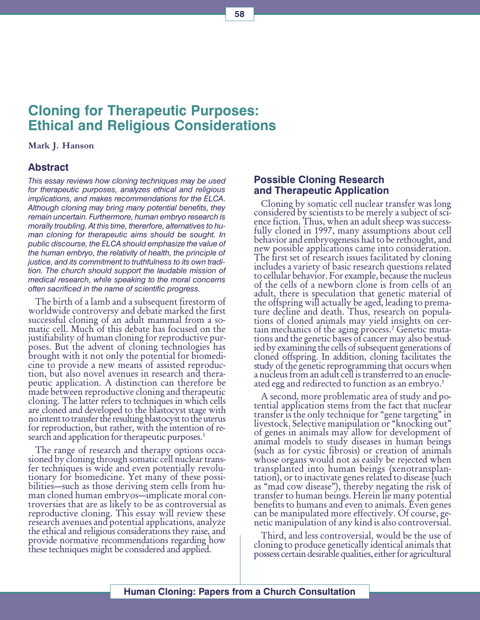# Cloning for Therapeutic Purposes: Ethical and Religious Considerations

#### Mark J. Hanson

# Abstract

This essay reviews how cloning techniques may be used for therapeutic purposes, analyzes ethical and religious implications, and makes recommendations for the ELCA. Although cloning may bring many potential benefits, they remain uncertain. Furthermore, human embryo research is morally troubling. At this time, thererfore, alternatives to human cloning for therapeutic aims should be sought. In public discourse, the ELCA should emphasize the value of the human embryo, the relativity of health, the principle of justice, and its commitment to truthfulness to its own tradition. The church should support the laudable mission of medical research, while speaking to the moral concerns often sacrificed in the name of scientific progress.

The birth of a lamb and a subsequent firestorm of worldwide controversy and debate marked the first successful cloning of an adult mammal from a somatic cell. Much of this debate has focused on the justifiability of human cloning for reproductive purposes. But the advent of cloning technologies has brought with it not only the potential for biomedicine to provide a new means of assisted reproduction, but also novel avenues in research and therapeutic application. A distinction can therefore be made between reproductive cloning and therapeutic<br>cloning. The latter refers to techniques in which cells are cloned and developed to the blastocyst stage with no intent to transfer the resulting blastocyst to the uterus for reproduction, but rather, with the intention of research and application for therapeutic purposes.<sup>1</sup>

The range of research and therapy options occasioned by cloning through somatic cell nuclear transfer techniques is wide and even potentially revolutionary for biomedicine. Yet many of these possibilities—such as those deriving stem cells from human cloned human embryos—implicate moral controversies that are as likely to be as controversial as reproductive cloning. This essay will review these research avenues and potential applications, analyze the ethical and religious considerations they raise, and provide normative recommendations regarding how these techniques might be considered and applied.

## Possible Cloning Research and Therapeutic Application

Cloning by somatic cell nuclear transfer was long considered by scientists to be merely a subject of science fiction. Thus, when an adult sheep was successfully cloned in 1997, many assumptions about cell behavior and embryogenesis had to be rethought, and new possible applications came into consideration. The first set of research issues facilitated by cloning includes a variety of basic research questions related to cellular behavior. For example, because the nucleus of the cells of a newborn clone is from cells of an adult, there is speculation that genetic material of the offspring will actually be aged, leading to premature decline and death. Thus, research on populations of cloned animals may yield insights on certain mechanics of the aging process.2 Genetic mutations and the genetic bases of cancer may also be studied by examining the cells of subsequent generations of cloned offspring. In addition, cloning facilitates the a nucleus from an adult cell is transferred to an enucleated egg and redirected to function as an embryo.<sup>3</sup>

A second, more problematic area of study and potential application stems from the fact that nuclear transfer is the only technique for "gene targeting" in livestock. Selective manipulation or "knocking out" of genes in animals may allow for development of animal models to study diseases in human beings (such as for cystic fibrosis) or creation of animals whose organs would not as easily be rejected when transplanted into human beings (xenotransplantation), or to inactivate genes related to disease (such as "mad cow disease"), thereby negating the risk of transfer to human beings. Herein lie many potential benefits to humans and even to animals. Even genes can be manipulated more effectively. Of course, genetic manipulation of any kind is also controversial.

Third, and less controversial, would be the use of cloning to produce genetically identical animals that possess certain desirable qualities, either for agricultural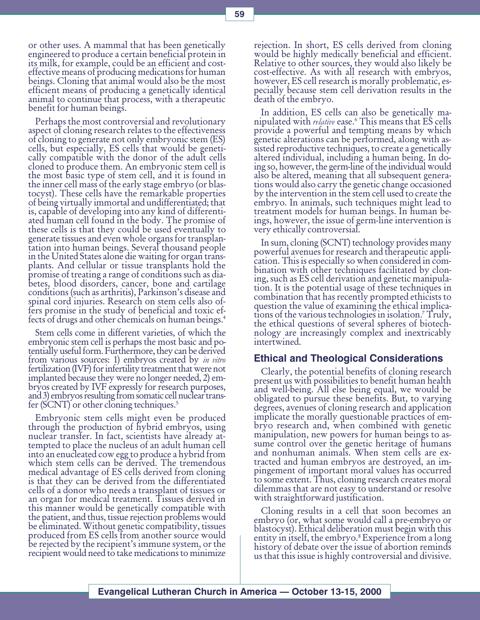or other uses. A mammal that has been genetically engineered to produce a certain beneficial protein in its milk, for example, could be an efficient and costeffective means of producing medications for human beings. Cloning that animal would also be the most efficient means of producing a genetically identical animal to continue that process, with a therapeutic benefit for human beings.

Perhaps the most controversial and revolutionary aspect of cloning research relates to the effectiveness of cloning to generate not only embryonic stem (ES) cells, but especially, ES cells that would be genetically compatible with the donor of the adult cells cloned to produce them. An embryonic stem cell is the most basic type of stem cell, and it is found in the inner cell mass of the early stage embryo (or blastocyst). These cells have the remarkable properties of being virtually immortal and undifferentiated; that is, capable of developing into any kind of differentiated human cell found in the body. The promise of these cells is that they could be used eventually to generate tissues and even whole organs for transplantation into human beings. Several thousand people in the United States alone die waiting for organ transplants. And cellular or tissue transplants hold the promise of treating a range of conditions such as diabetes, blood disorders, cancer, bone and cartilage conditions (such as arthritis), Parkinson's disease and spinal cord injuries. Research on stem cells also offers promise in the study of beneficial and toxic effects of drugs and other chemicals on human beings.4

Stem cells come in different varieties, of which the embryonic stem cell is perhaps the most basic and potentially useful form. Furthermore, they can be derived from various sources: 1) embryos created by *in vitro* fertilization (IVF) for infertility treatment that were not implanted because they were no longer needed, 2) embryos created by IVF expressly for research purposes, and 3) embryos resulting from somatic cell nuclear transfer (SCNT) or other cloning techniques.5

Embryonic stem cells might even be produced through the production of hybrid embryos, using nuclear transfer. In fact, scientists have already attempted to place the nucleus of an adult human cell into an enucleated cow egg to produce a hybrid from which stem cells can be derived. The tremendous medical advantage of ES cells derived from cloning is that they can be derived from the differentiated cells of a donor who needs a transplant of tissues or an organ for medical treatment. Tissues derived in this manner would be genetically compatible with the patient, and thus, tissue rejection problems would be eliminated. Without genetic compatibility, tissues produced from ES cells from another source would be rejected by the recipient's immune system, or the recipient would need to take medications to minimize

rejection. In short, ES cells derived from cloning would be highly medically beneficial and efficient. Relative to other sources, they would also likely be cost-effective. As with all research with embryos, however, ES cell research is morally problematic, especially because stem cell derivation results in the death of the embryo.

In addition, ES cells can also be genetically manipulated with *relative* ease.<sup>6</sup> This means that ES cells provide a powerful and tempting means by which genetic alterations can be performed, along with assisted reproductive techniques, to create a genetically altered individual, including a human being. In doing so, however, the germ-line of the individual would also be altered, meaning that all subsequent generations would also carry the genetic change occasioned by the intervention in the stem cell used to create the embryo. In animals, such techniques might lead to treatment models for human beings. In human beings, however, the issue of germ-line intervention is very ethically controversial.

In sum, cloning (SCNT) technology provides many powerful avenues for research and therapeutic application. This is especially so when considered in combination with other techniques facilitated by cloning, such as ES cell derivation and genetic manipulation. It is the potential usage of these techniques in combination that has recently prompted ethicists to question the value of examining the ethical implications of the various technologies in isolation.<sup>7</sup> Truly, the ethical questions of several spheres of biotechnology are increasingly complex and inextricably intertwined.

## Ethical and Theological Considerations

Clearly, the potential benefits of cloning research present us with possibilities to benefit human health and well-being. All else being equal, we would be obligated to pursue these benefits. But, to varying degrees, avenues of cloning research and application implicate the morally questionable practices of embryo research and, when combined with genetic manipulation, new powers for human beings to assume control over the genetic heritage of humans and nonhuman animals. When stem cells are extracted and human embryos are destroyed, an impingement of important moral values has occurred to some extent. Thus, cloning research creates moral dilemmas that are not easy to understand or resolve with straightforward justification.

Cloning results in a cell that soon becomes an embryo (or, what some would call a pre-embryo or blastocyst). Ethical deliberation must begin with this entity in itself, the embryo.8 Experience from a long history of debate over the issue of abortion reminds us that this issue is highly controversial and divisive.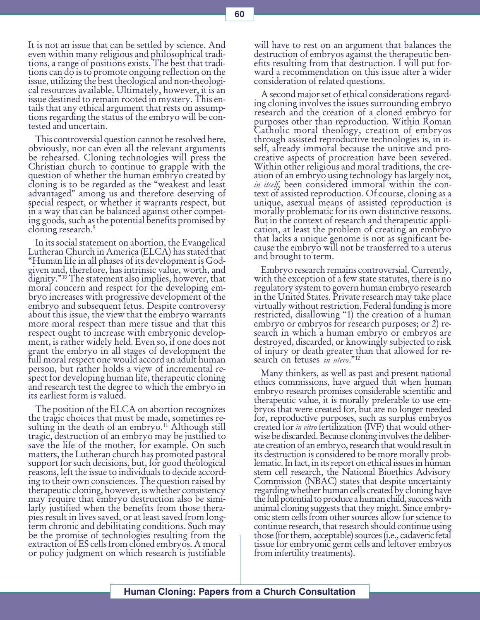It is not an issue that can be settled by science. And even within many religious and philosophical traditions, a range of positions exists. The best that traditions can do is to promote ongoing reflection on the issue, utilizing the best theological and non-theological resources available. Ultimately, however, it is an issue destined to remain rooted in mystery. This entails that any ethical argument that rests on assumptions regarding the status of the embryo will be contested and uncertain.

This controversial question cannot be resolved here, obviously, nor can even all the relevant arguments be rehearsed. Cloning technologies will press the Christian church to continue to grapple with the question of whether the human embryo created by cloning is to be regarded as the "weakest and least advantaged" among us and therefore deserving of special respect, or whether it warrants respect, but in a way that can be balanced against other competing goods, such as the potential benefits promised by cloning research.<sup>9</sup>

In its social statement on abortion, the Evangelical Lutheran Church in America (ELCA) has stated that Human life in all phases of its development is Godgiven and, therefore, has intrinsic value, worth, and dignity."<sup>10</sup> The statement also implies, however, that moral concern and respect for the developing embryo increases with progressive development of the embryo and subsequent fetus. Despite controversy about this issue, the view that the embryo warrants more moral respect than mere tissue and that this respect ought to increase with embryonic development, is rather widely held. Even so, if one does not grant the embryo in all stages of development the full moral respect one would accord an adult human person, but rather holds a view of incremental respect for developing human life, therapeutic cloning and research test the degree to which the embryo in its earliest form is valued.

The position of the ELCA on abortion recognizes the tragic choices that must be made, sometimes resulting in the death of an embryo.<sup>11</sup> Although still tragic, destruction of an embryo may be justified to save the life of the mother, for example. On such matters, the Lutheran church has promoted pastoral support for such decisions, but, for good theological reasons, left the issue to individuals to decide according to their own consciences. The question raised by therapeutic cloning, however, is whether consistency may require that embryo destruction also be similarly justified when the benefits from those therapies result in lives saved, or at least saved from longterm chronic and debilitating conditions. Such may be the promise of technologies resulting from the extraction of ES cells from cloned embryos. A moral or policy judgment on which research is justifiable

will have to rest on an argument that balances the destruction of embryos against the therapeutic benefits resulting from that destruction. I will put forward a recommendation on this issue after a wider consideration of related questions.

A second major set of ethical considerations regarding cloning involves the issues surrounding embryo research and the creation of a cloned embryo for purposes other than reproduction. Within Roman Catholic moral theology, creation of embryos through assisted reproductive technologies is, in itself, already immoral because the unitive and procreative aspects of procreation have been severed. Within other religious and moral traditions, the creation of an embryo using technology has largely not, in itself, been considered immoral within the context of assisted reproduction. Of course, cloning as a unique, asexual means of assisted reproduction is morally problematic for its own distinctive reasons. But in the context of research and therapeutic application, at least the problem of creating an embryo that lacks a unique genome is not as significant because the embryo will not be transferred to a uterus and brought to term.

Embryo research remains controversial. Currently, with the exception of a few state statutes, there is no regulatory system to govern human embryo research in the United States. Private research may take place virtually without restriction. Federal funding is more restricted, disallowing "1) the creation of a human embryo or embryos for research purposes; or 2) research in which a human embryo or embryos are destroyed, discarded, or knowingly subjected to risk of injury or death greater than that allowed for research on fetuses in utero."<sup>12</sup>

Many thinkers, as well as past and present national ethics commissions, have argued that when human embryo research promises considerable scientific and therapeutic value, it is morally preferable to use embryos that were created for, but are no longer needed for, reproductive purposes, such as surplus embryos created for *in vitro* fertilization (IVF) that would other-<br>wise be discarded. Because cloning involves the deliberate creation of an embryo, research that would result in its destruction is considered to be more morally problematic. In fact, in its report on ethical issues in human stem cell research, the National Bioethics Advisory Commission (NBAC) states that despite uncertainty regarding whether human cells created by cloning have the full potential to produce a human child, success with animal cloning suggests that they might. Since embryonic stem cells from other sources allow for science to continue research, that research should continue using those (for them, acceptable) sources (i.e., cadaveric fetal tissue for embryonic germ cells and leftover embryos from infertility treatments).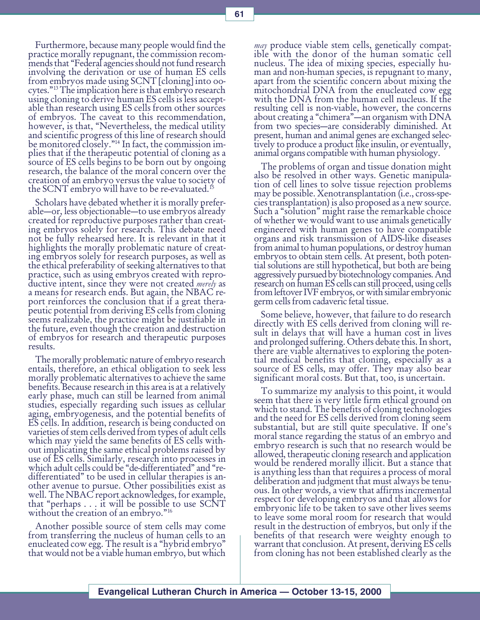Furthermore, because many people would find the practice morally repugnant, the commission recommends that "Federal agencies should not fund research involving the derivation or use of human ES cells from embryos made using SCNT [cloning] into oocytes.13 The implication here is that embryo research using cloning to derive human ES cells is less acceptable than research using ES cells from other sources of embryos. The caveat to this recommendation, however, is that, "Nevertheless, the medical utility and scientific progress of this line of research should be monitored closely."<sup>14</sup> In fact, the commission implies that if the therapeutic potential of cloning as a source of ES cells begins to be born out by ongoing research, the balance of the moral concern over the creation of an embryo versus the value to society of the SCNT embryo will have to be re-evaluated.<sup>15</sup>

Scholars have debated whether it is morally preferable—or, less objectionable—to use embryos already created for reproductive purposes rather than creating embryos solely for research. This debate need not be fully rehearsed here. It is relevant in that it highlights the morally problematic nature of creating embryos solely for research purposes, as well as the ethical preferability of seeking alternatives to that practice, such as using embryos created with reproductive intent, since they were not created *merely* as a means for research ends. But again, the NBAC report reinforces the conclusion that if a great therapeutic potential from deriving ES cells from cloning seems realizable, the practice might be justifiable in the future, even though the creation and destruction of embryos for research and therapeutic purposes results.

The morally problematic nature of embryo research entails, therefore, an ethical obligation to seek less morally problematic alternatives to achieve the same benefits. Because research in this area is at a relatively early phase, much can still be learned from animal studies, especially regarding such issues as cellular aging, embryogenesis, and the potential benefits of ES cells. In addition, research is being conducted on varieties of stem cells derived from types of adult cells which may yield the same benefits of ES cells without implicating the same ethical problems raised by use of ES cells. Similarly, research into processes in which adult cells could be "de-differentiated" and "redifferentiated" to be used in cellular therapies is another avenue to pursue. Other possibilities exist as well. The NBAC report acknowledges, for example, that "perhaps  $\dots$  it will be possible to use SCNT without the creation of an embryo."<sup>16</sup>

Another possible source of stem cells may come from transferring the nucleus of human cells to an enucleated cow egg. The result is a "hybrid embryo" that would not be a viable human embryo, but which

*may* produce viable stem cells, genetically compat-<br>ible with the donor of the human somatic cell nucleus. The idea of mixing species, especially human and non-human species, is repugnant to many, apart from the scientific concern about mixing the mitochondrial DNA from the enucleated cow egg with the DNA from the human cell nucleus. If the resulting cell is non-viable, however, the concerns about creating a "chimera"-an organism with DNA from two species-are considerably diminished. At present, human and animal genes are exchanged selectively to produce a product like insulin, or eventually, animal organs compatible with human physiology.

The problems of organ and tissue donation might also be resolved in other ways. Genetic manipulation of cell lines to solve tissue rejection problems may be possible. Xenotransplantation (i.e., cross-species transplantation) is also proposed as a new source. Such a "solution" might raise the remarkable choice of whether we would want to use animals genetically engineered with human genes to have compatible organs and risk transmission of AIDS-like diseases from animal to human populations, or destroy human embryos to obtain stem cells. At present, both potential solutions are still hypothetical, but both are being aggressively pursued by biotechnology companies. And research on human ES cells can still proceed, using cells from leftover IVF embryos, or with similar embryonic germ cells from cadaveric fetal tissue.

Some believe, however, that failure to do research directly with ES cells derived from cloning will result in delays that will have a human cost in lives and prolonged suffering. Others debate this. In short, there are viable alternatives to exploring the potential medical benefits that cloning, especially as a source of ES cells, may offer. They may also bear significant moral costs. But that, too, is uncertain.

To summarize my analysis to this point, it would seem that there is very little firm ethical ground on which to stand. The benefits of cloning technologies and the need for ES cells derived from cloning seem substantial, but are still quite speculative. If one's moral stance regarding the status of an embryo and embryo research is such that no research would be allowed, therapeutic cloning research and application would be rendered morally illicit. But a stance that is anything less than that requires a process of moral deliberation and judgment that must always be tenuous. In other words, a view that affirms incremental respect for developing embryos and that allows for embryonic life to be taken to save other lives seems to leave some moral room for research that would result in the destruction of embryos, but only if the benefits of that research were weighty enough to warrant that conclusion. At present, deriving ES cells from cloning has not been established clearly as the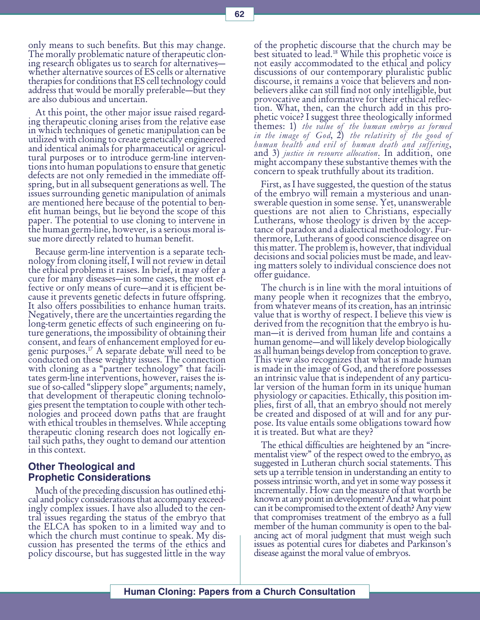only means to such benefits. But this may change. The morally problematic nature of therapeutic cloning research obligates us to search for alternatives whether alternative sources of ES cells or alternative therapies for conditions that ES cell technology could address that would be morally preferable—but they are also dubious and uncertain.

At this point, the other major issue raised regarding therapeutic cloning arises from the relative ease in which techniques of genetic manipulation can be utilized with cloning to create genetically engineered and identical animals for pharmaceutical or agricultural purposes or to introduce germ-line interventions into human populations to ensure that genetic defects are not only remedied in the immediate offspring, but in all subsequent generations as well. The issues surrounding genetic manipulation of animals are mentioned here because of the potential to benefit human beings, but lie beyond the scope of this paper. The potential to use cloning to intervene in the human germ-line, however, is a serious moral issue more directly related to human benefit.

Because germ-line intervention is a separate technology from cloning itself, I will not review in detail the ethical problems it raises. In brief, it may offer a cure for many diseases—in some cases, the most effective or only means of cure-and it is efficient because it prevents genetic defects in future offspring. It also offers possibilities to enhance human traits. Negatively, there are the uncertainties regarding the long-term genetic effects of such engineering on future generations, the impossibility of obtaining their consent, and fears of enhancement employed for eugenic purposes.17 A separate debate will need to be conducted on these weighty issues. The connection with cloning as a "partner technology" that facilitates germ-line interventions, however, raises the issue of so-called "slippery slope" arguments; namely, that development of therapeutic cloning technologies present the temptation to couple with other technologies and proceed down paths that are fraught with ethical troubles in themselves. While accepting therapeutic cloning research does not logically entail such paths, they ought to demand our attention in this context.

## Other Theological and Prophetic Considerations

Much of the preceding discussion has outlined ethical and policy considerations that accompany exceedingly complex issues. I have also alluded to the central issues regarding the status of the embryo that the ELCA has spoken to in a limited way and to which the church must continue to speak. My discussion has presented the terms of the ethics and policy discourse, but has suggested little in the way

of the prophetic discourse that the church may be best situated to lead.18 While this prophetic voice is not easily accommodated to the ethical and policy discussions of our contemporary pluralistic public discourse, it remains a voice that believers and nonbelievers alike can still find not only intelligible, but provocative and informative for their ethical reflection. What, then, can the church add in this prophetic voice? I suggest three theologically informed  $\text{ }$  themes: 1) the value of the human embryo as formed in the image of God,  $\tilde{2}$ ) the relativity of the good of human health and evil of human death and suffering,<br>and 3) justice in resource allocation. In addition, one might accompany these substantive themes with the concern to speak truthfully about its tradition.

First, as I have suggested, the question of the status of the embryo will remain a mysterious and unanswerable question in some sense. Yet, unanswerable questions are not alien to Christians, especially Lutherans, whose theology is driven by the acceptance of paradox and a dialectical methodology. Furthermore, Lutherans of good conscience disagree on this matter. The problem is, however, that individual decisions and social policies must be made, and leaving matters solely to individual conscience does not offer guidance.

The church is in line with the moral intuitions of many people when it recognizes that the embryo, from whatever means of its creation, has an intrinsic value that is worthy of respect. I believe this view is derived from the recognition that the embryo is human—it is derived from human life and contains a human genome—and will likely develop biologically as all human beings develop from conception to grave. This view also recognizes that what is made human is made in the image of God, and therefore possesses an intrinsic value that is independent of any particular version of the human form in its unique human physiology or capacities. Ethically, this position implies, first of all, that an embryo should not merely be created and disposed of at will and for any purpose. Its value entails some obligations toward how it is treated. But what are they?

The ethical difficulties are heightened by an "incrementalist view" of the respect owed to the embryo, as suggested in Lutheran church social statements. This sets up a terrible tension in understanding an entity to possess intrinsic worth, and yet in some way possess it incrementally. How can the measure of that worth be known at any point in development? And at what point can it be compromised to the extent of death? Any view that compromises treatment of the embryo as a full member of the human community is open to the balancing act of moral judgment that must weigh such issues as potential cures for diabetes and Parkinson's disease against the moral value of embryos.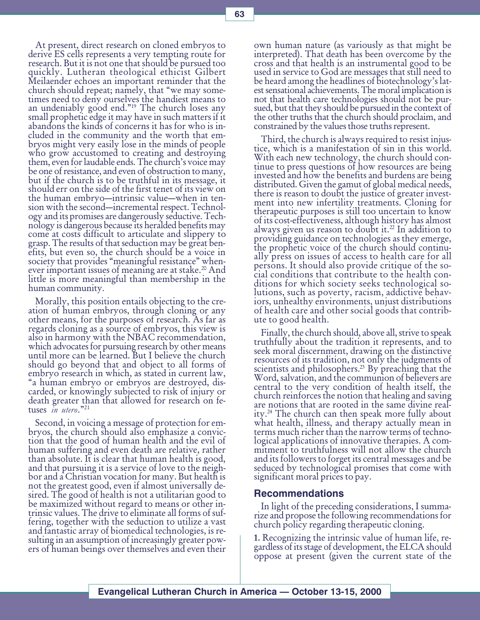At present, direct research on cloned embryos to derive ES cells represents a very tempting route for research. But it is not one that should be pursued too quickly. Lutheran theological ethicist Gilbert Meilaender echoes an important reminder that the church should repeat; namely, that "we may sometimes need to deny ourselves the handiest means to an undeniably good end."<sup>19</sup> The church loses any<br>small prophetic edge it may have in such matters if it abandons the kinds of concerns it has for who is included in the community and the worth that embryos might very easily lose in the minds of people who grow accustomed to creating and destroying them, even for laudable ends. The church's voice may be one of resistance, and even of obstruction to many, but if the church is to be truthful in its message, it should err on the side of the first tenet of its view on the human embryo—intrinsic value—when in tension with the second—incremental respect. Technology and its promises are dangerously seductive. Technology is dangerous because its heralded benefits may come at costs difficult to articulate and slippery to grasp. The results of that seduction may be great benefits, but even so, the church should be a voice in society that provides "meaningful resistance" whenever important issues of meaning are at stake.<sup>20</sup> And little is more meaningful than membership in the human community.

Morally, this position entails objecting to the creation of human embryos, through cloning or any other means, for the purposes of research. As far as regards cloning as a source of embryos, this view is also in harmony with the NBAC recommendation, which advocates for pursuing research by other means until more can be learned. But I believe the church should go beyond that and object to all forms of embryo research in which, as stated in current law, a human embryo or embryos are destroyed, discarded, or knowingly subjected to risk of injury or death greater than that allowed for research on fetuses in utero."21

Second, in voicing a message of protection for embryos, the church should also emphasize a conviction that the good of human health and the evil of human suffering and even death are relative, rather than absolute. It is clear that human health is good, and that pursuing it is a service of love to the neighbor and a Christian vocation for many. But health is not the greatest good, even if almost universally desired. The good of health is not a utilitarian good to be maximized without regard to means or other intrinsic values. The drive to eliminate all forms of suffering, together with the seduction to utilize a vast and fantastic array of biomedical technologies, is resulting in an assumption of increasingly greater powers of human beings over themselves and even their

own human nature (as variously as that might be interpreted). That death has been overcome by the cross and that health is an instrumental good to be used in service to God are messages that still need to be heard among the headlines of biotechnology's latest sensational achievements. The moral implication is not that health care technologies should not be pursued, but that they should be pursued in the context of the other truths that the church should proclaim, and constrained by the values those truths represent.

Third, the church is always required to resist injustice, which is a manifestation of sin in this world. With each new technology, the church should continue to press questions of how resources are being invested and how the benefits and burdens are being distributed. Given the gamut of global medical needs, there is reason to doubt the justice of greater investment into new infertility treatments. Cloning for therapeutic purposes is still too uncertain to know of its cost-effectiveness, although history has almost always given us reason to doubt it. $^{22}$  In addition to providing guidance on technologies as they emerge, the prophetic voice of the church should continually press on issues of access to health care for all persons. It should also provide critique of the social conditions that contribute to the health conditions for which society seeks technological solutions, such as poverty, racism, addictive behaviors, unhealthy environments, unjust distributions of health care and other social goods that contribute to good health.

Finally, the church should, above all, strive to speak truthfully about the tradition it represents, and to seek moral discernment, drawing on the distinctive resources of its tradition, not only the judgments of scientists and philosophers.<sup>23</sup> By preaching that the Word, salvation, and the communion of believers are central to the very condition of health itself, the church reinforces the notion that healing and saving are notions that are rooted in the same divine reality.24 The church can then speak more fully about what health, illness, and therapy actually mean in terms much richer than the narrow terms of technological applications of innovative therapies. A commitment to truthfulness will not allow the church and its followers to forget its central messages and be seduced by technological promises that come with significant moral prices to pay.

#### Recommendations

In light of the preceding considerations, I summarize and propose the following recommendations for church policy regarding therapeutic cloning.

1. Recognizing the intrinsic value of human life, regardless of its stage of development, the ELCA should oppose at present (given the current state of the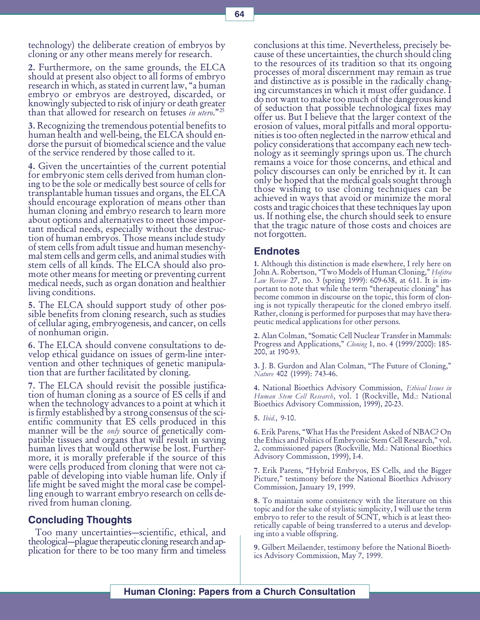technology) the deliberate creation of embryos by cloning or any other means merely for research.

2. Furthermore, on the same grounds, the ELCA should at present also object to all forms of embryo research in which, as stated in current law, "a human embryo or embryos are destroyed, discarded, or knowingly subjected to risk of injury or death greater than that allowed for research on fetuses in utero."<sup>25</sup>

3. Recognizing the tremendous potential benefits to human health and well-being, the ELCA should endorse the pursuit of biomedical science and the value of the service rendered by those called to it.

4. Given the uncertainties of the current potential for embryonic stem cells derived from human cloning to be the sole or medically best source of cells for transplantable human tissues and organs, the ELCA should encourage exploration of means other than human cloning and embryo research to learn more about options and alternatives to meet those important medical needs, especially without the destruction of human embryos. Those means include study of stem cells from adult tissue and human mesenchymal stem cells and germ cells, and animal studies with stem cells of all kinds. The ELCA should also promote other means for meeting or preventing current medical needs, such as organ donation and healthier living conditions.

5. The ELCA should support study of other possible benefits from cloning research, such as studies of cellular aging, embryogenesis, and cancer, on cells of nonhuman origin.

6. The ELCA should convene consultations to develop ethical guidance on issues of germ-line intervention and other techniques of genetic manipulation that are further facilitated by cloning.

7. The ELCA should revisit the possible justification of human cloning as a source of ES cells if and when the technology advances to a point at which it is firmly established by a strong consensus of the scientific community that ES cells produced in this manner will be the *only* source of genetically compatible tissues and organs that will result in saving human lives that would otherwise be lost. Furthermore, it is morally preferable if the source of this were cells produced from cloning that were not capable of developing into viable human life. Only if life might be saved might the moral case be compelling enough to warrant embryo research on cells derived from human cloning.

# Concluding Thoughts

Too many uncertainties—scientific, ethical, and theological—plague therapeutic cloning research and application for there to be too many firm and timeless conclusions at this time. Nevertheless, precisely because of these uncertainties, the church should cling to the resources of its tradition so that its ongoing processes of moral discernment may remain as true and distinctive as is possible in the radically changing circumstances in which it must offer guidance. I do not want to make too much of the dangerous kind of seduction that possible technological fixes may offer us. But I believe that the larger context of the erosion of values, moral pitfalls and moral opportunities is too often neglected in the narrow ethical and policy considerations that accompany each new technology as it seemingly springs upon us. The church remains a voice for those concerns, and ethical and policy discourses can only be enriched by it. It can only be hoped that the medical goals sought through those wishing to use cloning techniques can be achieved in ways that avoid or minimize the moral costs and tragic choices that these techniques lay upon us. If nothing else, the church should seek to ensure that the tragic nature of those costs and choices are not forgotten.

# Endnotes

1. Although this distinction is made elsewhere, I rely here on John A. Robertson, "Two Models of Human Cloning," Hofstra Law Review 27, no. 3 (spring 1999): 609-638, at 611. It is important to note that while the term "therapeutic cloning" has become common in discourse on the topic, this form of cloning is not typically therapeutic for the cloned embryo itself. Rather, cloning is performed for purposes that may have therapeutic medical applications for other persons.

2. Alan Colman, "Somatic Cell Nuclear Transfer in Mammals: Progress and Applications," Cloning 1, no. 4 (1999/2000): 185-200, at 190-93.

3. J. B. Gurdon and Alan Colman, "The Future of Cloning," Nature 402 (1999): 743-46.

4. National Bioethics Advisory Commission, Ethical Issues in Human Stem Cell Research, vol. 1 (Rockville, Md.: National Bioethics Advisory Commission, 1999), 20-23.

5. Ibid., 9-10.

6. Erik Parens, What Has the President Asked of NBAC? On the Ethics and Politics of Embryonic Stem Cell Research, vol. 2, commissioned papers (Rockville, Md.: National Bioethics Advisory Commission, 1999), I-4.

7. Erik Parens, Hybrid Embryos, ES Cells, and the Bigger Picture," testimony before the National Bioethics Advisory Commission, January 19, 1999.

8. To maintain some consistency with the literature on this topic and for the sake of stylistic simplicity, I will use the term embryo to refer to the result of SCNT, which is at least theoretically capable of being transferred to a uterus and developing into a viable offspring.

9. Gilbert Meilaender, testimony before the National Bioethics Advisory Commission, May 7, 1999.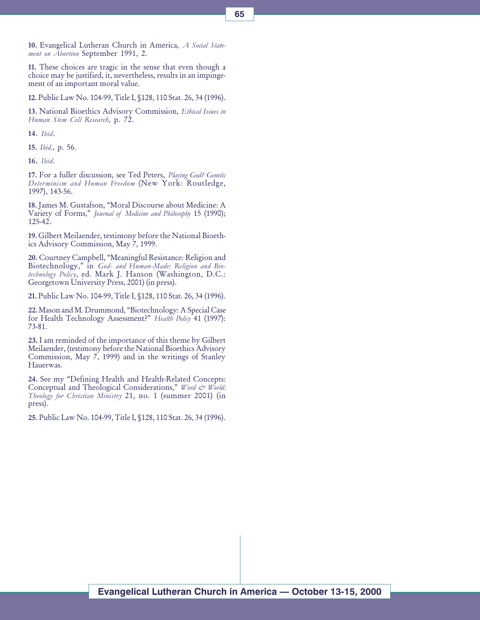10. Evangelical Lutheran Church in America, A Social Statement on Abortion September 1991, 2.

11. These choices are tragic in the sense that even though a choice may be justified, it, nevertheless, results in an impingement of an important moral value.

12. Public Law No. 104-99, Title I, §128, 110 Stat. 26, 34 (1996).

13. National Bioethics Advisory Commission, Ethical Issues in Human Stem Cell Research, p. 72.

14. Ibid.

15. Ibid., p. 56.

16. Ibid.

17. For a fuller discussion, see Ted Peters, Playing God? Genetic Determinism and Human Freedom (New York: Routledge, 1997), 143-56.

18. James M. Gustafson, Moral Discourse about Medicine: A Variety of Forms," Journal of Medicine and Philosophy 15 (1990); 125-42.

19. Gilbert Meilaender, testimony before the National Bioethics Advisory Commission, May 7, 1999.

20. Courtney Campbell, "Meaningful Resistance: Religion and Biotechnology," in God- and Human-Made: Religion and Biotechnology Policy, ed. Mark J. Hanson (Washington, D.C.: Georgetown University Press, 2001) (in press).

21. Public Law No. 104-99, Title I, §128, 110 Stat. 26, 34 (1996).

22. Mason and M. Drummond, "Biotechnology: A Special Case for Health Technology Assessment?" Health Policy 41 (1997): 73-81.

23. I am reminded of the importance of this theme by Gilbert Meilaender, (testimony before the National Bioethics Advisory Commission, May 7, 1999) and in the writings of Stanley Hauerwas.

24. See my "Defining Health and Health-Related Concepts: Conceptual and Theological Considerations," Word & World: Theology for Christian Ministry 21, no. 1 (summer 2001) (in press).

25. Public Law No. 104-99, Title I, §128, 110 Stat. 26, 34 (1996).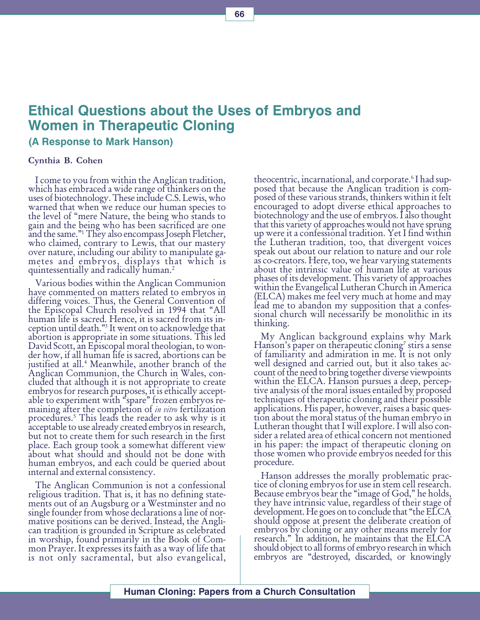# Ethical Questions about the Uses of Embryos and Women in Therapeutic Cloning

## (A Response to Mark Hanson)

#### Cynthia B. Cohen

I come to you from within the Anglican tradition, which has embraced a wide range of thinkers on the uses of biotechnology. These include C.S. Lewis, who warned that when we reduce our human species to the level of mere Nature, the being who stands to gain and the being who has been sacrificed are one and the same."<sup>1</sup> They also encompass Joseph Fletcher,<br>who claimed, contrary to Lewis, that our mastery over nature, including our ability to manipulate gametes and embryos, displays that which is quintessentially and radically human.2

Various bodies within the Anglican Communion have commented on matters related to embryos in differing voices. Thus, the General Convention of the Episcopal Church resolved in 1994 that "All human life is sacred. Hence, it is sacred from its inception until death."<sup>3</sup> It went on to acknowledge that abortion is appropriate in some situations. This led David Scott, an Episcopal moral theologian, to wonder how, if all human life is sacred, abortions can be justified at all.4 Meanwhile, another branch of the Anglican Communion, the Church in Wales, concluded that although it is not appropriate to create embryos for research purposes, it is ethically acceptable to experiment with "spare" frozen embryos remaining after the completion of *in vitro* fertilization procedures.5 This leads the reader to ask why is it acceptable to use already created embryos in research, but not to create them for such research in the first place. Each group took a somewhat different view about what should and should not be done with human embryos, and each could be queried about internal and external consistency.

The Anglican Communion is not a confessional religious tradition. That is, it has no defining statements out of an Augsburg or a Westminster and no single founder from whose declarations a line of normative positions can be derived. Instead, the Anglican tradition is grounded in Scripture as celebrated in worship, found primarily in the Book of Common Prayer. It expresses its faith as a way of life that is not only sacramental, but also evangelical,

theocentric, incarnational, and corporate.<sup>6</sup>I had sup-<br>posed that because the Anglican tradition is composed of these various strands, thinkers within it felt encouraged to adopt diverse ethical approaches to biotechnology and the use of embryos. I also thought that this variety of approaches would not have sprung up were it a confessional tradition. Yet I find within the Lutheran tradition, too, that divergent voices speak out about our relation to nature and our role as co-creators. Here, too, we hear varying statements about the intrinsic value of human life at various phases of its development. This variety of approaches within the Evangelical Lutheran Church in America (ELCA) makes me feel very much at home and may lead me to abandon my supposition that a confessional church will necessarily be monolithic in its thinking.

My Anglican background explains why Mark  $\rm{Hanson}$ 's paper on therapeutic cloning<sup>7</sup> stirs a sense of familiarity and admiration in me. It is not only well designed and carried out, but it also takes account of the need to bring together diverse viewpoints within the ELCA. Hanson pursues a deep, perceptive analysis of the moral issues entailed by proposed techniques of therapeutic cloning and their possible applications. His paper, however, raises a basic question about the moral status of the human embryo in Lutheran thought that I will explore. I will also consider a related area of ethical concern not mentioned in his paper: the impact of therapeutic cloning on those women who provide embryos needed for this procedure.

Hanson addresses the morally problematic practice of cloning embryos for use in stem cell research. Because embryos bear the "image of God," he holds, they have intrinsic value, regardless of their stage of development. He goes on to conclude that "the ELCA should oppose at present the deliberate creation of embryos by cloning or any other means merely for research." In addition, he maintains that the ELCA should object to all forms of embryo research in which embryos are "destroyed, discarded, or knowingly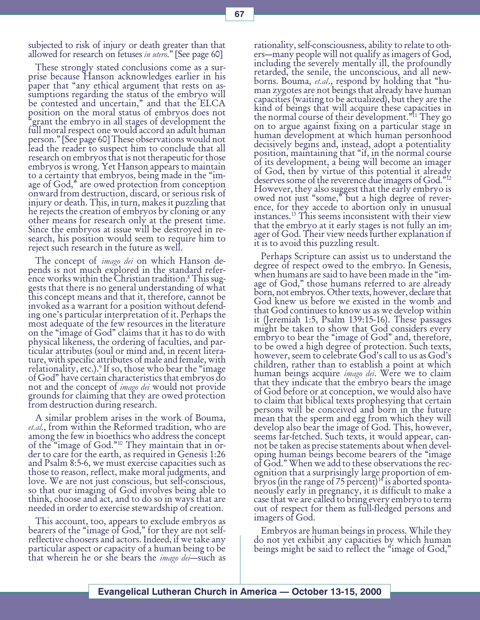subjected to risk of injury or death greater than that allowed for research on fetuses in utero." [See page 60]

These strongly stated conclusions come as a surprise because Hanson acknowledges earlier in his paper that "any ethical argument that rests on assumptions regarding the status of the embryo will be contested and uncertain," and that the ELCA position on the moral status of embryos does not grant the embryo in all stages of development the full moral respect one would accord an adult human person." [See page 60] These observations would not lead the reader to suspect him to conclude that all research on embryos that is not therapeutic for those embryos is wrong. Yet Hanson appears to maintain to a certainty that embryos, being made in the "image of God," are owed protection from conception onward from destruction, discard, or serious risk of injury or death. This, in turn, makes it puzzling that he rejects the creation of embryos by cloning or any other means for research only at the present time. Since the embryos at issue will be destroyed in research, his position would seem to require him to reject such research in the future as well.

The concept of *imago dei* on which Hanson depends is not much explored in the standard reference works within the Christian tradition.<sup>8</sup> This suggests that there is no general understanding of what this concept means and that it, therefore, cannot be invoked as a warrant for a position without defending one's particular interpretation of it. Perhaps the most adequate of the few resources in the literature on the "image of God" claims that it has to do with physical likeness, the ordering of faculties, and particular attributes (soul or mind and, in recent literature, with specific attributes of male and female, with relationality, etc.).<sup>9</sup> If so, those who bear the "image" of God" have certain characteristics that embryos do<br>not and the concept of *imago dei* would not provide grounds for claiming that they are owed protection from destruction during research.

A similar problem arises in the work of Bouma, et.al., from within the Reformed tradition, who are among the few in bioethics who address the concept<br>of the "image of God."<sup>10</sup> They maintain that in order to care for the earth, as required in Genesis 1:26 and Psalm 8:5-6, we must exercise capacities such as those to reason, reflect, make moral judgments, and love. We are not just conscious, but self-conscious, so that our imaging of God involves being able to think, choose and act, and to do so in ways that are needed in order to exercise stewardship of creation.

This account, too, appears to exclude embryos as bearers of the "image of God," for they are not selfreflective choosers and actors. Indeed, if we take any particular aspect or capacity of a human being to be that wherein he or she bears the *imago dei*—such as

rationality, self-consciousness, ability to relate to others—many people will not qualify as imagers of God, including the severely mentally ill, the profoundly retarded, the senile, the unconscious, and all newborns. Bouma, *et.al.*, respond by holding that "hu-<br>man zygotes are not beings that already have human capacities (waiting to be actualized), but they are the kind of beings that will acquire these capacities in the normal course of their development."<sup>11</sup> They go on to argue against fixing on a particular stage in human development at which human personhood decisively begins and, instead, adopt a potentiality position, maintaining that "if, in the normal course of its development, a being will become an imager of God, then by virtue of this potential it already deserves some of the reverence due imagers of God."<sup>12</sup> However, they also suggest that the early embryo is owed not just "some," but a high degree of reverence, for they accede to abortion only in unusual instances.13 This seems inconsistent with their view that the embryo at it early stages is not fully an imager of God. Their view needs further explanation if it is to avoid this puzzling result.

Perhaps Scripture can assist us to understand the degree of respect owed to the embryo. In Genesis, when humans are said to have been made in the "image of God," those humans referred to are already born, not embryos. Other texts, however, declare that God knew us before we existed in the womb and that God continues to know us as we develop within it (Jeremiah 1:5, Psalm 139:15-16). These passages might be taken to show that God considers every embryo to bear the "image of God" and, therefore, to be owed a high degree of protection. Such texts, however, seem to celebrate God's call to us as God's children, rather than to establish a point at which human beings acquire *imago dei*. Were we to claim that they indicate that the embryo bears the image of God before or at conception, we would also have to claim that biblical texts prophesying that certain persons will be conceived and born in the future mean that the sperm and egg from which they will develop also bear the image of God. This, however, seems far-fetched. Such texts, it would appear, cannot be taken as precise statements about when developing human beings become bearers of the "image" of God. When we add to these observations the recognition that a surprisingly large proportion of embryos (in the range of 75 percent)<sup>14</sup> is aborted sponta-<br>neously early in pregnancy, it is difficult to make a case that we are called to bring every embryo to term out of respect for them as full-fledged persons and imagers of God.

Embryos are human beings in process. While they do not yet exhibit any capacities by which human beings might be said to reflect the "image of God,"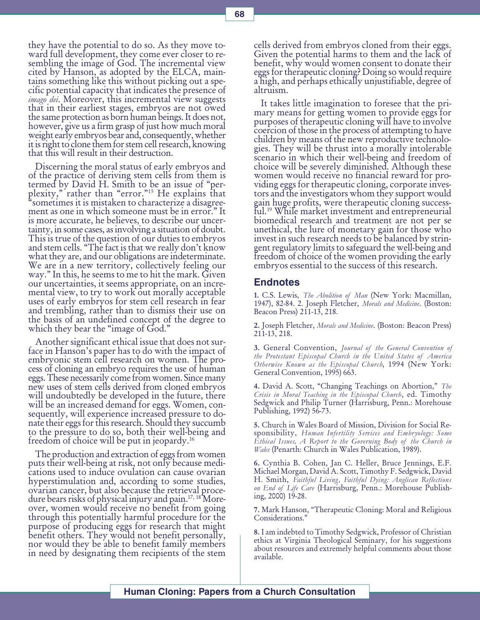they have the potential to do so. As they move toward full development, they come ever closer to resembling the image of God. The incremental view cited by Hanson, as adopted by the ELCA, maintains something like this without picking out a specific potential capacity that indicates the presence of imago dei. Moreover, this incremental view suggests that in their earliest stages, embryos are not owed the same protection as born human beings. It does not, however, give us a firm grasp of just how much moral weight early embryos bear and, consequently, whether it is right to clone them for stem cell research, knowing that this will result in their destruction.

Discerning the moral status of early embryos and of the practice of deriving stem cells from them is termed by David H. Smith to be an issue of "perplexity," rather than "error."<sup>15</sup> He explains that<br>"sometimes it is mistaken to characterize a disagreement as one in which someone must be in error." It is more accurate, he believes, to describe our uncertainty, in some cases, as involving a situation of doubt. This is true of the question of our duties to embryos and stem cells. "The fact is that we really don't know what they are, and our obligations are indeterminate. We are in a new territory, collectively feeling our way." In this, he seems to me to hit the mark. Given our uncertainties, it seems appropriate, on an incremental view, to try to work out morally acceptable uses of early embryos for stem cell research in fear and trembling, rather than to dismiss their use on the basis of an undefined concept of the degree to which they bear the "image of God."

Another significant ethical issue that does not surface in Hanson's paper has to do with the impact of embryonic stem cell research on women. The process of cloning an embryo requires the use of human eggs. These necessarily come from women. Since many<br>new uses of stem cells derived from cloned embryos will undoubtedly be developed in the future, there will be an increased demand for eggs. Women, consequently, will experience increased pressure to donate their eggs for this research. Should they succumb to the pressure to do so, both their well-being and freedom of choice will be put in jeopardy.16

The production and extraction of eggs from women puts their well-being at risk, not only because medications used to induce ovulation can cause ovarian hyperstimulation and, according to some studies, ovarian cancer, but also because the retrieval procedure bears risks of physical injury and pain.<sup>17, 18</sup> Moreover, women would receive no benefit from going through this potentially harmful procedure for the purpose of producing eggs for research that might benefit others. They would not benefit personally, nor would they be able to benefit family members in need by designating them recipients of the stem

cells derived from embryos cloned from their eggs. Given the potential harms to them and the lack of benefit, why would women consent to donate their eggs for therapeutic cloning? Doing so would require a high, and perhaps ethically unjustifiable, degree of altruism.

It takes little imagination to foresee that the primary means for getting women to provide eggs for purposes of therapeutic cloning will have to involve coercion of those in the process of attempting to have children by means of the new reproductive technologies. They will be thrust into a morally intolerable scenario in which their well-being and freedom of choice will be severely diminished. Although these women would receive no financial reward for providing eggs for therapeutic cloning, corporate investors and the investigators whom they support would gain huge profits, were therapeutic cloning successful.19 While market investment and entrepreneurial biomedical research and treatment are not per se unethical, the lure of monetary gain for those who invest in such research needs to be balanced by stringent regulatory limits to safeguard the well-being and freedom of choice of the women providing the early embryos essential to the success of this research.

#### Endnotes

1. C.S. Lewis, The Abolition of Man (New York: Macmillan, 1947), 82-84. 2. Joseph Fletcher, Morals and Medicine. (Boston: Beacon Press) 211-13, 218.

2. Joseph Fletcher, Morals and Medicine. (Boston: Beacon Press) 211-13, 218.

3. General Convention, Journal of the General Convention of the Protestant Episcopal Church in the United States of America Otherwise Known as the Episcopal Church, 1994 (New York: General Convention, 1995) 663.

4. David A. Scott, "Changing Teachings on Abortion," The Crisis in Moral Teaching in the Episcopal Church, ed. Timothy Sedgwick and Philip Turner (Harrisburg, Penn.: Morehouse Publishing, 1992) 56-73.

5. Church in Wales Board of Mission, Division for Social Responsibility, Human Infertility Services and Embryology: Some Ethical Issues, A Report to the Governing Body of the Church in Wales (Penarth: Church in Wales Publication, 1989).

6. Cynthia B. Cohen, Jan C. Heller, Bruce Jennings, E.F. Michael Morgan, David A. Scott, Timothy F. Sedgwick, David H. Smith, Faithful Living, Faithful Dying: Anglican Reflections on End of Life Care (Harrisburg, Penn.: Morehouse Publishing, 2000) 19-28.

7. Mark Hanson, Therapeutic Cloning: Moral and Religious Considerations."

8. I am indebted to Timothy Sedgwick, Professor of Christian ethics at Virginia Theological Seminary, for his suggestions about resources and extremely helpful comments about those available.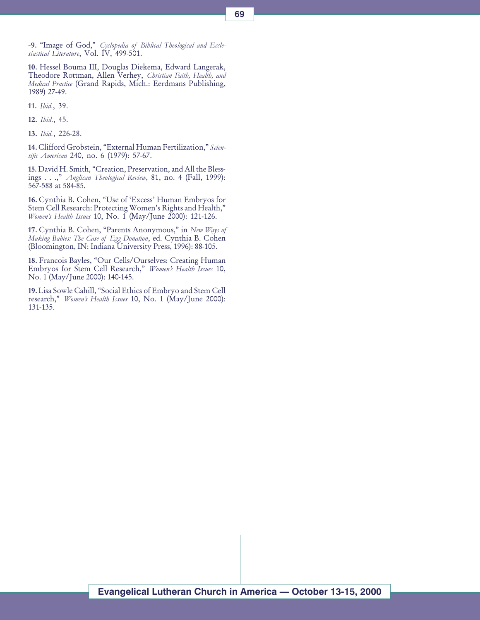-9. "Image of God," Cyclopedia of Biblical Theological and Ecclesiastical Literature, Vol. IV, 499-501.

10. Hessel Bouma III, Douglas Diekema, Edward Langerak, Theodore Rottman, Allen Verhey, Christian Faith, Health, and Medical Practice (Grand Rapids, Mich.: Eerdmans Publishing, 1989) 27-49.

11. Ibid., 39.

12. Ibid., 45.

13. Ibid., 226-28.

14. Clifford Grobstein, "External Human Fertilization," Scientific American 240, no. 6 (1979): 57-67.

15. David H. Smith, "Creation, Preservation, and All the Blessings . . .," Anglican Theological Review, 81, no. 4 (Fall, 1999): 567-588 at 584-85.

16. Cynthia B. Cohen, "Use of 'Excess' Human Embryos for Stem Cell Research: Protecting Women's Rights and Health," Women's Health Issues 10, No. 1 (May/June 2000): 121-126.

17. Cynthia B. Cohen, "Parents Anonymous," in New Ways of Making Babies: The Case of Egg Donation, ed. Cynthia B. Cohen (Bloomington, IN: Indiana University Press, 1996): 88-105.

18. Francois Bayles, "Our Cells/Ourselves: Creating Human Embryos for Stem Cell Research," Women's Health Issues 10, No. 1 (May/June 2000): 140-145.

19. Lisa Sowle Cahill, "Social Ethics of Embryo and Stem Cell research," Women's Health Issues 10, No. 1 (May/June 2000): 131-135.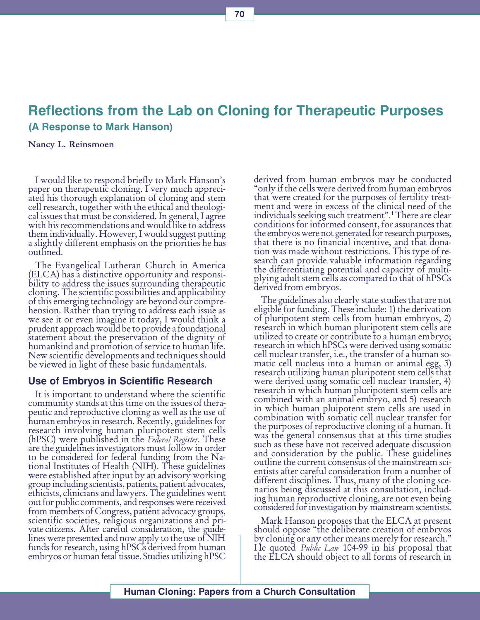# Reflections from the Lab on Cloning for Therapeutic Purposes (A Response to Mark Hanson)

#### Nancy L. Reinsmoen

I would like to respond briefly to Mark Hanson's paper on therapeutic cloning. I very much appreciated his thorough explanation of cloning and stem cell research, together with the ethical and theological issues that must be considered. In general, I agree with his recommendations and would like to address them individually. However, I would suggest putting a slightly different emphasis on the priorities he has outlined.

The Evangelical Lutheran Church in America (ELCA) has a distinctive opportunity and responsibility to address the issues surrounding therapeutic cloning. The scientific possibilities and applicability of this emerging technology are beyond our comprehension. Rather than trying to address each issue as we see it or even imagine it today, I would think a prudent approach would be to provide a foundational statement about the preservation of the dignity of humankind and promotion of service to human life. New scientific developments and techniques should be viewed in light of these basic fundamentals.

#### Use of Embryos in Scientific Research

It is important to understand where the scientific community stands at this time on the issues of therapeutic and reproductive cloning as well as the use of human embryos in research. Recently, guidelines for research involving human pluripotent stem cells (hPSC) were published in the Federal Register. These are the guidelines investigators must follow in order to be considered for federal funding from the National Institutes of Health (NIH). These guidelines were established after input by an advisory working group including scientists, patients, patient advocates, ethicists, clinicians and lawyers. The guidelines went out for public comments, and responses were received from members of Congress, patient advocacy groups, scientific societies, religious organizations and private citizens. After careful consideration, the guidelines were presented and now apply to the use of NIH funds for research, using hPSCs derived from human embryos or human fetal tissue. Studies utilizing hPSC

derived from human embryos may be conducted only if the cells were derived from human embryos that were created for the purposes of fertility treatment and were in excess of the clinical need of the individuals seeking such treatment".<sup>1</sup> There are clear conditions for informed consent, for assurances that the embryos were not generated for research purposes, that there is no financial incentive, and that donation was made without restrictions. This type of research can provide valuable information regarding the differentiating potential and capacity of multiplying adult stem cells as compared to that of hPSCs derived from embryos.

The guidelines also clearly state studies that are not eligible for funding. These include: 1) the derivation of pluripotent stem cells from human embryos, 2) research in which human pluripotent stem cells are utilized to create or contribute to a human embryo; research in which hPSCs were derived using somatic cell nuclear transfer, i.e., the transfer of a human somatic cell nucleus into a human or animal egg, 3) research utilizing human pluripotent stem cells that were derived using somatic cell nuclear transfer, 4) research in which human pluripotent stem cells are combined with an animal embryo, and 5) research in which human pluipotent stem cells are used in combination with somatic cell nuclear transfer for the purposes of reproductive cloning of a human. It was the general consensus that at this time studies such as these have not received adequate discussion and consideration by the public. These guidelines outline the current consensus of the mainstream scientists after careful consideration from a number of different disciplines. Thus, many of the cloning scenarios being discussed at this consultation, including human reproductive cloning, are not even being considered for investigation by mainstream scientists.

Mark Hanson proposes that the ELCA at present should oppose "the deliberate creation of embryos" by cloning or any other means merely for research."<br>He quoted *Public Law* 104-99 in his proposal that the ELCA should object to all forms of research in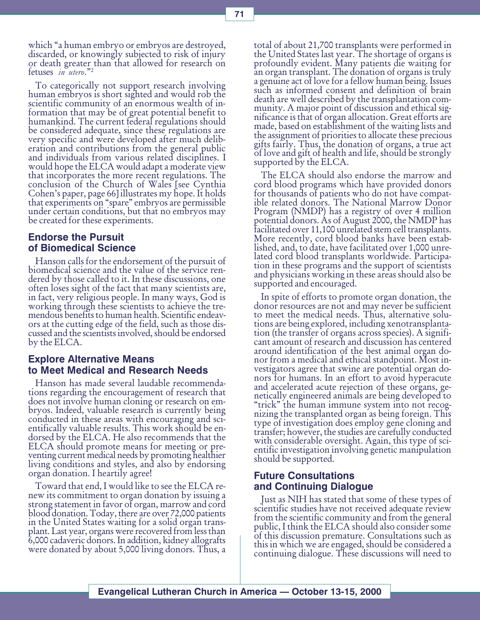To categorically not support research involving human embryos is short sighted and would rob the scientific community of an enormous wealth of information that may be of great potential benefit to humankind. The current federal regulations should be considered adequate, since these regulations are very specific and were developed after much deliberation and contributions from the general public and individuals from various related disciplines. I would hope the ELCA would adapt a moderate view that incorporates the more recent regulations. The conclusion of the Church of Wales [see Cynthia Cohen's paper, page 66] illustrates my hope. It holds that experiments on "spare" embryos are permissible under certain conditions, but that no embryos may be created for these experiments.

# Endorse the Pursuit of Biomedical Science

Hanson calls for the endorsement of the pursuit of biomedical science and the value of the service rendered by those called to it. In these discussions, one often loses sight of the fact that many scientists are, in fact, very religious people. In many ways, God is working through these scientists to achieve the tremendous benefits to human health. Scientific endeavors at the cutting edge of the field, such as those discussed and the scientists involved, should be endorsed by the ELCA.

# Explore Alternative Means to Meet Medical and Research Needs

Hanson has made several laudable recommendations regarding the encouragement of research that does not involve human cloning or research on embryos. Indeed, valuable research is currently being conducted in these areas with encouraging and scientifically valuable results. This work should be endorsed by the ELCA. He also recommends that the ELCA should promote means for meeting or preventing current medical needs by promoting healthier living conditions and styles, and also by endorsing organ donation. I heartily agree!

Toward that end, I would like to see the ELCA renew its commitment to organ donation by issuing a strong statement in favor of organ, marrow and cord blood donation. Today, there are over 72,000 patients in the United States waiting for a solid organ transplant. Last year, organs were recovered from less than 6,000 cadaveric donors. In addition, kidney allografts were donated by about 5,000 living donors. Thus, a

total of about 21,700 transplants were performed in the United States last year. The shortage of organs is profoundly evident. Many patients die waiting for an organ transplant. The donation of organs is truly a genuine act of love for a fellow human being. Issues such as informed consent and definition of brain death are well described by the transplantation community. A major point of discussion and ethical significance is that of organ allocation. Great efforts are made, based on establishment of the waiting lists and the assignment of priorities to allocate these precious gifts fairly. Thus, the donation of organs, a true act of love and gift of health and life, should be strongly supported by the ELCA.

The ELCA should also endorse the marrow and cord blood programs which have provided donors for thousands of patients who do not have compatible related donors. The National Marrow Donor Program (NMDP) has a registry of over 4 million potential donors. As of August 2000, the NMDP has facilitated over 11,100 unrelated stem cell transplants. More recently, cord blood banks have been established, and, to date, have facilitated over 1,000 unrelated cord blood transplants worldwide. Participation in these programs and the support of scientists and physicians working in these areas should also be supported and encouraged.

In spite of efforts to promote organ donation, the donor resources are not and may never be sufficient to meet the medical needs. Thus, alternative solutions are being explored, including xenotransplantation (the transfer of organs across species). A significant amount of research and discussion has centered around identification of the best animal organ donor from a medical and ethical standpoint. Most investigators agree that swine are potential organ donors for humans. In an effort to avoid hyperacute and accelerated acute rejection of these organs, genetically engineered animals are being developed to "trick" the human immune system into not recognizing the transplanted organ as being foreign. This type of investigation does employ gene cloning and transfer; however, the studies are carefully conducted with considerable oversight. Again, this type of scientific investigation involving genetic manipulation should be supported.

# Future Consultations and Continuing Dialogue

Just as NIH has stated that some of these types of scientific studies have not received adequate review from the scientific community and from the general public, I think the ELCA should also consider some of this discussion premature. Consultations such as this in which we are engaged, should be considered a continuing dialogue. These discussions will need to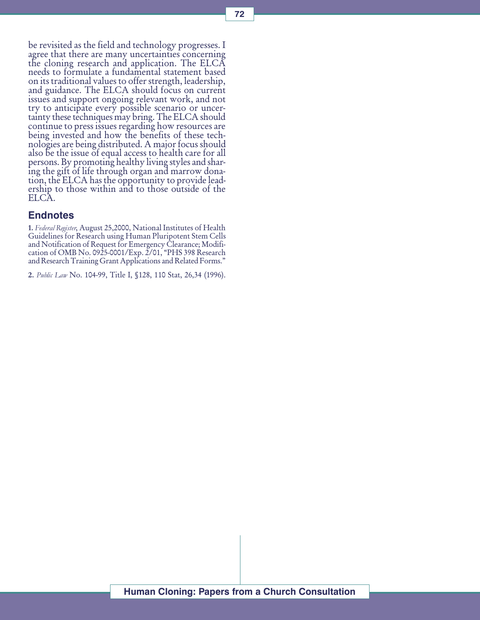be revisited as the field and technology progresses. I agree that there are many uncertainties concerning the cloning research and application. The ELCA needs to formulate a fundamental statement based on its traditional values to offer strength, leadership, and guidance. The ELCA should focus on current issues and support ongoing relevant work, and not try to anticipate every possible scenario or uncertainty these techniques may bring. The ELCA should continue to press issues regarding how resources are being invested and how the benefits of these technologies are being distributed. A major focus should also be the issue of equal access to health care for all persons. By promoting healthy living styles and sharing the gift of life through organ and marrow donation, the ELCA has the opportunity to provide leadership to those within and to those outside of the ELCA.

### **Endnotes**

1. Federal Register, August 25,2000, National Institutes of Health Guidelines for Research using Human Pluripotent Stem Cells and Notification of Request for Emergency Clearance; Modification of OMB No. 0925-0001/Exp. 2/01, PHS 398 Research and Research Training Grant Applications and Related Forms.

2. Public Law No. 104-99, Title I, §128, 110 Stat, 26,34 (1996).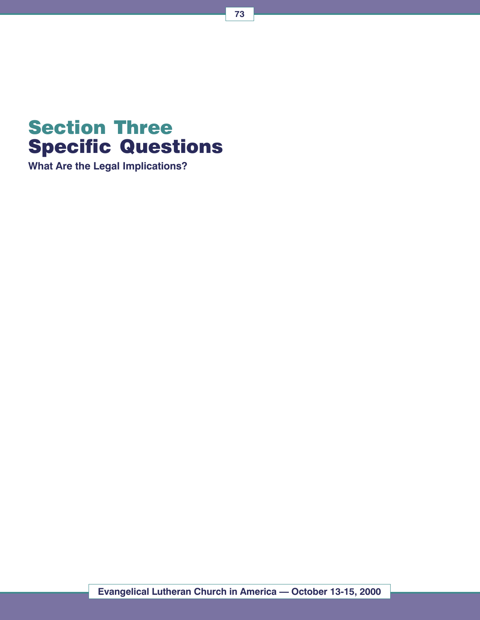

What Are the Legal Implications?

73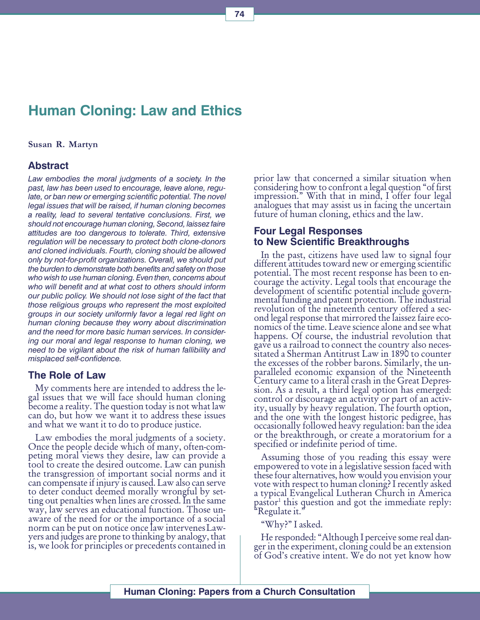# Human Cloning: Law and Ethics

#### Susan R. Martyn

### Abstract

Law embodies the moral judgments of a society. In the past, law has been used to encourage, leave alone, regulate, or ban new or emerging scientific potential. The novel legal issues that will be raised, if human cloning becomes a reality, lead to several tentative conclusions. First, we should not encourage human cloning, Second, laissez faire attitudes are too dangerous to tolerate. Third, extensive regulation will be necessary to protect both clone-donors and cloned individuals. Fourth, cloning should be allowed only by not-for-profit organizations. Overall, we should put the burden to demonstrate both benefits and safety on those who wish to use human cloning. Even then, concerns about who will benefit and at what cost to others should inform our public policy. We should not lose sight of the fact that those religious groups who represent the most exploited groups in our society uniformly favor a legal red light on human cloning because they worry about discrimination and the need for more basic human services. In considering our moral and legal response to human cloning, we need to be vigilant about the risk of human fallibility and misplaced self-confidence.

#### The Role of Law

My comments here are intended to address the legal issues that we will face should human cloning become a reality. The question today is not what law can do, but how we want it to address these issues and what we want it to do to produce justice.

Law embodies the moral judgments of a society. Once the people decide which of many, often-competing moral views they desire, law can provide a tool to create the desired outcome. Law can punish the transgression of important social norms and it can compensate if injury is caused. Law also can serve to deter conduct deemed morally wrongful by setting out penalties when lines are crossed. In the same way, law serves an educational function. Those unaware of the need for or the importance of a social norm can be put on notice once law intervenes Lawyers and judges are prone to thinking by analogy, that is, we look for principles or precedents contained in

prior law that concerned a similar situation when considering how to confront a legal question "of first" impression." With that in mind, I offer four legal analogues that may assist us in facing the uncertain future of human cloning, ethics and the law.

### Four Legal Responses to New Scientific Breakthroughs

In the past, citizens have used law to signal four different attitudes toward new or emerging scientific potential. The most recent response has been to encourage the activity. Legal tools that encourage the development of scientific potential include governmental funding and patent protection. The industrial revolution of the nineteenth century offered a second legal response that mirrored the laissez faire economics of the time. Leave science alone and see what happens. Of course, the industrial revolution that gave us a railroad to connect the country also necessitated a Sherman Antitrust Law in 1890 to counter the excesses of the robber barons. Similarly, the unparalleled economic expansion of the Nineteenth Century came to a literal crash in the Great Depression. As a result, a third legal option has emerged: control or discourage an activity or part of an activity, usually by heavy regulation. The fourth option, and the one with the longest historic pedigree, has occasionally followed heavy regulation: ban the idea or the breakthrough, or create a moratorium for a specified or indefinite period of time.

Assuming those of you reading this essay were empowered to vote in a legislative session faced with these four alternatives, how would you envision your vote with respect to human cloning? I recently asked a typical Evangelical Lutheran Church in America pastor<sup>1</sup> this question and got the immediate reply:<br>"Regulate it."

"Why?" I asked.

He responded: "Although I perceive some real danger in the experiment, cloning could be an extension of God's creative intent. We do not yet know how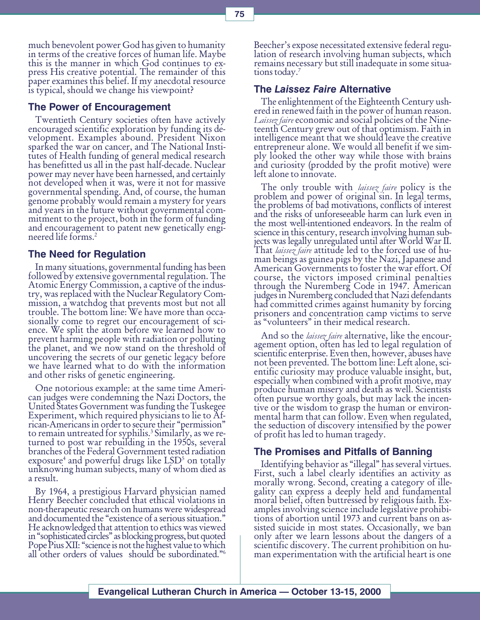much benevolent power God has given to humanity in terms of the creative forces of human life. Maybe this is the manner in which God continues to express His creative potential. The remainder of this paper examines this belief. If my anecdotal resource is typical, should we change his viewpoint?

### The Power of Encouragement

Twentieth Century societies often have actively encouraged scientific exploration by funding its development. Examples abound. President Nixon sparked the war on cancer, and The National Institutes of Health funding of general medical research has benefitted us all in the past half-decade. Nuclear power may never have been harnessed, and certainly not developed when it was, were it not for massive governmental spending. And, of course, the human genome probably would remain a mystery for years and years in the future without governmental commitment to the project, both in the form of funding and encouragement to patent new genetically engineered life forms.2

### The Need for Regulation

In many situations, governmental funding has been followed by extensive governmental regulation. The Atomic Energy Commission, a captive of the industry, was replaced with the Nuclear Regulatory Commission, a watchdog that prevents most but not all trouble. The bottom line: We have more than occasionally come to regret our encouragement of science. We split the atom before we learned how to prevent harming people with radiation or polluting the planet, and we now stand on the threshold of uncovering the secrets of our genetic legacy before we have learned what to do with the information and other risks of genetic engineering.

One notorious example: at the same time American judges were condemning the Nazi Doctors, the United States Government was funding the Tuskegee Experiment, which required physicians to lie to African-Americans in order to secure their "permission" to remain untreated for syphilis.<sup>3</sup> Similarly, as we re-<br>turned to post war rebuilding in the 1950s, several branches of the Federal Government tested radiation exposure<sup>4</sup> and powerful drugs like LSD<sup>5</sup> on totally<br>unknowing human subjects, many of whom died as a result.

By 1964, a prestigious Harvard physician named Henry Beecher concluded that ethical violations in non-therapeutic research on humans were widespread and documented the "existence of a serious situation." He acknowledged that attention to ethics was viewed in "sophisticated circles" as blocking progress, but quoted Pope Pius XII: "science is not the highest value to which all other orders of values should be subordinated.<sup>76</sup>

Beecher's expose necessitated extensive federal regulation of research involving human subjects, which remains necessary but still inadequate in some situations today.<sup>7</sup>

### The Laissez Faire Alternative

The enlightenment of the Eighteenth Century ushered in renewed faith in the power of human reason. Laissez faire economic and social policies of the Nine-<br>teenth Century grew out of that optimism. Faith in intelligence meant that we should leave the creative entrepreneur alone. We would all benefit if we simply looked the other way while those with brains and curiosity (prodded by the profit motive) were left alone to innovate.

The only trouble with *laissez faire* policy is the problem and power of original sin. In legal terms, the problems of bad motivations, conflicts of interest and the risks of unforeseeable harm can lurk even in the most well-intentioned endeavors. In the realm of science in this century, research involving human subjects was legally unregulated until after World War II. That *laissez faire* attitude led to the forced use of human beings as guinea pigs by the Nazi, Japanese and American Governments to foster the war effort. Of course, the victors imposed criminal penalties through the Nuremberg Code in 1947. American judges in Nuremberg concluded that Nazi defendants had committed crimes against humanity by forcing prisoners and concentration camp victims to serve as "volunteers" in their medical research.

And so the *laissez faire* alternative, like the encouragement option, often has led to legal regulation of scientific enterprise. Even then, however, abuses have not been prevented. The bottom line: Left alone, scientific curiosity may produce valuable insight, but, especially when combined with a profit motive, may produce human misery and death as well. Scientists often pursue worthy goals, but may lack the incentive or the wisdom to grasp the human or environmental harm that can follow. Even when regulated, the seduction of discovery intensified by the power of profit has led to human tragedy.

### The Promises and Pitfalls of Banning

Identifying behavior as "illegal" has several virtues. First, such a label clearly identifies an activity as morally wrong. Second, creating a category of illegality can express a deeply held and fundamental moral belief, often buttressed by religious faith. Examples involving science include legislative prohibitions of abortion until 1973 and current bans on assisted suicide in most states. Occasionally, we ban only after we learn lessons about the dangers of a scientific discovery. The current prohibition on human experimentation with the artificial heart is one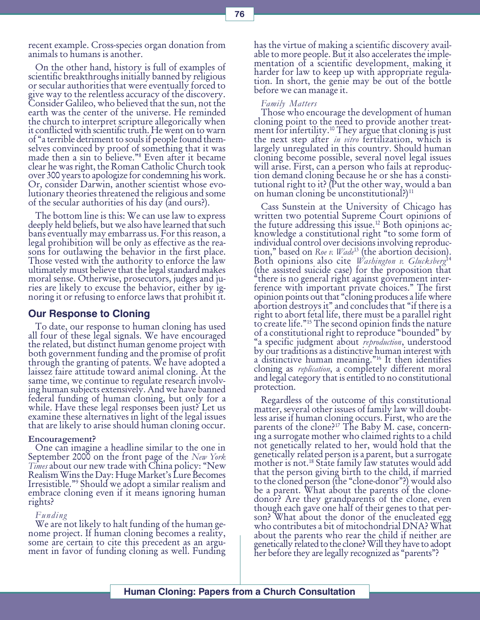recent example. Cross-species organ donation from animals to humans is another.

On the other hand, history is full of examples of scientific breakthroughs initially banned by religious or secular authorities that were eventually forced to give way to the relentless accuracy of the discovery. Consider Galileo, who believed that the sun, not the earth was the center of the universe. He reminded the church to interpret scripture allegorically when it conflicted with scientific truth. He went on to warn of a terrible detriment to souls if people found themselves convinced by proof of something that it was made then a sin to believe."<sup>8</sup> Even after it became clear he was right, the Roman Catholic Church took over 300 years to apologize for condemning his work. Or, consider Darwin, another scientist whose evolutionary theories threatened the religious and some of the secular authorities of his day (and ours?).

The bottom line is this: We can use law to express deeply held beliefs, but we also have learned that such bans eventually may embarrass us. For this reason, a legal prohibition will be only as effective as the reasons for outlawing the behavior in the first place. Those vested with the authority to enforce the law ultimately must believe that the legal standard makes moral sense. Otherwise, prosecutors, judges and juries are likely to excuse the behavior, either by ignoring it or refusing to enforce laws that prohibit it.

### Our Response to Cloning

To date, our response to human cloning has used all four of these legal signals. We have encouraged the related, but distinct human genome project with both government funding and the promise of profit through the granting of patents. We have adopted a laissez faire attitude toward animal cloning. At the same time, we continue to regulate research involving human subjects extensively. And we have banned federal funding of human cloning, but only for a while. Have these legal responses been just? Let us examine these alternatives in light of the legal issues that are likely to arise should human cloning occur.

#### Encouragement?

One can imagine a headline similar to the one in September 2000 on the front page of the New York Times about our new trade with China policy: "New<br>Realism Wins the Day: Huge Market's Lure Becomes Irresistible."° Should we adopt a similar realism and<br>embrace cloning even if it means ignoring human rights?

#### Funding

We are not likely to halt funding of the human genome project. If human cloning becomes a reality, some are certain to cite this precedent as an argument in favor of funding cloning as well. Funding

has the virtue of making a scientific discovery available to more people. But it also accelerates the implementation of a scientific development, making it harder for law to keep up with appropriate regulation. In short, the genie may be out of the bottle before we can manage it.

#### Family Matters

Those who encourage the development of human cloning point to the need to provide another treat-<br>ment for infertility.<sup>10</sup> They argue that cloning is just ment for infertility.<sup>10</sup> They argue that cloning is just<br>the next step after *in vitro* fertilization, which is largely unregulated in this country. Should human cloning become possible, several novel legal issues will arise. First, can a person who fails at reproduction demand cloning because he or she has a constitutional right to it? (Put the other way, would a ban on human cloning be unconstitutional?)<sup>11</sup>

Cass Sunstein at the University of Chicago has written two potential Supreme Court opinions of<br>the future addressing this issue.<sup>12</sup> Both opinions acknowledge a constitutional right "to some form of individual control over decisions involving reproduction," based on Roe v. Wade<sup>13</sup> (the abortion decision).<br>Both opinions also cite *Washington v. Glucksberg*<sup>14</sup> (the assisted suicide case) for the proposition that there is no general right against government interference with important private choices." The first opinion points out that "cloning produces a life where abortion destroys it" and concludes that "if there is a right to abort fetal life, there must be a parallel right to create life."<sup>15</sup> The second opinion finds the nature of a constitutional right to reproduce "bounded" by "a specific judgment about reproduction, understood by our traditions as a distinctive human interest with a distinctive human meaning."<sup>16</sup> It then identifies cloning as *replication*, a completely different moral and legal category that is entitled to no constitutional protection.

Regardless of the outcome of this constitutional matter, several other issues of family law will doubtless arise if human cloning occurs. First, who are the parents of the clone?<sup>17</sup> The Baby M. case, concerning a surrogate mother who claimed rights to a child not genetically related to her, would hold that the genetically related person is a parent, but a surrogate mother is not.18 State family law statutes would add that the person giving birth to the child, if married to the cloned person (the "clone-donor"?) would also be a parent. What about the parents of the clonedonor? Are they grandparents of the clone, even though each gave one half of their genes to that person? What about the donor of the enucleated egg who contributes a bit of mitochondrial DNA? What about the parents who rear the child if neither are genetically related to the clone? Will they have to adopt her before they are legally recognized as "parents"?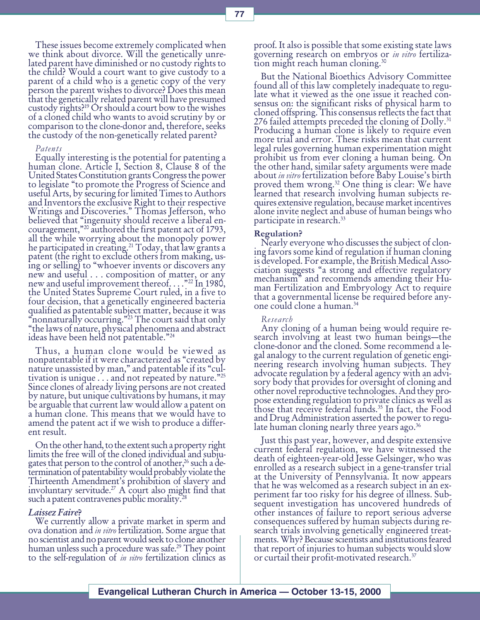These issues become extremely complicated when we think about divorce. Will the genetically unrelated parent have diminished or no custody rights to the child? Would a court want to give custody to a parent of a child who is a genetic copy of the very person the parent wishes to divorce? Does this mean that the genetically related parent will have presumed custody rights?19 Or should a court bow to the wishes of a cloned child who wants to avoid scrutiny by or comparison to the clone-donor and, therefore, seeks the custody of the non-genetically related parent?

#### Patents

Equally interesting is the potential for patenting a human clone. Article I, Section 8, Clause 8 of the United States Constitution grants Congress the power to legislate "to promote the Progress of Science and useful Arts, by securing for limited Times to Authors and Inventors the exclusive Right to their respective Writings and Discoveries." Thomas Jefferson, who believed that "ingenuity should receive a liberal encouragement,"<sup>20</sup> authored the first patent act of 1793, all the while worrying about the monopoly power he participated in creating.21 Today, that law grants a patent (the right to exclude others from making, using or selling) to "whoever invents or discovers any new and useful . . . composition of matter, or any new and useful improvement thereof...." $^{22}$  In 1980, the United States Supreme Court ruled, in a five to four decision, that a genetically engineered bacteria qualified as patentable subject matter, because it was "nonnaturally occurring."<sup>23</sup> The court said that only<br>"the laws of nature, physical phenomena and abstract "the laws of nature, physical phenomena and abstract ideas have been held not patentable." $^{24}$ 

Thus, a human clone would be viewed as nonpatentable if it were characterized as "created by nature unassisted by man," and patentable if its "cultivation is unique  $\dots$  and not repeated by nature."<sup>25</sup> Since clones of already living persons are not created by nature, but unique cultivations by humans, it may be arguable that current law would allow a patent on a human clone. This means that we would have to amend the patent act if we wish to produce a different result.

On the other hand, to the extent such a property right limits the free will of the cloned individual and subjugates that person to the control of another,<sup>26</sup> such a determination of patentability would probably violate the Thirteenth Amendment's prohibition of slavery and involuntary servitude.<sup>27</sup> A court also might find that such a patent contravenes public morality.<sup>28</sup>

#### Laissez Faire?

We currently allow a private market in sperm and ova donation and in vitro fertilization. Some argue that no scientist and no parent would seek to clone another human unless such a procedure was safe.<sup>29</sup> They point to the self-regulation of *in vitro* fertilization clinics as

proof. It also is possible that some existing state laws<br>governing research on embryos or *in vitro* fertilization might reach human cloning.30

But the National Bioethics Advisory Committee found all of this law completely inadequate to regulate what it viewed as the one issue it reached consensus on: the significant risks of physical harm to cloned offspring. This consensus reflects the fact that 276 failed attempts preceded the cloning of  $Dolly.<sup>31</sup>$ Producing a human clone is likely to require even more trial and error. These risks mean that current legal rules governing human experimentation might prohibit us from ever cloning a human being. On the other hand, similar safety arguments were made<br>about in vitro fertilization before Baby Louise's birth proved them wrong.<sup>32</sup> One thing is clear: We have learned that research involving human subjects requires extensive regulation, because market incentives alone invite neglect and abuse of human beings who participate in research.33

#### Regulation?

Nearly everyone who discusses the subject of cloning favors some kind of regulation if human cloning is developed. For example, the British Medical Association suggests "a strong and effective regulatory mechanism" and recommends amending their Human Fertilization and Embryology Act to require that a governmental license be required before anyone could clone a human.34

#### Research

Any cloning of a human being would require research involving at least two human beings—the clone-donor and the cloned. Some recommend a legal analogy to the current regulation of genetic engineering research involving human subjects. They advocate regulation by a federal agency with an advisory body that provides for oversight of cloning and other novel reproductive technologies. And they propose extending regulation to private clinics as well as those that receive federal funds.<sup>35</sup> In fact, the Food and Drug Administration asserted the power to regulate human cloning nearly three years ago.<sup>36</sup>

Just this past year, however, and despite extensive current federal regulation, we have witnessed the death of eighteen-year-old Jesse Gelsinger, who was enrolled as a research subject in a gene-transfer trial at the University of Pennsylvania. It now appears that he was welcomed as a research subject in an experiment far too risky for his degree of illness. Subsequent investigation has uncovered hundreds of other instances of failure to report serious adverse consequences suffered by human subjects during research trials involving genetically engineered treatments. Why? Because scientists and institutions feared that report of injuries to human subjects would slow or curtail their profit-motivated research.<sup>37</sup>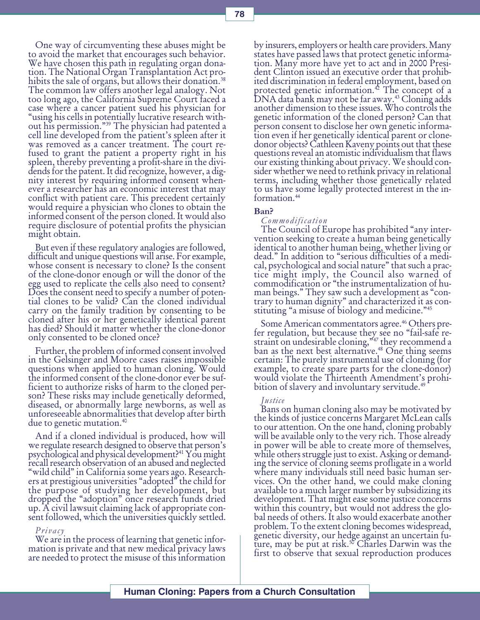One way of circumventing these abuses might be to avoid the market that encourages such behavior. We have chosen this path in regulating organ donation. The National Organ Transplantation Act prohibits the sale of organs, but allows their donation.<sup>38</sup> The common law offers another legal analogy. Not too long ago, the California Supreme Court faced a case where a cancer patient sued his physician for using his cells in potentially lucrative research without his permission."<sup>39</sup> The physician had patented a cell line developed from the patient's spleen after it was removed as a cancer treatment. The court refused to grant the patient a property right in his spleen, thereby preventing a profit-share in the dividends for the patent. It did recognize, however, a dignity interest by requiring informed consent whenever a researcher has an economic interest that may conflict with patient care. This precedent certainly would require a physician who clones to obtain the informed consent of the person cloned. It would also require disclosure of potential profits the physician might obtain.

But even if these regulatory analogies are followed, difficult and unique questions will arise. For example, whose consent is necessary to clone? Is the consent of the clone-donor enough or will the donor of the egg used to replicate the cells also need to consent? Does the consent need to specify a number of potential clones to be valid? Can the cloned individual carry on the family tradition by consenting to be cloned after his or her genetically identical parent has died? Should it matter whether the clone-donor only consented to be cloned once?

Further, the problem of informed consent involved in the Gelsinger and Moore cases raises impossible questions when applied to human cloning. Would the informed consent of the clone-donor ever be sufficient to authorize risks of harm to the cloned person? These risks may include genetically deformed, diseased, or abnormally large newborns, as well as unforeseeable abnormalities that develop after birth due to genetic mutation.40

And if a cloned individual is produced, how will we regulate research designed to observe that person's psychological and physical development?41 You might recall research observation of an abused and neglected "wild child" in California some years ago. Researchers at prestigious universities "adopted" the child for the purpose of studying her development, but dropped the "adoption" once research funds dried up. A civil lawsuit claiming lack of appropriate consent followed, which the universities quickly settled.

#### Privacy

We are in the process of learning that genetic information is private and that new medical privacy laws are needed to protect the misuse of this information

by insurers, employers or health care providers. Many states have passed laws that protect genetic information. Many more have yet to act and in 2000 President Clinton issued an executive order that prohibited discrimination in federal employment, based on protected genetic information.<sup>42</sup> The concept of a<br>DNA data bank may not be far away.<sup>43</sup> Cloning adds<br>another dimension to these issues. Who controls the another dimension to these issues. Who controls the genetic information of the cloned person? Can that person consent to disclose her own genetic information even if her genetically identical parent or clonedonor objects? Cathleen Kaveny points out that these questions reveal an atomistic individualism that flaws our existing thinking about privacy. We should consider whether we need to rethink privacy in relational terms, including whether those genetically related to us have some legally protected interest in the information.44

#### Ban?

#### Commodification

The Council of Europe has prohibited "any intervention seeking to create a human being genetically identical to another human being, whether living or dead." In addition to "serious difficulties of a medical, psychological and social nature" that such a practice might imply, the Council also warned of commodification or "the instrumentalization of human beings." They saw such a development as "contrary to human dignity" and characterized it as constituting "a misuse of biology and medicine."<sup>45</sup>

Some American commentators agree.<sup>46</sup> Others pre-<br>fer regulation, but because they see no "fail-safe restraint on undesirable cloning,<sup>"47</sup> they recommend a ban as the next best alternative.<sup>48</sup> One thing seems certain: The purely instrumental use of cloning (for example, to create spare parts for the clone-donor) would violate the Thirteenth Amendment's prohibition of slavery and involuntary servitude.<sup>49</sup>

### Justice

Bans on human cloning also may be motivated by the kinds of justice concerns Margaret McLean calls to our attention. On the one hand, cloning probably will be available only to the very rich. Those already in power will be able to create more of themselves, while others struggle just to exist. Asking or demanding the service of cloning seems profligate in a world where many individuals still need basic human services. On the other hand, we could make cloning available to a much larger number by subsidizing its development. That might ease some justice concerns within this country, but would not address the global needs of others. It also would exacerbate another problem. To the extent cloning becomes widespread, genetic diversity, our hedge against an uncertain future, may be put at risk.<sup>50</sup> Charles Darwin was the first to observe that sexual reproduction produces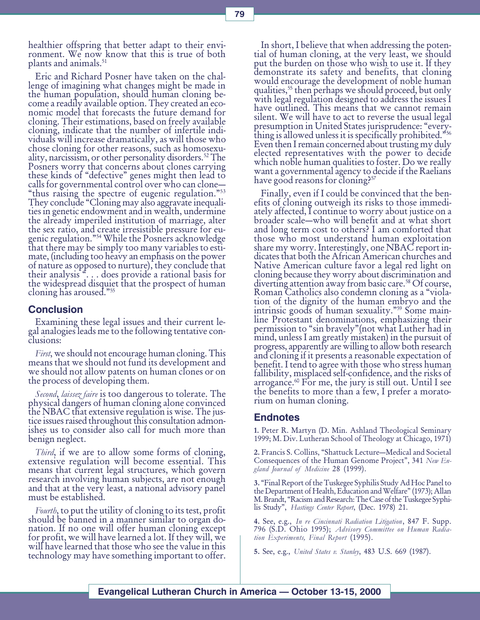healthier offspring that better adapt to their environment. We now know that this is true of both plants and animals.<sup>51</sup>

Eric and Richard Posner have taken on the challenge of imagining what changes might be made in the human population, should human cloning become a readily available option. They created an economic model that forecasts the future demand for cloning. Their estimations, based on freely available cloning, indicate that the number of infertile individuals will increase dramatically, as will those who chose cloning for other reasons, such as homosexuality, narcissism, or other personality disorders.<sup>52</sup> The Posners worry that concerns about clones carrying these kinds of "defective" genes might then lead to calls for governmental control over who can clone "thus raising the spectre of eugenic regulation."<sup>53</sup> They conclude "Cloning may also aggravate inequalities in genetic endowment and in wealth, undermine the already imperiled institution of marriage, alter the sex ratio, and create irresistible pressure for eugenic regulation."<sup>54</sup> While the Posners acknowledge that there may be simply too many variables to estimate, (including too heavy an emphasis on the power of nature as opposed to nurture), they conclude that their analysis . . . does provide a rational basis for the widespread disquiet that the prospect of human cloning has aroused."<sup>55</sup>

### **Conclusion**

Examining these legal issues and their current legal analogies leads me to the following tentative conclusions:

First, we should not encourage human cloning. This means that we should not fund its development and we should not allow patents on human clones or on the process of developing them.

Second, laissez faire is too dangerous to tolerate. The physical dangers of human cloning alone convinced the NBAC that extensive regulation is wise. The justice issues raised throughout this consultation admonishes us to consider also call for much more than benign neglect.

Third, if we are to allow some forms of cloning, extensive regulation will become essential. This means that current legal structures, which govern research involving human subjects, are not enough and that at the very least, a national advisory panel must be established.

Fourth, to put the utility of cloning to its test, profit should be banned in a manner similar to organ donation. If no one will offer human cloning except for profit, we will have learned a lot. If they will, we will have learned that those who see the value in this technology may have something important to offer.

In short, I believe that when addressing the potential of human cloning, at the very least, we should put the burden on those who wish to use it. If they demonstrate its safety and benefits, that cloning would encourage the development of noble human qualities,<sup>55</sup> then perhaps we should proceed, but only with legal regulation designed to address the issues I have outlined. This means that we cannot remain silent. We will have to act to reverse the usual legal presumption in United States jurisprudence: "everything is allowed unless it is specifically prohibited."56 Even then I remain concerned about trusting my duly elected representatives with the power to decide which noble human qualities to foster. Do we really want a governmental agency to decide if the Raelians have good reasons for cloning?<sup>57</sup>

Finally, even if I could be convinced that the benefits of cloning outweigh its risks to those immediately affected, I continue to worry about justice on a broader scale—who will benefit and at what short and long term cost to others? I am comforted that those who most understand human exploitation share my worry. Interestingly, one NBAC report indicates that both the African American churches and Native American culture favor a legal red light on cloning because they worry about discrimination and diverting attention away from basic care.<sup>58</sup> Of course, Roman Catholics also condemn cloning as a "violation of the dignity of the human embryo and the intrinsic goods of human sexuality."<sup>59</sup> Some mainline Protestant denominations, emphasizing their permission to "sin bravely" (not what Luther had in mind, unless I am greatly mistaken) in the pursuit of progress, apparently are willing to allow both research and cloning if it presents a reasonable expectation of benefit. I tend to agree with those who stress human fallibility, misplaced self-confidence, and the risks of arrogance.<sup>60</sup> For me, the jury is still out. Until I see the benefits to more than a few, I prefer a moratorium on human cloning.

### **Endnotes**

1. Peter R. Martyn (D. Min. Ashland Theological Seminary 1999; M. Div. Lutheran School of Theology at Chicago, 1971)

2. Francis S. Collins, "Shattuck Lecture-Medical and Societal Consequences of the Human Genome Project", 341 New England Journal of Medicine 28 (1999).

3. Final Report of the Tuskegee Syphilis Study Ad Hoc Panel to the Department of Health, Education and Welfare" (1973); Allan M. Brandt, "Racism and Research: The Case of the Tuskegee Syphilis Study", Hastings Center Report, (Dec. 1978) 21.

4. See, e.g., In re Cincinnati Radiation Litigation, 847 F. Supp. 796 (S.D. Ohio 1995); Advisory Committee on Human Radiation Experiments, Final Report (1995).

5. See, e.g., United States v. Stanley, 483 U.S. 669 (1987).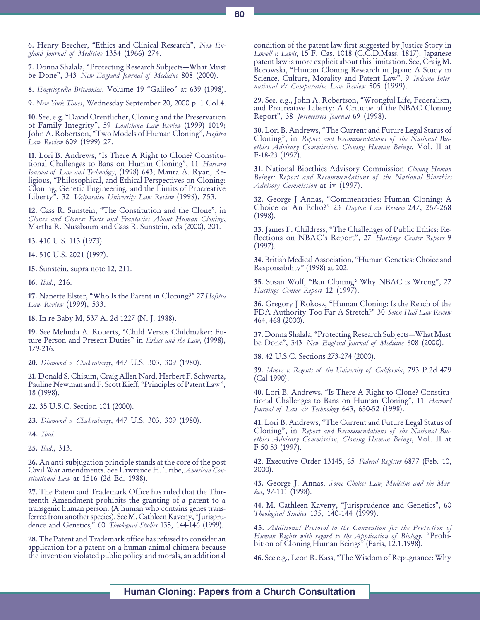6. Henry Beecher, "Ethics and Clinical Research", New England Journal of Medicine 1354 (1966) 274.

7. Donna Shalala, "Protecting Research Subjects-What Must be Done", 343 New England Journal of Medicine 808 (2000).

8. Encyclopedia Britannica, Volume 19 "Galileo" at 639 (1998).

9. New York Times, Wednesday September 20, 2000 p. 1 Col.4.

10. See, e.g. David Orentlicher, Cloning and the Preservation of Family Integrity", 59 Louisiana Law Review (1999) 1019; John A. Robertson, "Two Models of Human Cloning", Hofstra Law Review 609 (1999) 27.

11. Lori B. Andrews, "Is There A Right to Clone? Constitutional Challenges to Bans on Human Cloning", 11 Harvard Journal of Law and Technology, (1998) 643; Maura A. Ryan, Religious, "Philosophical, and Ethical Perspectives on Cloning: Cloning, Genetic Engineering, and the Limits of Procreative Liberty", 32 Valparaiso University Law Review (1998), 753.

12. Cass R. Sunstein, "The Constitution and the Clone", in Clones and Clones: Facts and Frantasies About Human Cloning, Martha R. Nussbaum and Cass R. Sunstein, eds (2000), 201.

13. 410 U.S. 113 (1973).

14. 510 U.S. 2021 (1997).

15. Sunstein, supra note 12, 211.

16. Ibid., 216.

17. Nanette Elster, "Who Is the Parent in Cloning?" 27 Hofstra Law Review (1999), 533.

18. In re Baby M, 537 A. 2d 1227 (N. J. 1988).

19. See Melinda A. Roberts, Child Versus Childmaker: Future Person and Present Duties" in Ethics and the Law, (1998), 179-216.

20. Diamond v. Chakrabarty, 447 U.S. 303, 309 (1980).

21. Donald S. Chisum, Craig Allen Nard, Herbert F. Schwartz, Pauline Newman and F. Scott Kieff, "Principles of Patent Law", 18 (1998).

22. 35 U.S.C. Section 101 (2000).

23. Diamond v. Chakrabarty, 447 U.S. 303, 309 (1980).

24. Ibid.

25. Ibid., 313.

26. An anti-subjugation principle stands at the core of the post Civil War amendments. See Lawrence H. Tribe, American Constitutional Law at 1516 (2d Ed. 1988).

27. The Patent and Trademark Office has ruled that the Thirteenth Amendment prohibits the granting of a patent to a transgenic human person. (A human who contains genes transferred from another species). See M. Cathleen Kaveny, Jurisprudence and Genetics," 60 Theological Studies 135, 144-146 (1999).

28. The Patent and Trademark office has refused to consider an application for a patent on a human-animal chimera because the invention violated public policy and morals, an additional

condition of the patent law first suggested by Justice Story in Lowell v. Lewis, 15 F. Cas. 1018 (C.C.D.Mass. 1817). Japanese patent law is more explicit about this limitation. See, Craig M. Borowski, Human Cloning Research in Japan: A Study in Science, Culture, Morality and Patent Law", 9 Indiana International & Comparative Law Review 505 (1999).

29. See. e.g., John A. Robertson, Wrongful Life, Federalism, and Procreative Liberty: A Critique of the NBAC Cloning Report", 38 Jurimetrics Journal 69 (1998).

30. Lori B. Andrews, The Current and Future Legal Status of Cloning", in Report and Recommendations of the National Bioethics Advisory Commission, Cloning Human Beings, Vol. II at F-18-23 (1997).

31. National Bioethics Advisory Commission Cloning Human Beings: Report and Recommendations of the National Bioethics Advisory Commission at iv (1997).

32. George J Annas, "Commentaries: Human Cloning: A Choice or An Echo?" 23 Dayton Law Review 247, 267-268 (1998).

33. James F. Childress, The Challenges of Public Ethics: Reflections on NBAC's Report", 27 Hastings Center Report 9 (1997).

34. British Medical Association, "Human Genetics: Choice and Responsibility" (1998) at 202.

35. Susan Wolf, "Ban Cloning? Why NBAC is Wrong", 27 Hastings Center Report 12 (1997).

36. Gregory J Rokosz, Human Cloning: Is the Reach of the FDA Authority Too Far A Stretch?" 30 Seton Hall Law Review 464, 468 (2000).

37. Donna Shalala, "Protecting Research Subjects-What Must be Done", 343 New England Journal of Medicine 808 (2000).

38. 42 U.S.C. Sections 273-274 (2000).

39. Moore v. Regents of the University of California, 793 P.2d 479 (Cal 1990).

40. Lori B. Andrews, "Is There A Right to Clone? Constitutional Challenges to Bans on Human Cloning", 11 Harvard Journal of Law & Technology 643, 650-52 (1998).

41. Lori B. Andrews, The Current and Future Legal Status of Cloning", in Report and Recommendations of the National Bioethics Advisory Commission, Cloning Human Beings, Vol. II at F-50-53 (1997).

42. Executive Order 13145, 65 Federal Register 6877 (Feb. 10, 2000).

43. George J. Annas, Some Choice: Law, Medicine and the Mar $ket, 97-111 (1998).$ 

44. M. Cathleen Kaveny, "Jurisprudence and Genetics", 60 Theological Studies 135, 140-144 (1999).

45. Additional Protocol to the Convention for the Protection of Human Rights with regard to the Application of Biology, "Prohibition of Cloning Human Beings" (Paris, 12.1.1998).

46. See e.g., Leon R. Kass, The Wisdom of Repugnance: Why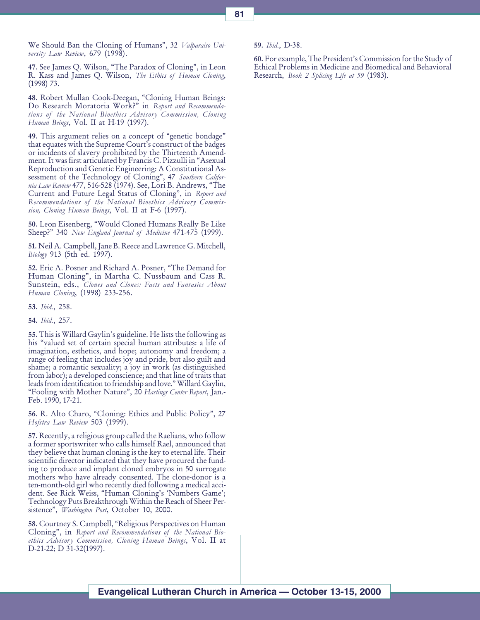We Should Ban the Cloning of Humans", 32 *Valparaiso Uni*versity Law Review, 679 (1998).

47. See James Q. Wilson, "The Paradox of Cloning", in Leon R. Kass and James Q. Wilson, *The Ethics of Human Cloning*, (1998) 73.

48. Robert Mullan Cook-Deegan, "Cloning Human Beings: Do Research Moratoria Work?" in Report and Recommendations of the National Bioethics Advisory Commission, Cloning Human Beings, Vol. II at H-19 (1997).

49. This argument relies on a concept of "genetic bondage" that equates with the Supreme Court's construct of the badges or incidents of slavery prohibited by the Thirteenth Amendment. It was first articulated by Francis C. Pizzulli in "Asexual Reproduction and Genetic Engineering: A Constitutional Assessment of the Technology of Cloning", 47 Southern California Law Review 477, 516-528 (1974). See, Lori B. Andrews, "The Current and Future Legal Status of Cloning", in Report and Recommendations of the National Bioethics Advisory Commission, Cloning Human Beings, Vol. II at F-6 (1997).

50. Leon Eisenberg, Would Cloned Humans Really Be Like Sheep?" 340 New England Journal of Medicine 471-475 (1999).

51. Neil A. Campbell, Jane B. Reece and Lawrence G. Mitchell, Biology 913 (5th ed. 1997).

52. Eric A. Posner and Richard A. Posner, The Demand for Human Cloning", in Martha C. Nussbaum and Cass R. Sunstein, eds., Clones and Clones: Facts and Fantasies About Human Cloning, (1998) 233-256.

53. Ibid., 258.

54. Ibid., 257.

55. This is Willard Gaylin's guideline. He lists the following as his "valued set of certain special human attributes: a life of imagination, esthetics, and hope; autonomy and freedom; a range of feeling that includes joy and pride, but also guilt and shame; a romantic sexuality; a joy in work (as distinguished from labor); a developed conscience; and that line of traits that leads from identification to friendship and love." Willard Gaylin, "Fooling with Mother Nature", 20 Hastings Center Report, Jan.-Feb. 1990, 17-21.

56. R. Alto Charo, "Cloning: Ethics and Public Policy", 27 Hofstra Law Review 503 (1999).

57. Recently, a religious group called the Raelians, who follow a former sportswriter who calls himself Rael, announced that they believe that human cloning is the key to eternal life. Their scientific director indicated that they have procured the funding to produce and implant cloned embryos in 50 surrogate mothers who have already consented. The clone-donor is a ten-month-old girl who recently died following a medical accident. See Rick Weiss, "Human Cloning's 'Numbers Game'; Technology Puts Breakthrough Within the Reach of Sheer Persistence", *Washington Post*, October 10, 2000.

58. Courtney S. Campbell, "Religious Perspectives on Human Cloning", in Report and Recommendations of the National Bioethics Advisory Commission, Cloning Human Beings, Vol. II at D-21-22; D 31-32(1997).

59. Ibid., D-38.

60. For example, The President's Commission for the Study of Ethical Problems in Medicine and Biomedical and Behavioral Research, *Book 2 Splicing Life at 59* (1983).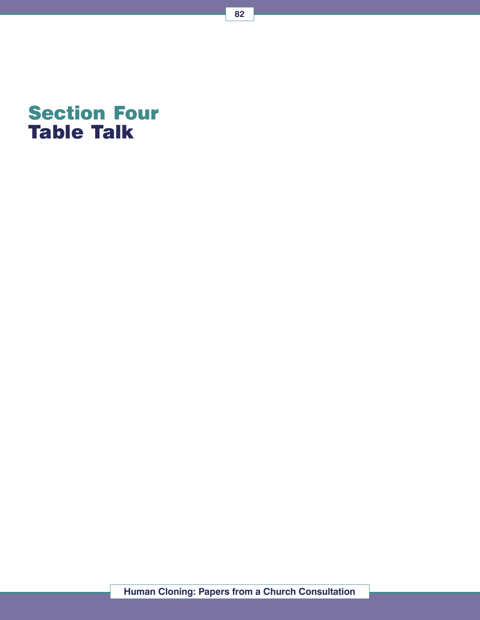

82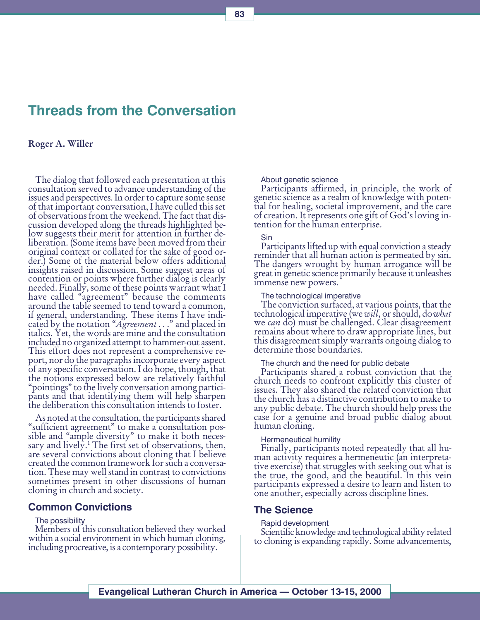# Threads from the Conversation

### Roger A. Willer

The dialog that followed each presentation at this consultation served to advance understanding of the issues and perspectives. In order to capture some sense of that important conversation, I have culled this set of observations from the weekend. The fact that discussion developed along the threads highlighted below suggests their merit for attention in further deliberation. (Some items have been moved from their original context or collated for the sake of good order.) Some of the material below offers additional insights raised in discussion. Some suggest areas of contention or points where further dialog is clearly needed. Finally, some of these points warrant what I have called "agreement" because the comments around the table seemed to tend toward a common, if general, understanding. These items I have indicated by the notation "Agreement..." and placed in italics. Yet, the words are mine and the consultation included no organized attempt to hammer-out assent. This effort does not represent a comprehensive report, nor do the paragraphs incorporate every aspect of any specific conversation. I do hope, though, that the notions expressed below are relatively faithful "pointings" to the lively conversation among participants and that identifying them will help sharpen the deliberation this consultation intends to foster.

As noted at the consultation, the participants shared "sufficient agreement" to make a consultation possible and "ample diversity" to make it both necessary and lively.<sup>1</sup> The first set of observations, then, are several convictions about cloning that I believe created the common framework for such a conversation. These may well stand in contrast to convictions sometimes present in other discussions of human cloning in church and society.

#### Common Convictions

#### The possibility

Members of this consultation believed they worked within a social environment in which human cloning, including procreative, is a contemporary possibility.

About genetic science

Participants affirmed, in principle, the work of genetic science as a realm of knowledge with potential for healing, societal improvement, and the care of creation. It represents one gift of God's loving intention for the human enterprise.

#### Sin

Participants lifted up with equal conviction a steady reminder that all human action is permeated by sin. The dangers wrought by human arrogance will be great in genetic science primarily because it unleashes immense new powers.

The technological imperative

The conviction surfaced, at various points, that the technological imperative (we will, or should, do what we can do) must be challenged. Clear disagreement remains about where to draw appropriate lines, but this disagreement simply warrants ongoing dialog to determine those boundaries.

The church and the need for public debate

Participants shared a robust conviction that the church needs to confront explicitly this cluster of issues. They also shared the related conviction that the church has a distinctive contribution to make to any public debate. The church should help press the case for a genuine and broad public dialog about human cloning.

Hermeneutical humility

Finally, participants noted repeatedly that all human activity requires a hermeneutic (an interpretative exercise) that struggles with seeking out what is the true, the good, and the beautiful. In this vein participants expressed a desire to learn and listen to one another, especially across discipline lines.

#### The Science

Rapid development

Scientific knowledge and technological ability related to cloning is expanding rapidly. Some advancements,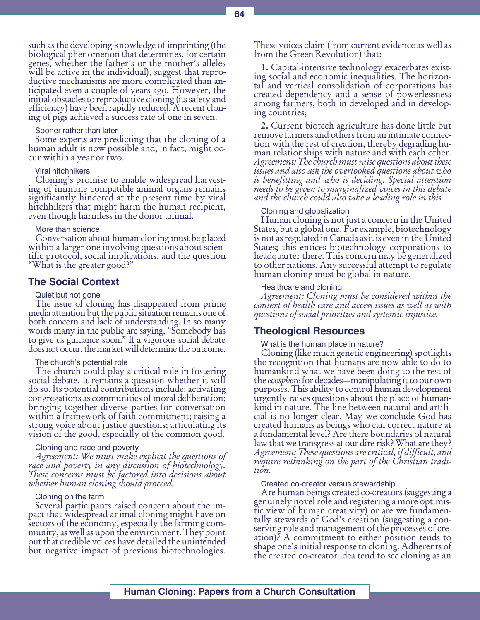such as the developing knowledge of imprinting (the biological phenomenon that determines, for certain genes, whether the father's or the mother's alleles will be active in the individual), suggest that reproductive mechanisms are more complicated than anticipated even a couple of years ago. However, the initial obstacles to reproductive cloning (its safety and efficiency) have been rapidly reduced. A recent cloning of pigs achieved a success rate of one in seven.

#### Sooner rather than later

Some experts are predicting that the cloning of a human adult is now possible and, in fact, might occur within a year or two.

#### Viral hitchhikers

Cloning's promise to enable widespread harvesting of immune compatible animal organs remains significantly hindered at the present time by viral hitchhikers that might harm the human recipient, even though harmless in the donor animal.

#### More than science

Conversation about human cloning must be placed within a larger one involving questions about scientific protocol, social implications, and the question What is the greater good?

#### The Social Context

#### Quiet but not gone

The issue of cloning has disappeared from prime media attention but the public situation remains one of both concern and lack of understanding. In so many words many in the public are saying, "Somebody has to give us guidance soon." If a vigorous social debate does not occur, the market will determine the outcome.

#### The church's potential role

The church could play a critical role in fostering social debate. It remains a question whether it will do so. Its potential contributions include: activating congregations as communities of moral deliberation; bringing together diverse parties for conversation within a framework of faith commitment; raising a strong voice about justice questions; articulating its vision of the good, especially of the common good.

#### Cloning and race and poverty

Agreement: We must make explicit the questions of race and poverty in any discussion of biotechnology. These concerns must be factored into decisions about whether human cloning should proceed.

#### Cloning on the farm

Several participants raised concern about the impact that widespread animal cloning might have on sectors of the economy, especially the farming community, as well as upon the environment. They point out that credible voices have detailed the unintended but negative impact of previous biotechnologies.

These voices claim (from current evidence as well as from the Green Revolution) that:

1. Capital-intensive technology exacerbates exist- ing social and economic inequalities. The horizontal and vertical consolidation of corporations has created dependency and a sense of powerlessness among farmers, both in developed and in developing countries;

2. Current biotech agriculture has done little but remove farmers and others from an intimate connection with the rest of creation, thereby degrading human relationships with nature and with each other. Agreement: The church must raise questions about these issues and also ask the overlooked questions about who is benefitting and who is deciding. Special attention needs to be given to marginalized voices in this debate and the church could also take a leading role in this.

#### Cloning and globalization

Human cloning is not just a concern in the United States, but a global one. For example, biotechnology is not as regulated in Canada as it is even in the United States; this entices biotechnology corporations to headquarter there. This concern may be generalized to other nations. Any successful attempt to regulate human cloning must be global in nature.

#### Healthcare and cloning

Agreement: Cloning must be considered within the context of health care and access issues as well as with questions of social priorities and systemic injustice.

#### Theological Resources

#### What is the human place in nature?

Cloning (like much genetic engineering) spotlights the recognition that humans are now able to do to humankind what we have been doing to the rest of the *ecosphere* for decades—manipulating it to our own<br>purposes. This ability to control human development urgently raises questions about the place of humankind in nature. The line between natural and artificial is no longer clear. May we conclude God has created humans as beings who can correct nature at a fundamental level? Are there boundaries of natural law that we transgress at our dire risk? What are they? Agreement: These questions are critical, if difficult, and require rethinking on the part of the Christian tradition.

#### Created co-creator versus stewardship

Are human beings created co-creators (suggesting a genuinely novel role and registering a more optimistic view of human creativity) or are we fundamentally stewards of God's creation (suggesting a conserving role and management of the processes of creation)? A commitment to either position tends to shape one's initial response to cloning. Adherents of the created co-creator idea tend to see cloning as an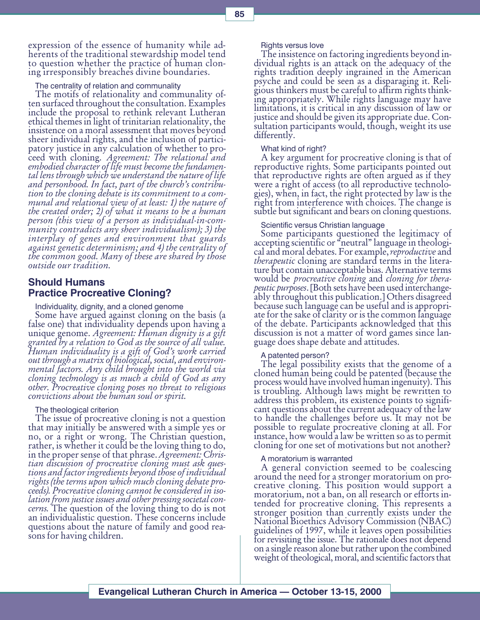expression of the essence of humanity while adherents of the traditional stewardship model tend to question whether the practice of human cloning irresponsibly breaches divine boundaries.

The centrality of relation and communality

The motifs of relationality and communality often surfaced throughout the consultation. Examples include the proposal to rethink relevant Lutheran ethical themes in light of trinitarian relationality, the insistence on a moral assessment that moves beyond sheer individual rights, and the inclusion of participatory justice in any calculation of whether to pro-<br>ceed with cloning. Agreement: The relational and embodied character of life must become the fundamental lens through which we understand the nature of life and personhood. In fact, part of the church's contribution to the cloning debate is its commitment to a communal and relational view of at least: 1) the nature of the created order; 2) of what it means to be a human person (this view of a person as individual-in-community contradicts any sheer individualism); 3) the interplay of genes and environment that guards against genetic determinism; and 4) the centrality of the common good. Many of these are shared by those outside our tradition.

### Should Humans Practice Procreative Cloning?

Individuality, dignity, and a cloned genome

Some have argued against cloning on the basis (a false one) that individuality depends upon having a unique genome. Agreement: Human dignity is a gift unique genome. Agreement: Human dignity is a gift<br>granted by a relation to God as the source of all value. Human individuality is a gift of God's work carried out through a matrix of biological, social, and environmental factors. Any child brought into the world via cloning technology is as much a child of God as any other. Procreative cloning poses no threat to religious convictions about the human soul or spirit.

The theological criterion

The issue of procreative cloning is not a question that may initially be answered with a simple yes or no, or a right or wrong. The Christian question, rather, is whether it could be the loving thing to do, in the proper sense of that phrase. Agreement: Chris- tian discussion of procreative cloning must ask questions and factor ingredients beyond those of individual rights (the terms upon which much cloning debate proceeds). Procreative cloning cannot be considered in isolation from justice issues and other pressing societal concerns. The question of the loving thing to do is not an individualistic question. These concerns include questions about the nature of family and good reasons for having children.

Rights versus love

The insistence on factoring ingredients beyond individual rights is an attack on the adequacy of the rights tradition deeply ingrained in the American psyche and could be seen as a disparaging it. Religious thinkers must be careful to affirm rights thinking appropriately. While rights language may have limitations, it is critical in any discussion of law or justice and should be given its appropriate due. Consultation participants would, though, weight its use differently.

#### What kind of right?

A key argument for procreative cloning is that of reproductive rights. Some participants pointed out that reproductive rights are often argued as if they were a right of access (to all reproductive technologies), when, in fact, the right protected by law is the right from interference with choices. The change is subtle but significant and bears on cloning questions.

#### Scientific versus Christian language

Some participants questioned the legitimacy of accepting scientific or "neutral" language in theological and moral debates. For example, reproductive and therapeutic cloning are standard terms in the litera-<br>ture but contain unacceptable bias. Alternative terms<br>would be *procreative cloning* and *cloning for thera*peutic purposes. [Both sets have been used interchange-<br>ably throughout this publication.] Others disagreed because such language can be useful and is appropriate for the sake of clarity or is the common language of the debate. Participants acknowledged that this discussion is not a matter of word games since language does shape debate and attitudes.

#### A patented person?

The legal possibility exists that the genome of a cloned human being could be patented (because the process would have involved human ingenuity). This is troubling. Although laws might be rewritten to address this problem, its existence points to significant questions about the current adequacy of the law to handle the challenges before us. It may not be possible to regulate procreative cloning at all. For instance, how would a law be written so as to permit cloning for one set of motivations but not another?

#### A moratorium is warranted

A general conviction seemed to be coalescing around the need for a stronger moratorium on procreative cloning. This position would support a moratorium, not a ban, on all research or efforts intended for procreative cloning. This represents a stronger position than currently exists under the National Bioethics Advisory Commission (NBAC) guidelines of 1997, while it leaves open possibilities for revisiting the issue. The rationale does not depend on a single reason alone but rather upon the combined weight of theological, moral, and scientific factors that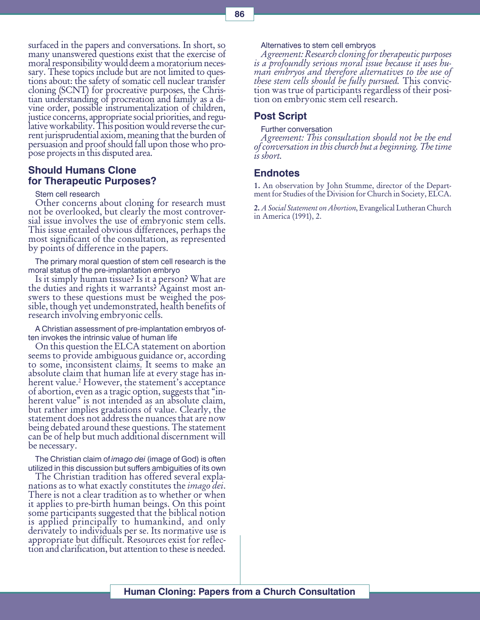surfaced in the papers and conversations. In short, so many unanswered questions exist that the exercise of moral responsibility would deem a moratorium necessary. These topics include but are not limited to questions about: the safety of somatic cell nuclear transfer cloning (SCNT) for procreative purposes, the Christian understanding of procreation and family as a divine order, possible instrumentalization of children, justice concerns, appropriate social priorities, and regulative workability. This position would reverse the current jurisprudential axiom, meaning that the burden of persuasion and proof should fall upon those who propose projects in this disputed area.

### Should Humans Clone for Therapeutic Purposes?

Stem cell research

Other concerns about cloning for research must not be overlooked, but clearly the most controversial issue involves the use of embryonic stem cells. This issue entailed obvious differences, perhaps the most significant of the consultation, as represented by points of difference in the papers.

The primary moral question of stem cell research is the moral status of the pre-implantation embryo

Is it simply human tissue? Is it a person? What are the duties and rights it warrants? Against most answers to these questions must be weighed the possible, though yet undemonstrated, health benefits of research involving embryonic cells.

A Christian assessment of pre-implantation embryos often invokes the intrinsic value of human life

On this question the ELCA statement on abortion seems to provide ambiguous guidance or, according to some, inconsistent claims. It seems to make an absolute claim that human life at every stage has inherent value.<sup>2</sup> However, the statement's acceptance herent value.<sup>2</sup> However, the statement's acceptance<br>of abortion, even as a tragic option, suggests that "inherent value" is not intended as an absolute claim, but rather implies gradations of value. Clearly, the statement does not address the nuances that are now being debated around these questions. The statement can be of help but much additional discernment will be necessary.

The Christian claim of *imago dei* (image of God) is often utilized in this discussion but suffers ambiguities of its own

The Christian tradition has offered several explanations as to what exactly constitutes the *imago dei.*<br>There is not a clear tradition as to whether or when it applies to pre-birth human beings. On this point some participants suggested that the biblical notion is applied principally to humankind, and only derivately to individuals per se. Its normative use is appropriate but difficult. Resources exist for reflection and clarification, but attention to these is needed.

Alternatives to stem cell embryos

Agreement: Research cloning for therapeutic purposes is a profoundly serious moral issue because it uses human embryos and therefore alternatives to the use of these stem cells should be fully pursued. This conviction was true of participants regardless of their position on embryonic stem cell research.

### Post Script

Further conversation

Agreement: This consultation should not be the end of conversation in this church but a beginning. The time is short.

### **Endnotes**

1. An observation by John Stumme, director of the Department for Studies of the Division for Church in Society, ELCA.

2. A Social Statement on Abortion, Evangelical Lutheran Church in America (1991), 2.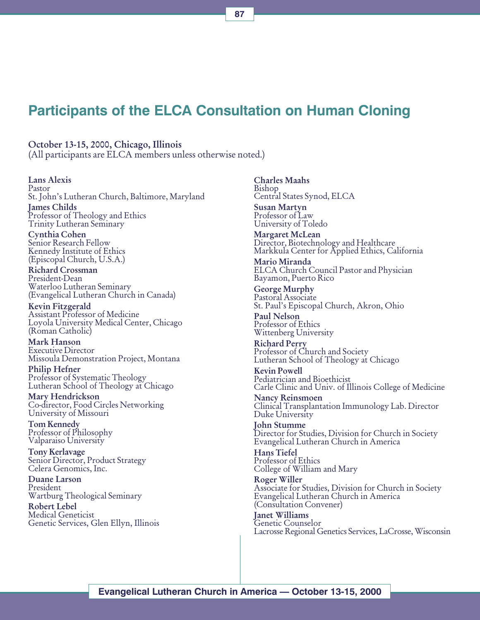# Participants of the ELCA Consultation on Human Cloning

October 13-15, 2000, Chicago, Illinois (All participants are ELCA members unless otherwise noted.)

#### Lans Alexis

Pastor St. John's Lutheran Church, Baltimore, Maryland James Childs Professor of Theology and Ethics Trinity Lutheran Seminary

Cynthia Cohen Senior Research Fellow Kennedy Institute of Ethics (Episcopal Church, U.S.A.)

Richard Crossman President-Dean Waterloo Lutheran Seminary (Evangelical Lutheran Church in Canada)

Kevin Fitzgerald Assistant Professor of Medicine Loyola University Medical Center, Chicago (Roman Catholic)

Mark Hanson Executive Director Missoula Demonstration Project, Montana

Philip Hefner Professor of Systematic Theology Lutheran School of Theology at Chicago

Mary Hendrickson Co-director, Food Circles Networking University of Missouri

Tom Kennedy Professor of Philosophy Valparaiso University

Tony Kerlavage Senior Director, Product Strategy Celera Genomics, Inc.

Duane Larson President Wartburg Theological Seminary

Robert Lebel Medical Geneticist Genetic Services, Glen Ellyn, Illinois Charles Maahs Bishop Central States Synod, ELCA Susan Martyn

Professor of Law University of Toledo

Margaret McLean Director, Biotechnology and Healthcare Markkula Center for Applied Ethics, California

Mario Miranda ELCA Church Council Pastor and Physician Bayamon, Puerto Rico

George Murphy Pastoral Associate St. Paul's Episcopal Church, Akron, Ohio

Paul Nelson Professor of Ethics Wittenberg University

Richard Perry Professor of Church and Society Lutheran School of Theology at Chicago

Kevin Powell Pediatrician and Bioethicist Carle Clinic and Univ. of Illinois College of Medicine

Nancy Reinsmoen Clinical Transplantation Immunology Lab. Director Duke University

John Stumme Director for Studies, Division for Church in Society Evangelical Lutheran Church in America

Hans Tiefel Professor of Ethics College of William and Mary

Roger Willer Associate for Studies, Division for Church in Society Evangelical Lutheran Church in America (Consultation Convener)

Janet Williams Genetic Counselor Lacrosse Regional Genetics Services, LaCrosse, Wisconsin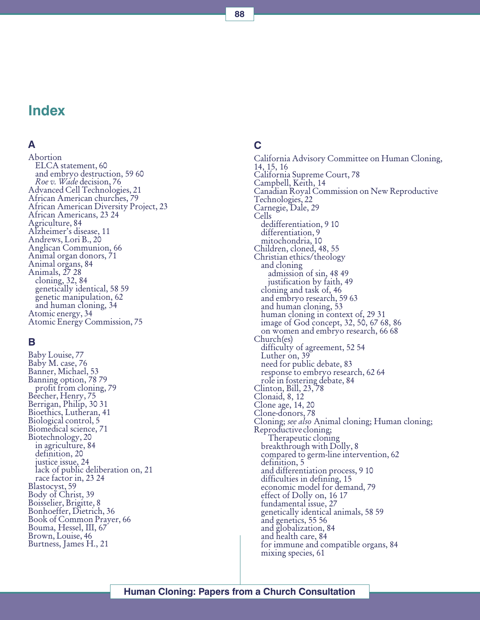# Index

### A

Abortion ELCA statement, 60 and embryo destruction, 59 60 Roe v. Wade decision, 76 Advanced Cell Technologies, 21 African American churches, 79 African American Diversity Project, 23 African Americans, 23 24 Agriculture, 84 Alzheimer's disease, 11 Andrews, Lori B., 20 Anglican Communion, 66 Animal organ donors, 71 Animal organs, 84 Animals, 27 28 cloning, 32, 84 genetically identical, 58 59 genetic manipulation, 62 and human cloning, 34 Atomic energy, 34 Atomic Energy Commission, 75

### B

Baby Louise, 77 Baby M. case, 76 Banner, Michael, 53 Banning option, 78 79 profit from cloning, 79 Beecher, Henry, 75 Berrigan, Philip, 30 31 Bioethics, Lutheran, 41 Biological control, 5 Biomedical science, 71 Biotechnology, 20 in agriculture, 84 definition, 20 justice issue, 24 lack of public deliberation on, 21 race factor in, 23 24 Blastocyst, 59 Body of Christ, 39 Boisselier, Brigitte, 8 Bonhoeffer, Dietrich, 36 Book of Common Prayer, 66 Bouma, Hessel, III, 67 Brown, Louise, 46 Burtness, James H., 21

## C

California Advisory Committee on Human Cloning, 14, 15, 16 California Supreme Court, 78 Campbell, Keith, 14 Canadian Royal Commission on New Reproductive Technologies, 22 Carnegie, Dale, 29 Cells dedifferentiation, 9 10 differentiation, 9 mitochondria, 10 Children, cloned, 48, 55 Christian ethics/theology and cloning admission of sin, 48 49 justification by faith, 49 cloning and task of, 46 and embryo research, 59 63 and human cloning, 53 human cloning in context of, 29 31 image of God concept, 32, 50, 67 68, 86 on women and embryo research, 66 68 Church(es) difficulty of agreement, 52 54 Luther on, 39 need for public debate, 83 response to embryo research, 62 64 role in fostering debate, 84 Clinton, Bill, 23, 78 Clonaid, 8, 12 Clone age, 14, 20 Clone-donors, 78 Cloning; *see also* Animal cloning; Human cloning;<br>Reproductive cloning;<br>Therapeutic cloning breakthrough with Dolly, 8 compared to germ-line intervention, 62 definition, 5 and differentiation process, 9 10 difficulties in defining, 15 economic model for demand, 79 effect of Dolly on, 16 17 fundamental issue, 27 genetically identical animals, 58 59 and genetics, 55 56 and globalization, 84 and health care, 84 for immune and compatible organs, 84 mixing species, 61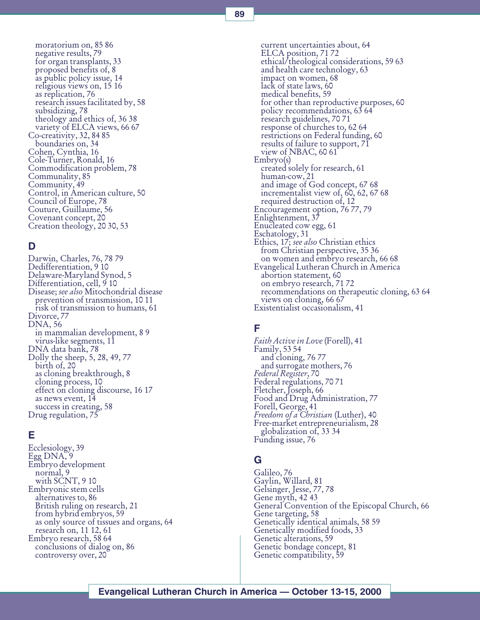moratorium on, 85 86 negative results, 79 for organ transplants, 33 proposed benefits of, 8 as public policy issue, 14 religious views on, 15 16 as replication, 76 research issues facilitated by, 58 subsidizing, 78 theology and ethics of, 36 38 variety of ELCA views, 66 67 Co-creativity, 32, 84 85 boundaries on, 34 Cohen, Cynthia, 16 Cole-Turner, Ronald, 16 Commodification problem, 78 Communality, 85 Community, 49 Control, in American culture, 50 Council of Europe, 78 Couture, Guillaume, 56 Covenant concept, 20 Creation theology, 20 30, 53

### D

Darwin, Charles, 76, 78 79 Dedifferentiation, 9 10 Delaware-Maryland Synod, 5 Differentiation, cell, 9 10 Disease; see also Mitochondrial disease prevention of transmission, 10 11 risk of transmission to humans, 61 Divorce, 77 DNA, 56 in mammalian development, 8 9 virus-like segments, 11 DNA data bank, 78 Dolly the sheep, 5, 28, 49, 77 birth of, 20 as cloning breakthrough, 8 cloning process, 10 effect on cloning discourse, 16 17 as news event, 14 success in creating, 58 Drug regulation, 75

### E

Ecclesiology, 39 Egg DNA, 9 Embryo development normal, 9 with SCNT, 9 10 Embryonic stem cells alternatives to, 86 British ruling on research, 21 from hybrid embryos, 59 as only source of tissues and organs, 64 research on, 11 12, 61 Embryo research, 58 64 conclusions of dialog on, 86 controversy over, 20

current uncertainties about, 64 ELCA position, 71 72 ethical/theological considerations, 59 63 and health care technology, 63 impact on women, 68 lack of state laws, 60 medical benefits, 59 for other than reproductive purposes, 60 policy recommendations, 63 64 research guidelines, 70 71 response of churches to, 62 64 restrictions on Federal funding, 60 results of failure to support, 71 view of NBAC, 60 61 Embryo(s) created solely for research, 61 human-cow, 21 and image of God concept, 67 68 incrementalist view of, 60, 62, 67 68 required destruction of, 12 Encouragement option, 76 77, 79 Enlightenment, 37 Enucleated cow egg, 61 Eschatology, 31 Ethics, 17; see also Christian ethics from Christian perspective, 35 36 on women and embryo research, 66 68 Evangelical Lutheran Church in America abortion statement, 60 on embryo research, 71 72 recommendations on therapeutic cloning, 63 64 views on cloning, 66 67 Existentialist occasionalism, 41

### F

Faith Active in Love (Forell), 41 Family, 53 54 and cloning, 76 77 and surrogate mothers, 76 Federal Register, 70 Federal regulations, 70 71 Fletcher, Joseph, 66 Food and Drug Administration, 77 Forell, George, 41 *Freedom of a Christian (*Luther), 40<br>Free-market entrepreneurialism, 28 globalization of, 33 34 Funding issue, 76

### G

Galileo, 76 Gaylin, Willard, 81 Gelsinger, Jesse, 77, 78 Gene myth, 42 43 General Convention of the Episcopal Church, 66 Gene targeting, 58 Genetically identical animals, 58 59 Genetically modified foods, 33 Genetic alterations, 59 Genetic bondage concept, 81 Genetic compatibility, 59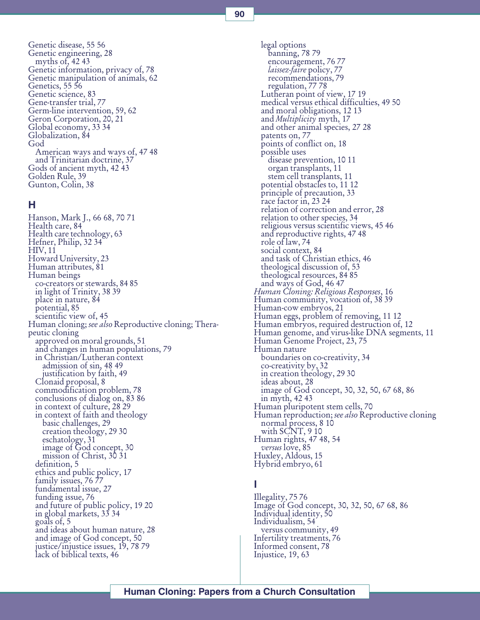90

Genetic disease, 55 56 Genetic engineering, 28 myths of,  $42,43$ Genetic information, privacy of, 78 Genetic manipulation of animals, 62 Genetics, 55 56 Genetic science, 83 Gene-transfer trial, 77 Germ-line intervention, 59, 62 Geron Corporation, 20, 21 Global economy, 33 34 Globalization, 84 God American ways and ways of, 47 48 and Trinitarian doctrine, 37 Gods of ancient myth, 42 43 Golden Rule, 39 Gunton, Colin, 38

### H

Hanson, Mark J., 66 68, 70 71 Health care, 84 Health care technology, 63 Hefner, Philip, 32 34 HIV, 11 Howard University, 23 Human attributes, 81 Human beings co-creators or stewards, 84 85 in light of Trinity, 38 39 place in nature, 84 potential, 85 scientific view of, 45 Human cloning; *see also* Reproductive cloning; Thera-<br>peutic cloning approved on moral grounds, 51 and changes in human populations, 79 in Christian/Lutheran context admission of sin, 48 49 justification by faith, 49 Clonaid proposal, 8 commodification problem, 78 conclusions of dialog on, 83 86 in context of culture, 28 29 in context of faith and theology basic challenges, 29 creation theology, 29 30 eschatology, 31 image of God concept, 30 mission of Christ, 30 31 definition, 5 ethics and public policy, 17 family issues, 76 77 fundamental issue, 27 funding issue, 76 and future of public policy, 19 20 in global markets, 33 34 goals of, 5 and ideas about human nature, 28 and image of God concept, 50 justice/injustice issues, 19, 78 79 lack of biblical texts, 46

legal options banning, 78 79 encouragement, 76 77<br>laissez-faire policy, 77 recommendations, 79 regulation, 77 78 Lutheran point of view, 17 19 medical versus ethical difficulties, 49 50 and moral obligations, 12 13<br>and *Multiplicity* myth, 17 and other animal species, 27 28 patents on, 77 points of conflict on, 18 possible uses disease prevention, 10 11 organ transplants, 11 stem cell transplants, 11 potential obstacles to, 11 12 principle of precaution, 33 race factor in, 23 24 relation of correction and error, 28 relation to other species, 34 religious versus scientific views, 45 46 and reproductive rights, 47 48 role of law, 74 social context, 84 and task of Christian ethics, 46 theological discussion of, 53 theological resources, 84 85 and ways of God, 46 47 Human Cloning: Religious Responses, 16 Human community, vocation of, 38 39 Human-cow embryos, 21 Human eggs, problem of removing, 11 12 Human embryos, required destruction of, 12 Human genome, and virus-like DNA segments, 11 Human Genome Project, 23, 75 Human nature boundaries on co-creativity, 34 co-creativity by, 32 in creation theology, 29 30 ideas about, 28 image of God concept, 30, 32, 50, 67 68, 86 in myth, 42 43 Human pluripotent stem cells, 70 Human reproduction; *see also* Reproductive cloning<br>normal process, 8 10 with SCNT, 9 10 Human rights, 47 48, 54 versus love, 85 Huxley, Aldous, 15 Hybrid embryo, 61

### I

Illegality, 75 76 Image of God concept, 30, 32, 50, 67 68, 86 Individual identity, 50 Individualism, 54 versus community, 49 Infertility treatments, 76 Informed consent, 78 Injustice, 19, 63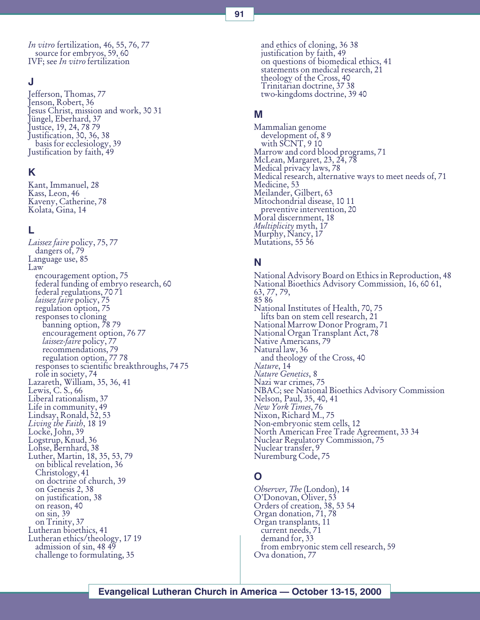In vitro fertilization, 46, 55, 76, 77 source for embryos, 59, 60 IVF; see In vitro fertilization

### J

Jefferson, Thomas, 77 Jenson, Robert, 36 Jesus Christ, mission and work, 30 31 Jüngel, Eberhard, 37 Justice, 19, 24, 78 79 Justification, 30, 36, 38 basis for ecclesiology, 39 Justification by faith, 49

### K

Kant, Immanuel, 28 Kass, Leon, 46 Kaveny, Catherine, 78 Kolata, Gina, 14

### L

Laissez faire policy, 75, 77 dangers of, 79 Language use, 85 Law encouragement option, 75 federal funding of embryo research, 60 federal regulations, 70 71<br>*laissez faire* policy, 75 regulation option, 75 responses to cloning banning option, 78 79 encouragement option, 76 77<br>laissez-faire policy, 77 recommendations, 79 regulation option, 77 78 responses to scientific breakthroughs, 74 75 role in society, 74 Lazareth, William, 35, 36, 41 Lewis, C. S., 66 Liberal rationalism, 37 Life in community, 49 Lindsay, Ronald, 52, 53 Living the Faith, 18 19 Locke, John, 39 Logstrup, Knud, 36 Lohse, Bernhard, 38 Luther, Martin, 18, 35, 53, 79 on biblical revelation, 36 Christology, 41 on doctrine of church, 39 on Genesis 2, 38 on justification, 38 on reason, 40 on sin, 39 on Trinity, 37 Lutheran bioethics, 41 Lutheran ethics/theology, 17 19 admission of sin, 48 49 challenge to formulating, 35

and ethics of cloning, 36 38 justification by faith, 49 on questions of biomedical ethics, 41 statements on medical research, 21 theology of the Cross, 40 Trinitarian doctrine, 37 38 two-kingdoms doctrine, 39 40

### M

Mammalian genome development of, 8 9 with SCNT, 910 Marrow and cord blood programs, 71 McLean, Margaret, 23, 24, 78 Medical privacy laws, 78 Medical research, alternative ways to meet needs of, 71 Medicine, 53 Meilander, Gilbert, 63 Mitochondrial disease, 10 11 preventive intervention, 20 Moral discernment, 18<br>Multiplicity myth, 17 Murphy, Nancy, 17 Mutations, 55 56

### N

National Advisory Board on Ethics in Reproduction, 48 National Bioethics Advisory Commission, 16, 60 61, 63, 77, 79, 85 86 National Institutes of Health, 70, 75 lifts ban on stem cell research, 21 National Marrow Donor Program, 71 National Organ Transplant Act, 78 Native Americans, 79 Natural law, 36 and theology of the Cross, 40 Nature, 14 Nature Genetics, 8 Nazi war crimes, 75 NBAC; see National Bioethics Advisory Commission Nelson, Paul, 35, 40, 41 New York Times, 76 Nixon, Richard M., 75 Non-embryonic stem cells, 12 North American Free Trade Agreement, 33 34 Nuclear Regulatory Commission, 75 Nuclear transfer, 9 Nuremburg Code, 75

### O

Observer, The (London), 14<br>O'Donovan, Oliver, 53 Orders of creation, 38, 53 54 Organ donation, 71, 78 Organ transplants, 11 current needs, 71 demand for, 33 from embryonic stem cell research, 59 Ova donation, 77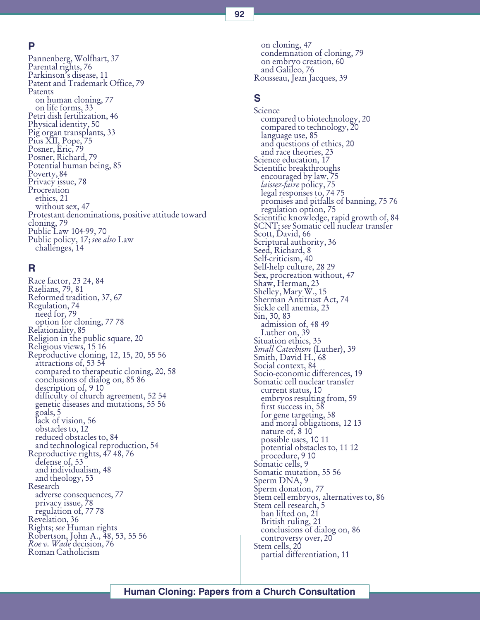### P

Pannenberg, Wolfhart, 37 Parental rights, 76 Parkinson's disease, 11 Patent and Trademark Office, 79 Patents on human cloning, 77 on life forms, 33 Petri dish fertilization, 46 Physical identity, 50 Pig organ transplants, 33 Pius XII, Pope, 75 Posner, Eric, 79 Posner, Richard, 79 Potential human being, 85 Poverty, 84 Privacy issue, 78 Procreation ethics, 21 without sex, 47 Protestant denominations, positive attitude toward cloning, 79 Public Law 104-99, 70 Public policy, 17; see also Law challenges, 14

### R

Race factor, 23 24, 84 Raelians, 79, 81 Reformed tradition, 37, 67 Regulation, 74 need for, 79 option for cloning, 77 78 Relationality, 85 Religion in the public square, 20 Religious views, 15 16 Reproductive cloning, 12, 15, 20, 55 56 attractions of, 53 54 compared to therapeutic cloning, 20, 58 conclusions of dialog on, 85 86 description of, 9 10 difficulty of church agreement, 52 54 genetic diseases and mutations, 55 56 goals, 5 lack of vision, 56 obstacles to, 12 reduced obstacles to, 84 and technological reproduction, 54 Reproductive rights, 47 48, 76 defense of, 53 and individualism, 48 and theology, 53 Research adverse consequences, 77 privacy issue, 78 regulation of, 77 78 Revelation, 36<br>Rights; *see* Human rights Robertson, John A., 48, 53, 55 56 Roe v. Wade decision, 76 Roman Catholicism

on cloning, 47 condemnation of cloning, 79 on embryo creation, 60 and Galileo, 76 Rousseau, Jean Jacques, 39

### S

**Science** compared to biotechnology, 20 compared to technology, 20 language use, 85 and questions of ethics, 20 and race theories, 23 Science education, 17 Scientific breakthroughs encouraged by law, 75<br>laissez-faire policy, 75 legal responses to, 74 75 promises and pitfalls of banning, 75 76 regulation option, 75 Scientific knowledge, rapid growth of, 84 SCNT; see Somatic cell nuclear transfer Scott, David, 66 Scriptural authority, 36 Seed, Richard, 8 Self-criticism, 40 Self-help culture, 28 29 Sex, procreation without, 47 Shaw, Herman, 23 Shelley, Mary W., 15 Sherman Antitrust Act, 74 Sickle cell anemia, 23 Sin, 30, 83 admission of, 48 49 Luther on, 39 Situation ethics, 35 Small Catechism (Luther), 39<br>Smith, David H., 68 Social context, 84 Socio-economic differences, 19 Somatic cell nuclear transfer current status, 10 embryos resulting from, 59 first success in, 58 for gene targeting, 58 and moral obligations, 12 13 nature of, 8 10 possible uses, 10 11 potential obstacles to, 11 12 procedure, 9 10 Somatic cells, 9 Somatic mutation, 55 56 Sperm DNA, 9 Sperm donation, 77 Stem cell embryos, alternatives to, 86 Stem cell research, 5 ban lifted on, 21 British ruling, 21 conclusions of dialog on, 86 controversy over, 20 Stem cells, 20 partial differentiation, 11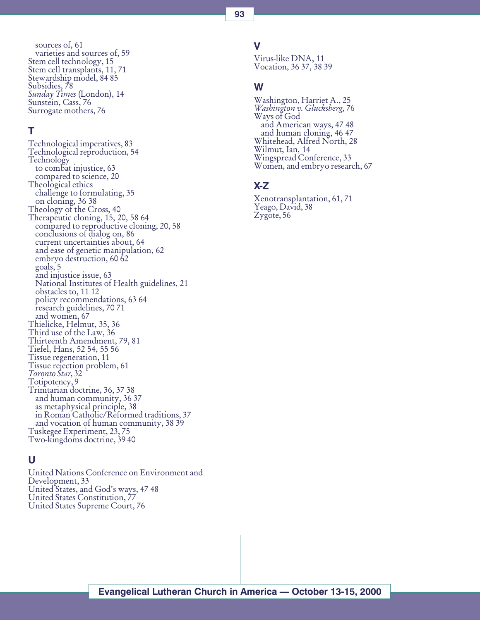sources of, 61 varieties and sources of, 59 Stem cell technology, 15 Stem cell transplants, 11, 71 Stewardship model, 84 85 Subsidies,  $\frac{1}{2}$ 8 Sunday Times (London), 14 Sunstein, Cass, 76 Surrogate mothers, 76

### T

Technological imperatives, 83 Technological reproduction, 54 Technology to combat injustice, 63 compared to science, 20 Theological ethics challenge to formulating, 35 on cloning, 36 38 Theology of the Cross, 40 Therapeutic cloning, 15, 20, 58 64 compared to reproductive cloning, 20, 58 conclusions of dialog on, 86 current uncertainties about, 64 and ease of genetic manipulation, 62 embryo destruction, 60 62 goals, 5 and injustice issue, 63 National Institutes of Health guidelines, 21 obstacles to, 11 12 policy recommendations, 63 64 research guidelines, 70 71 and women, 67 Thielicke, Helmut, 35, 36 Third use of the Law, 36 Thirteenth Amendment, 79, 81 Tiefel, Hans, 52 54, 55 56 Tissue regeneration, 11 Tissue rejection problem, 61 Toronto Star, 32 Totipotency, 9 Trinitarian doctrine, 36, 37 38 and human community, 36 37 as metaphysical principle, 38 in Roman Catholic/Reformed traditions, 37 and vocation of human community, 38 39 Tuskegee Experiment, 23, 75 Two-kingdoms doctrine, 39 40

### U

United Nations Conference on Environment and Development, 33 United States, and God's ways, 47 48 United States Constitution, 77 United States Supreme Court, 76

93

Virus-like DNA, 11 Vocation, 36 37, 38 39

### W

V

Washington, Harriet A., 25 Washington v. Glucksberg, 76 Ways of God and American ways, 47 48 and human cloning, 46 47 Whitehead, Alfred North, 28 Wilmut, Ian, 14 Wingspread Conference, 33 Women, and embryo research, 67

### X-Z

Xenotransplantation, 61, 71 Yeago, David, 38 Zygote, 56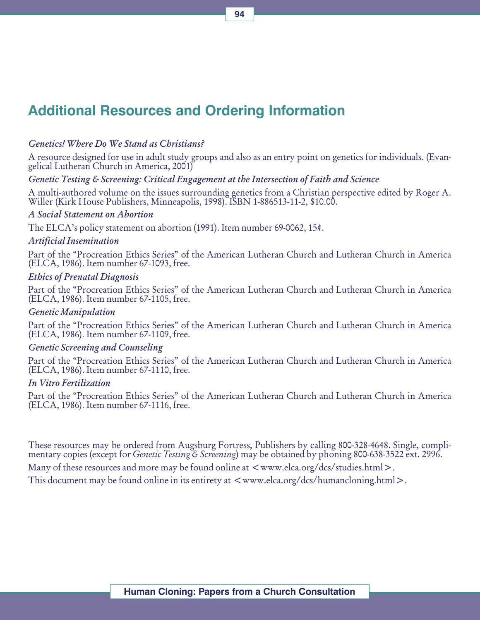# Additional Resources and Ordering Information

### Genetics! Where Do We Stand as Christians?

A resource designed for use in adult study groups and also as an entry point on genetics for individuals. (Evangelical Lutheran Church in America, 2001)

### Genetic Testing & Screening: Critical Engagement at the Intersection of Faith and Science

A multi-authored volume on the issues surrounding genetics from a Christian perspective edited by Roger A. Willer (Kirk House Publishers, Minneapolis, 1998). ISBN 1-886513-11-2, \$10.00.

#### A Social Statement on Abortion

The ELCA's policy statement on abortion (1991). Item number 69-0062, 15¢.

#### Artificial Insemination

Part of the "Procreation Ethics Series" of the American Lutheran Church and Lutheran Church in America (ELCA, 1986). Item number 67-1093, free.

### Ethics of Prenatal Diagnosis

Part of the "Procreation Ethics Series" of the American Lutheran Church and Lutheran Church in America (ELCA, 1986). Item number 67-1105, free.

### Genetic Manipulation

Part of the "Procreation Ethics Series" of the American Lutheran Church and Lutheran Church in America (ELCA, 1986). Item number 67-1109, free.

### Genetic Screening and Counseling

Part of the "Procreation Ethics Series" of the American Lutheran Church and Lutheran Church in America (ELCA, 1986). Item number 67-1110, free.

### In Vitro Fertilization

Part of the "Procreation Ethics Series" of the American Lutheran Church and Lutheran Church in America (ELCA, 1986). Item number 67-1116, free.

These resources may be ordered from Augsburg Fortress, Publishers by calling 800-328-4648. Single, complimentary copies (except for *Genetic Testing & Screening*) may be obtained by phoning 800-638-3522 ext. 2996.

Many of these resources and more may be found online at  $\langle www.e|ca.org/dcs/studies.html\rangle$ .

This document may be found online in its entirety at  $\langle www.$ elca.org/dcs/humancloning.html $\rangle$ .